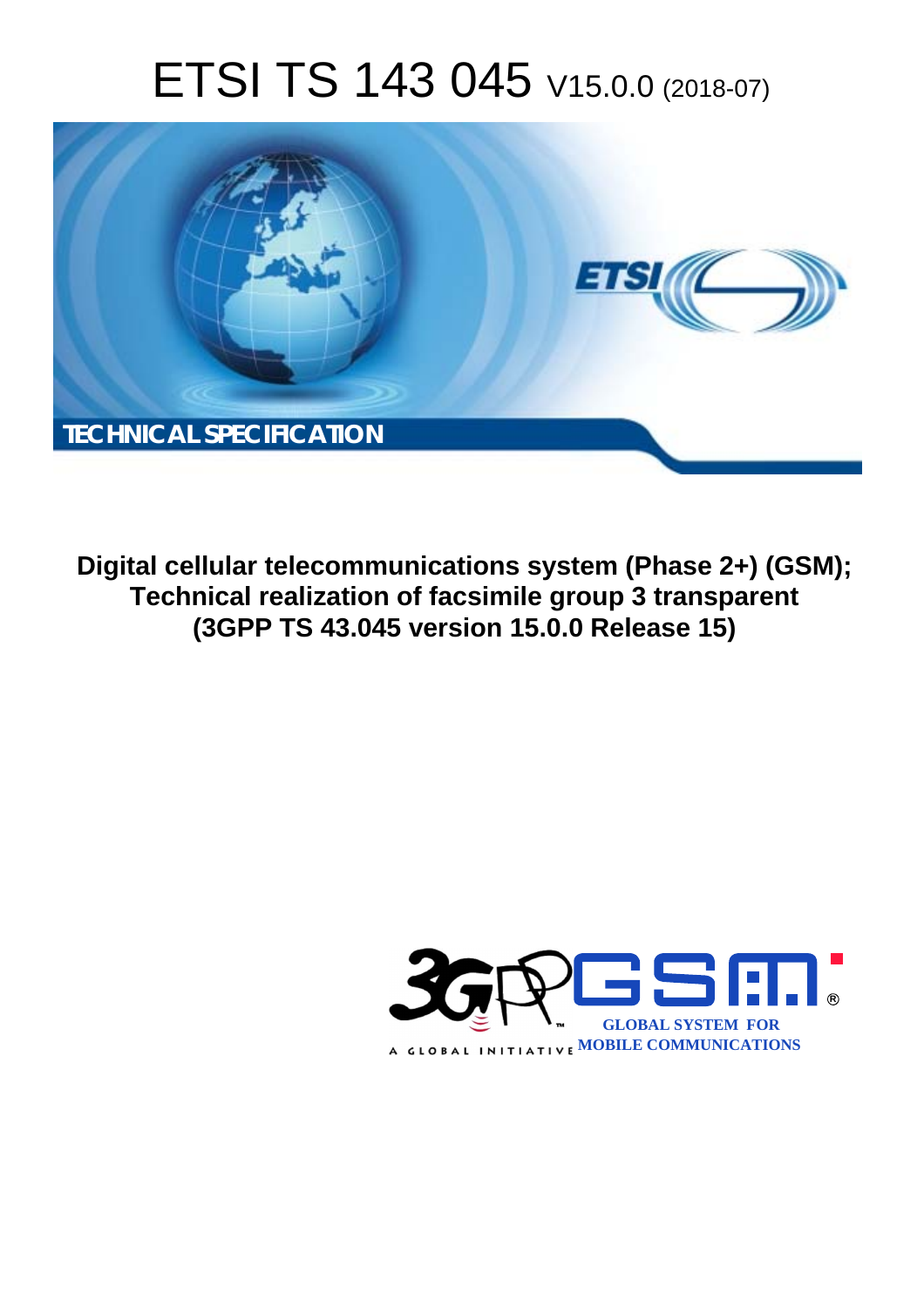# ETSI TS 143 045 V15.0.0 (2018-07)



**Digital cellular telecommunications system (Phase 2+) (GSM); Technical realization of facsimile group 3 transparent (3GPP TS 43.045 version 15.0.0 Release 15)** 

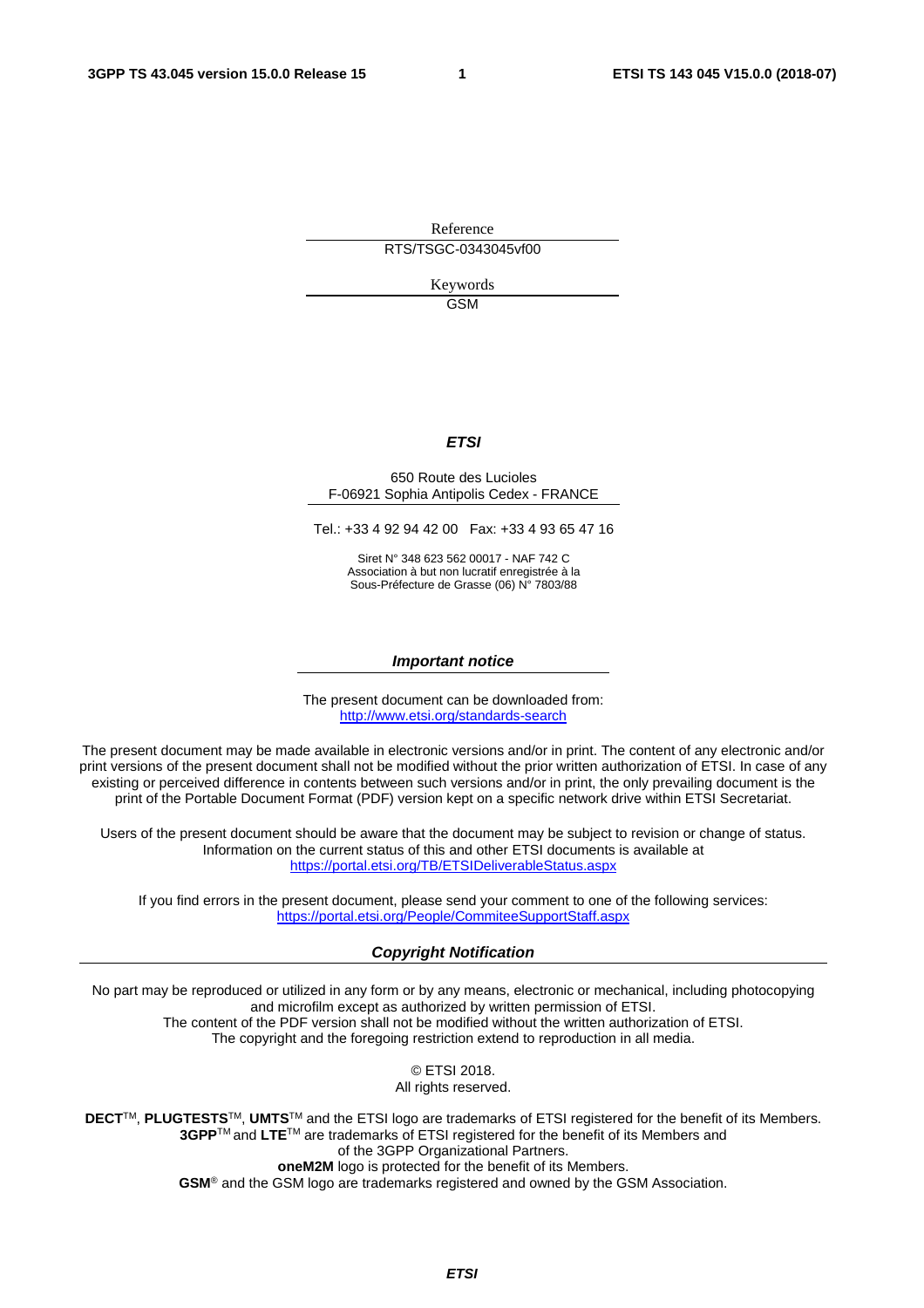Reference RTS/TSGC-0343045vf00

> Keywords GSM

#### *ETSI*

#### 650 Route des Lucioles F-06921 Sophia Antipolis Cedex - FRANCE

Tel.: +33 4 92 94 42 00 Fax: +33 4 93 65 47 16

Siret N° 348 623 562 00017 - NAF 742 C Association à but non lucratif enregistrée à la Sous-Préfecture de Grasse (06) N° 7803/88

#### *Important notice*

The present document can be downloaded from: <http://www.etsi.org/standards-search>

The present document may be made available in electronic versions and/or in print. The content of any electronic and/or print versions of the present document shall not be modified without the prior written authorization of ETSI. In case of any existing or perceived difference in contents between such versions and/or in print, the only prevailing document is the print of the Portable Document Format (PDF) version kept on a specific network drive within ETSI Secretariat.

Users of the present document should be aware that the document may be subject to revision or change of status. Information on the current status of this and other ETSI documents is available at <https://portal.etsi.org/TB/ETSIDeliverableStatus.aspx>

If you find errors in the present document, please send your comment to one of the following services: <https://portal.etsi.org/People/CommiteeSupportStaff.aspx>

#### *Copyright Notification*

No part may be reproduced or utilized in any form or by any means, electronic or mechanical, including photocopying and microfilm except as authorized by written permission of ETSI. The content of the PDF version shall not be modified without the written authorization of ETSI. The copyright and the foregoing restriction extend to reproduction in all media.

> © ETSI 2018. All rights reserved.

**DECT**TM, **PLUGTESTS**TM, **UMTS**TM and the ETSI logo are trademarks of ETSI registered for the benefit of its Members. **3GPP**TM and **LTE**TM are trademarks of ETSI registered for the benefit of its Members and of the 3GPP Organizational Partners. **oneM2M** logo is protected for the benefit of its Members.

**GSM**® and the GSM logo are trademarks registered and owned by the GSM Association.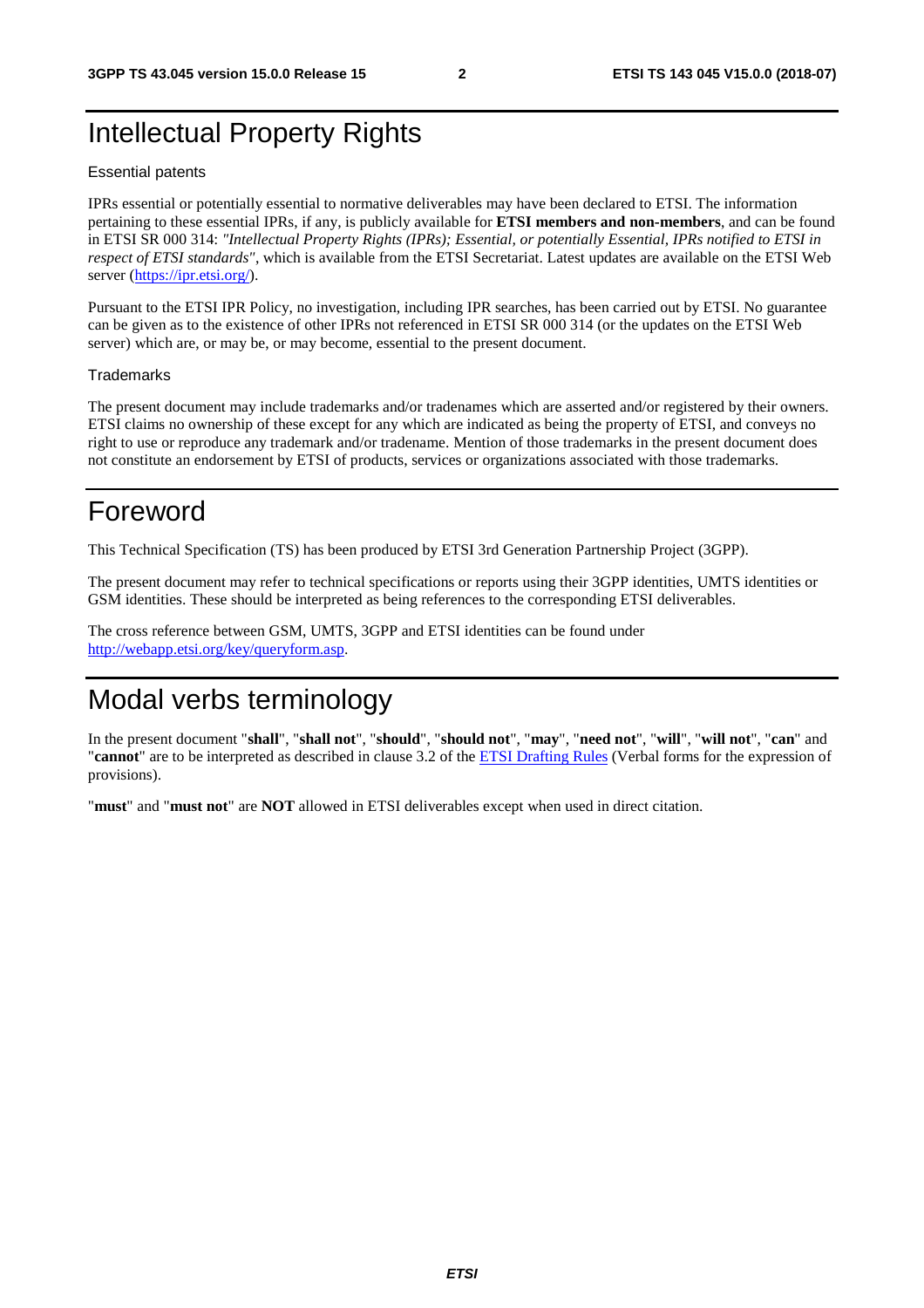## Intellectual Property Rights

#### Essential patents

IPRs essential or potentially essential to normative deliverables may have been declared to ETSI. The information pertaining to these essential IPRs, if any, is publicly available for **ETSI members and non-members**, and can be found in ETSI SR 000 314: *"Intellectual Property Rights (IPRs); Essential, or potentially Essential, IPRs notified to ETSI in respect of ETSI standards"*, which is available from the ETSI Secretariat. Latest updates are available on the ETSI Web server ([https://ipr.etsi.org/\)](https://ipr.etsi.org/).

Pursuant to the ETSI IPR Policy, no investigation, including IPR searches, has been carried out by ETSI. No guarantee can be given as to the existence of other IPRs not referenced in ETSI SR 000 314 (or the updates on the ETSI Web server) which are, or may be, or may become, essential to the present document.

#### **Trademarks**

The present document may include trademarks and/or tradenames which are asserted and/or registered by their owners. ETSI claims no ownership of these except for any which are indicated as being the property of ETSI, and conveys no right to use or reproduce any trademark and/or tradename. Mention of those trademarks in the present document does not constitute an endorsement by ETSI of products, services or organizations associated with those trademarks.

## Foreword

This Technical Specification (TS) has been produced by ETSI 3rd Generation Partnership Project (3GPP).

The present document may refer to technical specifications or reports using their 3GPP identities, UMTS identities or GSM identities. These should be interpreted as being references to the corresponding ETSI deliverables.

The cross reference between GSM, UMTS, 3GPP and ETSI identities can be found under [http://webapp.etsi.org/key/queryform.asp.](http://webapp.etsi.org/key/queryform.asp)

## Modal verbs terminology

In the present document "**shall**", "**shall not**", "**should**", "**should not**", "**may**", "**need not**", "**will**", "**will not**", "**can**" and "**cannot**" are to be interpreted as described in clause 3.2 of the [ETSI Drafting Rules](https://portal.etsi.org/Services/editHelp!/Howtostart/ETSIDraftingRules.aspx) (Verbal forms for the expression of provisions).

"**must**" and "**must not**" are **NOT** allowed in ETSI deliverables except when used in direct citation.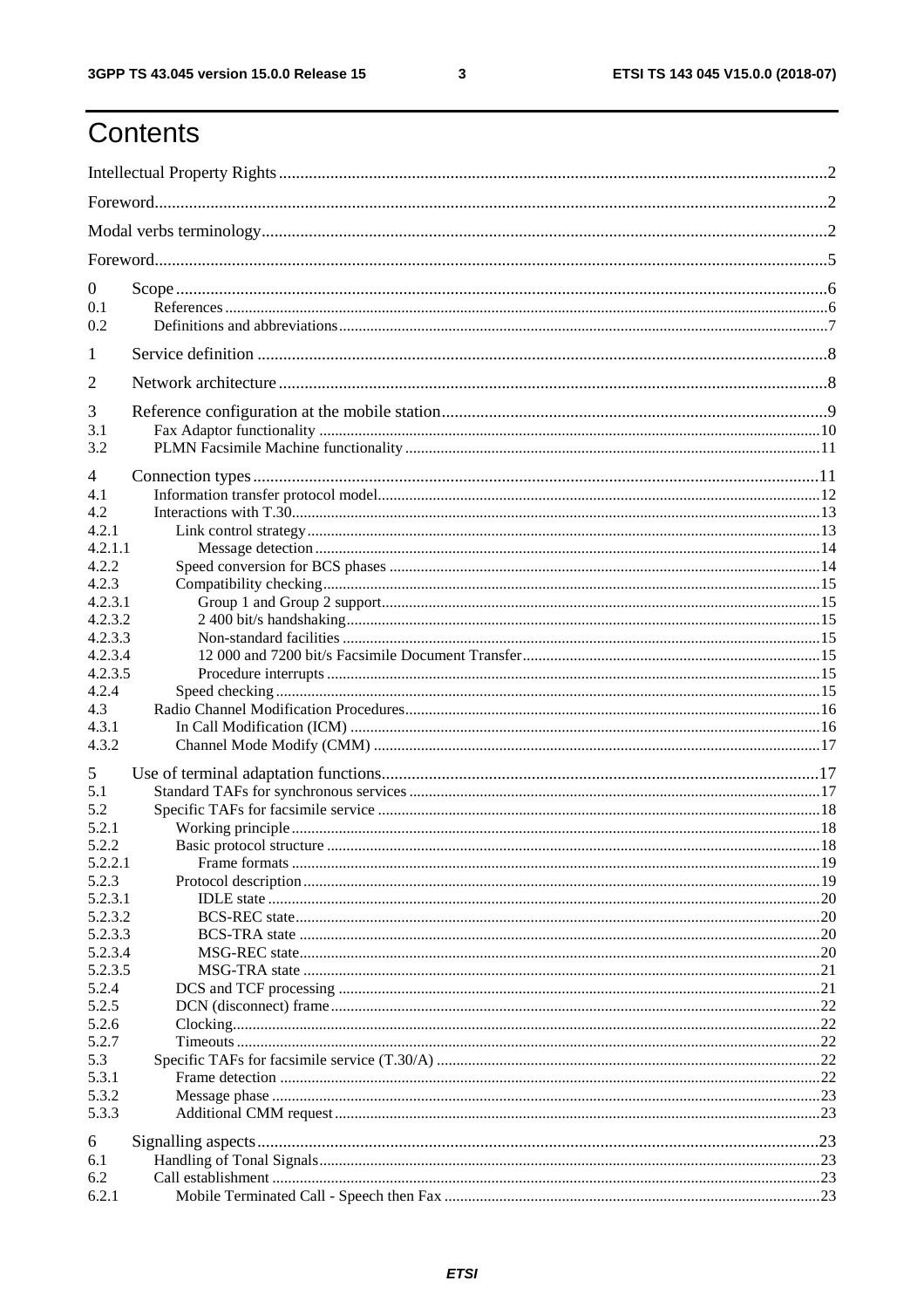$\mathbf{3}$ 

## Contents

| $\overline{0}$   |  |  |  |  |  |
|------------------|--|--|--|--|--|
| 0.1              |  |  |  |  |  |
| 0.2              |  |  |  |  |  |
| 1                |  |  |  |  |  |
| 2                |  |  |  |  |  |
| 3                |  |  |  |  |  |
| 3.1              |  |  |  |  |  |
| 3.2              |  |  |  |  |  |
| 4                |  |  |  |  |  |
| 4.1              |  |  |  |  |  |
| 4.2              |  |  |  |  |  |
| 4.2.1            |  |  |  |  |  |
| 4.2.1.1          |  |  |  |  |  |
| 4.2.2            |  |  |  |  |  |
| 4.2.3            |  |  |  |  |  |
| 4.2.3.1          |  |  |  |  |  |
| 4.2.3.2          |  |  |  |  |  |
| 4.2.3.3          |  |  |  |  |  |
| 4.2.3.4          |  |  |  |  |  |
| 4.2.3.5          |  |  |  |  |  |
| 4.2.4            |  |  |  |  |  |
| 4.3<br>4.3.1     |  |  |  |  |  |
| 4.3.2            |  |  |  |  |  |
|                  |  |  |  |  |  |
| 5                |  |  |  |  |  |
| 5.1              |  |  |  |  |  |
| 5.2              |  |  |  |  |  |
| 5.2.1            |  |  |  |  |  |
| 5.2.2            |  |  |  |  |  |
| 5.2.2.1<br>5.2.3 |  |  |  |  |  |
| 5.2.3.1          |  |  |  |  |  |
| 5.2.3.2          |  |  |  |  |  |
| 5.2.3.3          |  |  |  |  |  |
| 5.2.3.4          |  |  |  |  |  |
| 5.2.3.5          |  |  |  |  |  |
| 5.2.4            |  |  |  |  |  |
| 5.2.5            |  |  |  |  |  |
| 5.2.6            |  |  |  |  |  |
| 5.2.7            |  |  |  |  |  |
| 5.3              |  |  |  |  |  |
| 5.3.1            |  |  |  |  |  |
| 5.3.2            |  |  |  |  |  |
| 5.3.3            |  |  |  |  |  |
| 6                |  |  |  |  |  |
| 6.1              |  |  |  |  |  |
| 6.2              |  |  |  |  |  |
| 6.2.1            |  |  |  |  |  |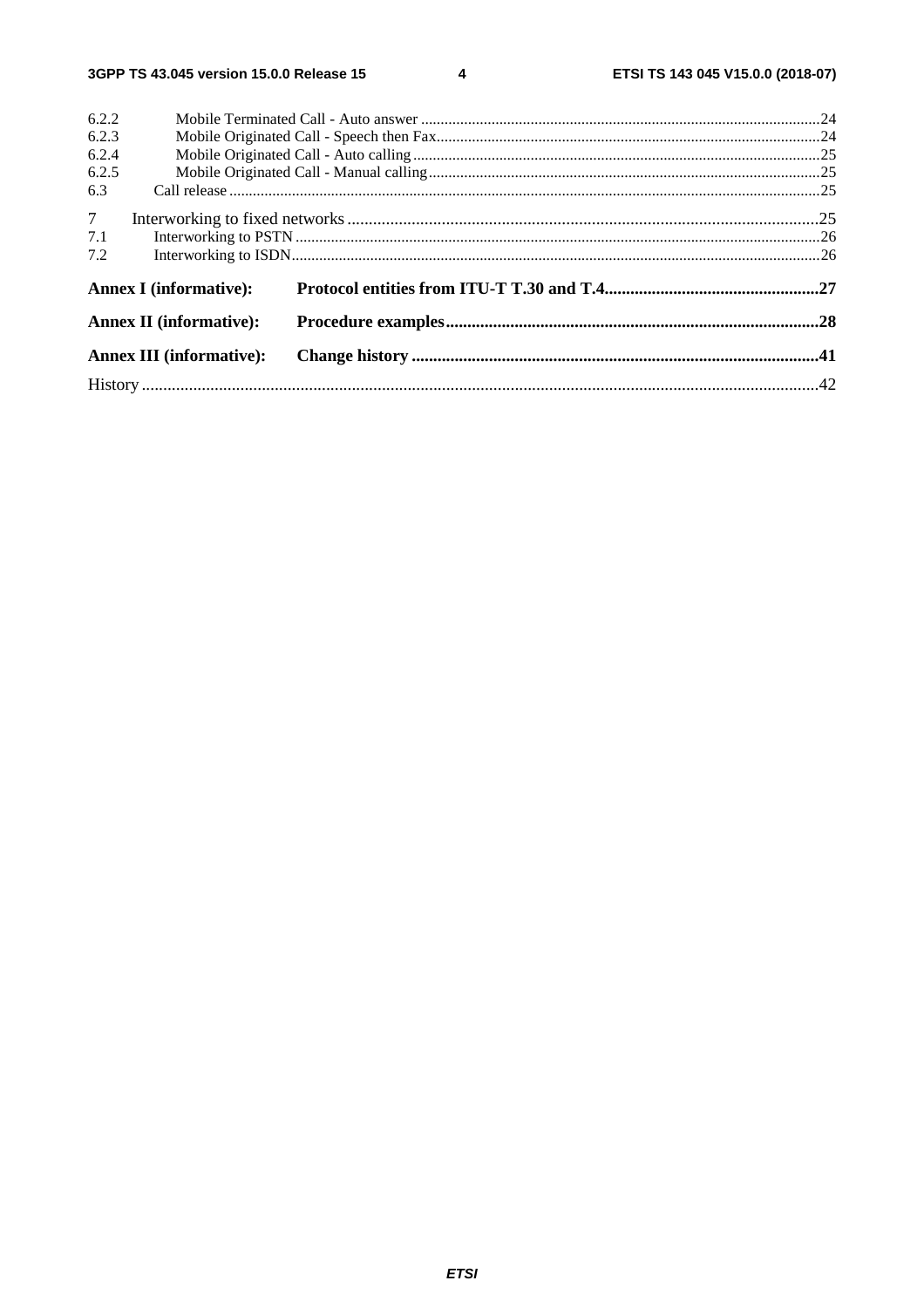$\overline{\mathbf{4}}$ 

| 6.2.2          |                                 |  |  |  |  |  |  |
|----------------|---------------------------------|--|--|--|--|--|--|
| 6.2.3          |                                 |  |  |  |  |  |  |
| 6.2.4          |                                 |  |  |  |  |  |  |
| 6.2.5          |                                 |  |  |  |  |  |  |
| 6.3            |                                 |  |  |  |  |  |  |
| 7 <sup>7</sup> |                                 |  |  |  |  |  |  |
| 7.1            |                                 |  |  |  |  |  |  |
| 7.2            |                                 |  |  |  |  |  |  |
|                | <b>Annex I</b> (informative):   |  |  |  |  |  |  |
|                | <b>Annex II (informative):</b>  |  |  |  |  |  |  |
|                | <b>Annex III (informative):</b> |  |  |  |  |  |  |
|                |                                 |  |  |  |  |  |  |
|                |                                 |  |  |  |  |  |  |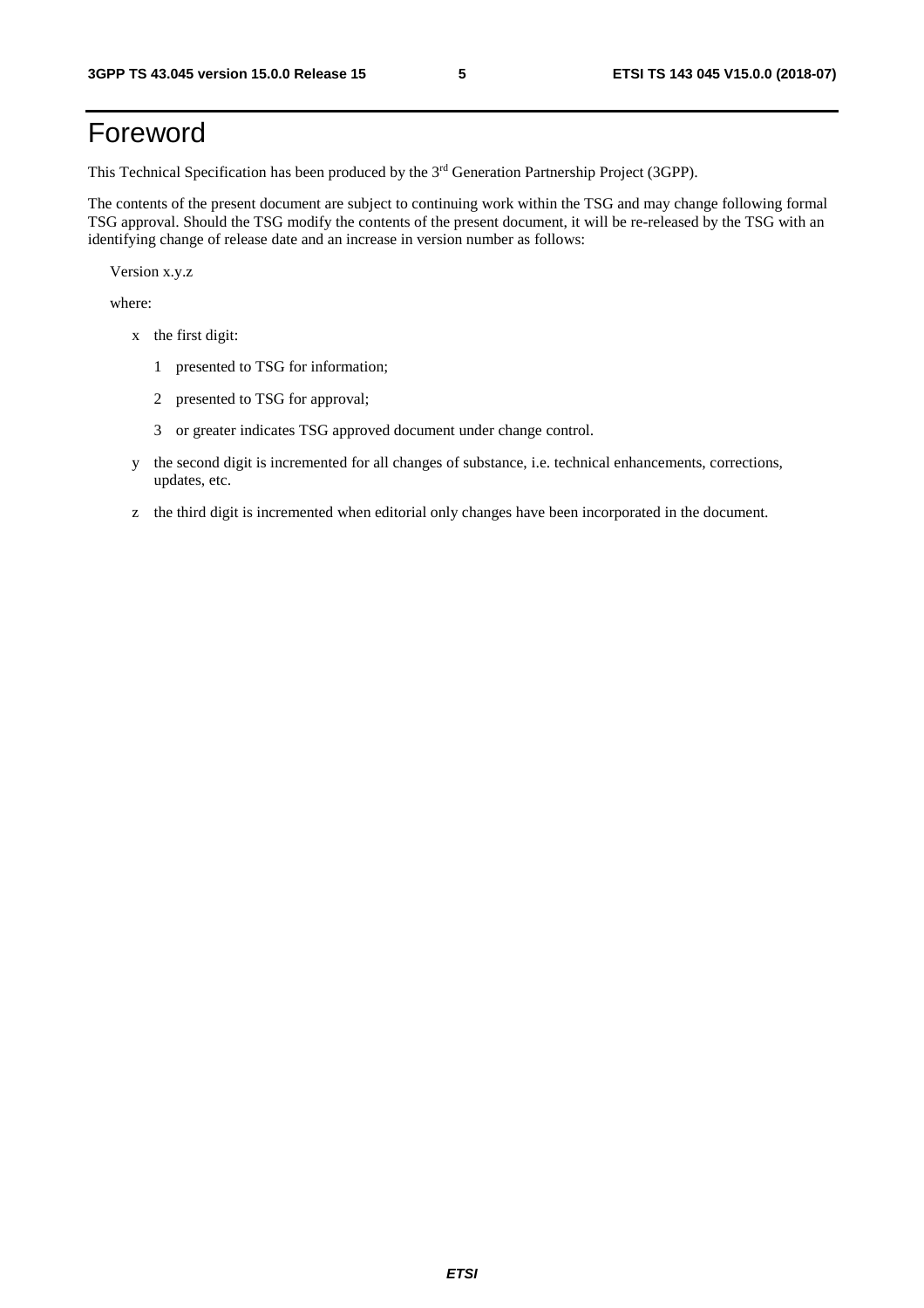## Foreword

This Technical Specification has been produced by the 3rd Generation Partnership Project (3GPP).

The contents of the present document are subject to continuing work within the TSG and may change following formal TSG approval. Should the TSG modify the contents of the present document, it will be re-released by the TSG with an identifying change of release date and an increase in version number as follows:

Version x.y.z

where:

- x the first digit:
	- 1 presented to TSG for information;
	- 2 presented to TSG for approval;
	- 3 or greater indicates TSG approved document under change control.
- y the second digit is incremented for all changes of substance, i.e. technical enhancements, corrections, updates, etc.
- z the third digit is incremented when editorial only changes have been incorporated in the document.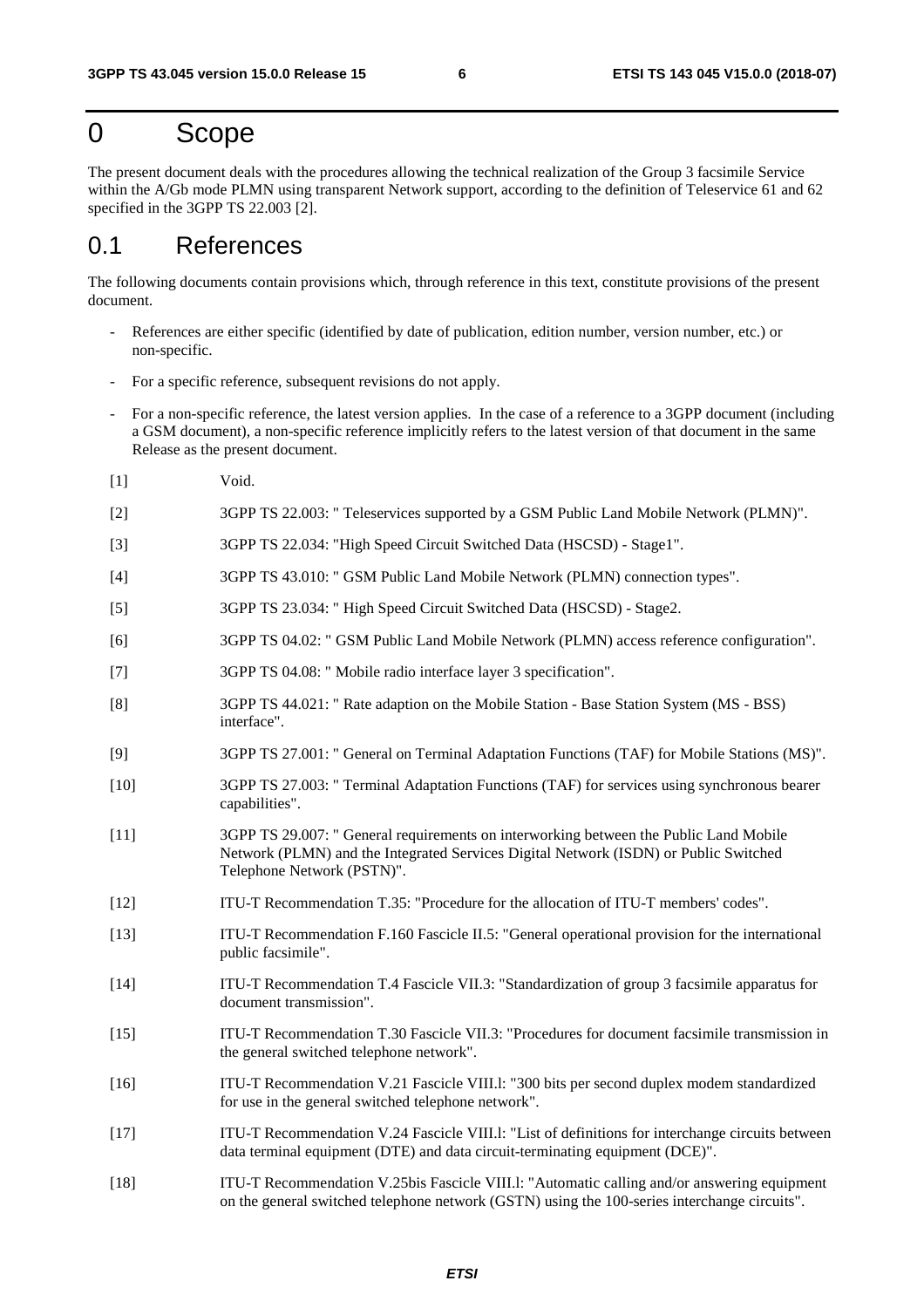### 0 Scope

The present document deals with the procedures allowing the technical realization of the Group 3 facsimile Service within the A/Gb mode PLMN using transparent Network support, according to the definition of Teleservice 61 and 62 specified in the 3GPP TS 22.003 [2].

### 0.1 References

The following documents contain provisions which, through reference in this text, constitute provisions of the present document.

- References are either specific (identified by date of publication, edition number, version number, etc.) or non-specific.
- For a specific reference, subsequent revisions do not apply.
- For a non-specific reference, the latest version applies. In the case of a reference to a 3GPP document (including a GSM document), a non-specific reference implicitly refers to the latest version of that document in the same Release as the present document.
- [1] Void.
- [2] 3GPP TS 22.003: " Teleservices supported by a GSM Public Land Mobile Network (PLMN)".
- [3] 3GPP TS 22.034: "High Speed Circuit Switched Data (HSCSD) Stage1".
- [4] 3GPP TS 43.010: " GSM Public Land Mobile Network (PLMN) connection types".
- [5] 3GPP TS 23.034: " High Speed Circuit Switched Data (HSCSD) Stage2.
- [6] 3GPP TS 04.02: " GSM Public Land Mobile Network (PLMN) access reference configuration".
- [7] 3GPP TS 04.08: " Mobile radio interface layer 3 specification".
- [8] 3GPP TS 44.021: " Rate adaption on the Mobile Station Base Station System (MS BSS) interface".
- [9] 3GPP TS 27.001: " General on Terminal Adaptation Functions (TAF) for Mobile Stations (MS)".
- [10] 3GPP TS 27.003: " Terminal Adaptation Functions (TAF) for services using synchronous bearer capabilities".
- [11] 3GPP TS 29.007: " General requirements on interworking between the Public Land Mobile Network (PLMN) and the Integrated Services Digital Network (ISDN) or Public Switched Telephone Network (PSTN)".
- [12] ITU-T Recommendation T.35: "Procedure for the allocation of ITU-T members' codes".
- [13] ITU-T Recommendation F.160 Fascicle II.5: "General operational provision for the international public facsimile".
- [14] ITU-T Recommendation T.4 Fascicle VII.3: "Standardization of group 3 facsimile apparatus for document transmission".
- [15] ITU-T Recommendation T.30 Fascicle VII.3: "Procedures for document facsimile transmission in the general switched telephone network".
- [16] ITU-T Recommendation V.21 Fascicle VIII.l: "300 bits per second duplex modem standardized for use in the general switched telephone network".
- [17] ITU-T Recommendation V.24 Fascicle VIII.l: "List of definitions for interchange circuits between data terminal equipment (DTE) and data circuit-terminating equipment (DCE)".
- [18] ITU-T Recommendation V.25bis Fascicle VIII.l: "Automatic calling and/or answering equipment on the general switched telephone network (GSTN) using the 100-series interchange circuits".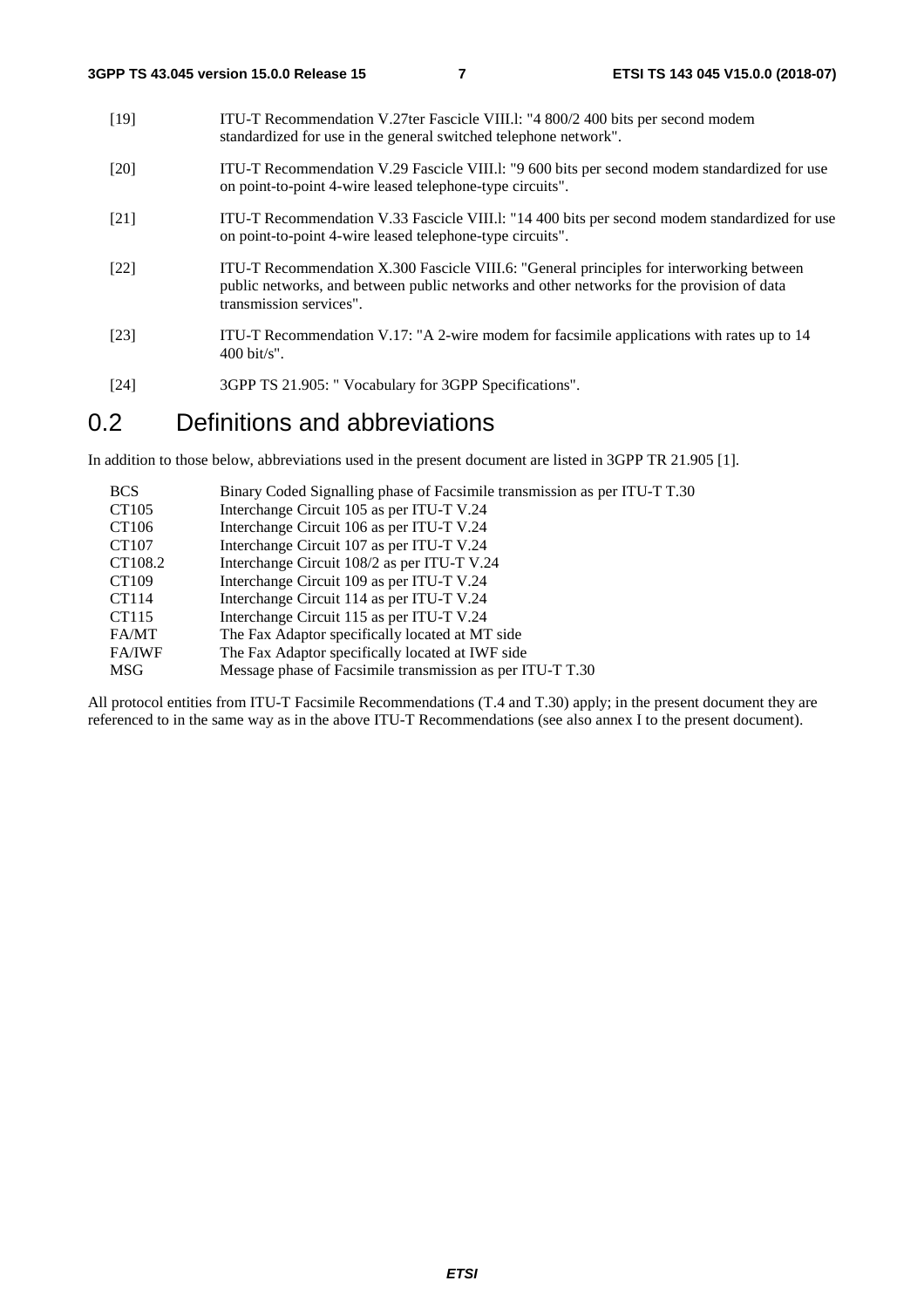- [19] ITU-T Recommendation V.27ter Fascicle VIII.l: "4 800/2 400 bits per second modem standardized for use in the general switched telephone network".
- [20] ITU-T Recommendation V.29 Fascicle VIII.l: "9 600 bits per second modem standardized for use on point-to-point 4-wire leased telephone-type circuits".
- [21] ITU-T Recommendation V.33 Fascicle VIII.l: "14 400 bits per second modem standardized for use on point-to-point 4-wire leased telephone-type circuits".
- [22] ITU-T Recommendation X.300 Fascicle VIII.6: "General principles for interworking between public networks, and between public networks and other networks for the provision of data transmission services".
- [23] ITU-T Recommendation V.17: "A 2-wire modem for facsimile applications with rates up to 14 400 bit/s".
- [24] 3GPP TS 21.905: " Vocabulary for 3GPP Specifications".

#### 0.2 Definitions and abbreviations

In addition to those below, abbreviations used in the present document are listed in 3GPP TR 21.905 [1].

| Binary Coded Signalling phase of Facsimile transmission as per ITU-T T.30 |
|---------------------------------------------------------------------------|
| Interchange Circuit 105 as per ITU-T V.24                                 |
| Interchange Circuit 106 as per ITU-T V.24                                 |
| Interchange Circuit 107 as per ITU-T V.24                                 |
| Interchange Circuit 108/2 as per ITU-T V.24                               |
| Interchange Circuit 109 as per ITU-T V.24                                 |
| Interchange Circuit 114 as per ITU-T V.24                                 |
| Interchange Circuit 115 as per ITU-T V.24                                 |
| The Fax Adaptor specifically located at MT side                           |
| The Fax Adaptor specifically located at IWF side                          |
| Message phase of Facsimile transmission as per ITU-T T.30                 |
|                                                                           |

All protocol entities from ITU-T Facsimile Recommendations (T.4 and T.30) apply; in the present document they are referenced to in the same way as in the above ITU-T Recommendations (see also annex I to the present document).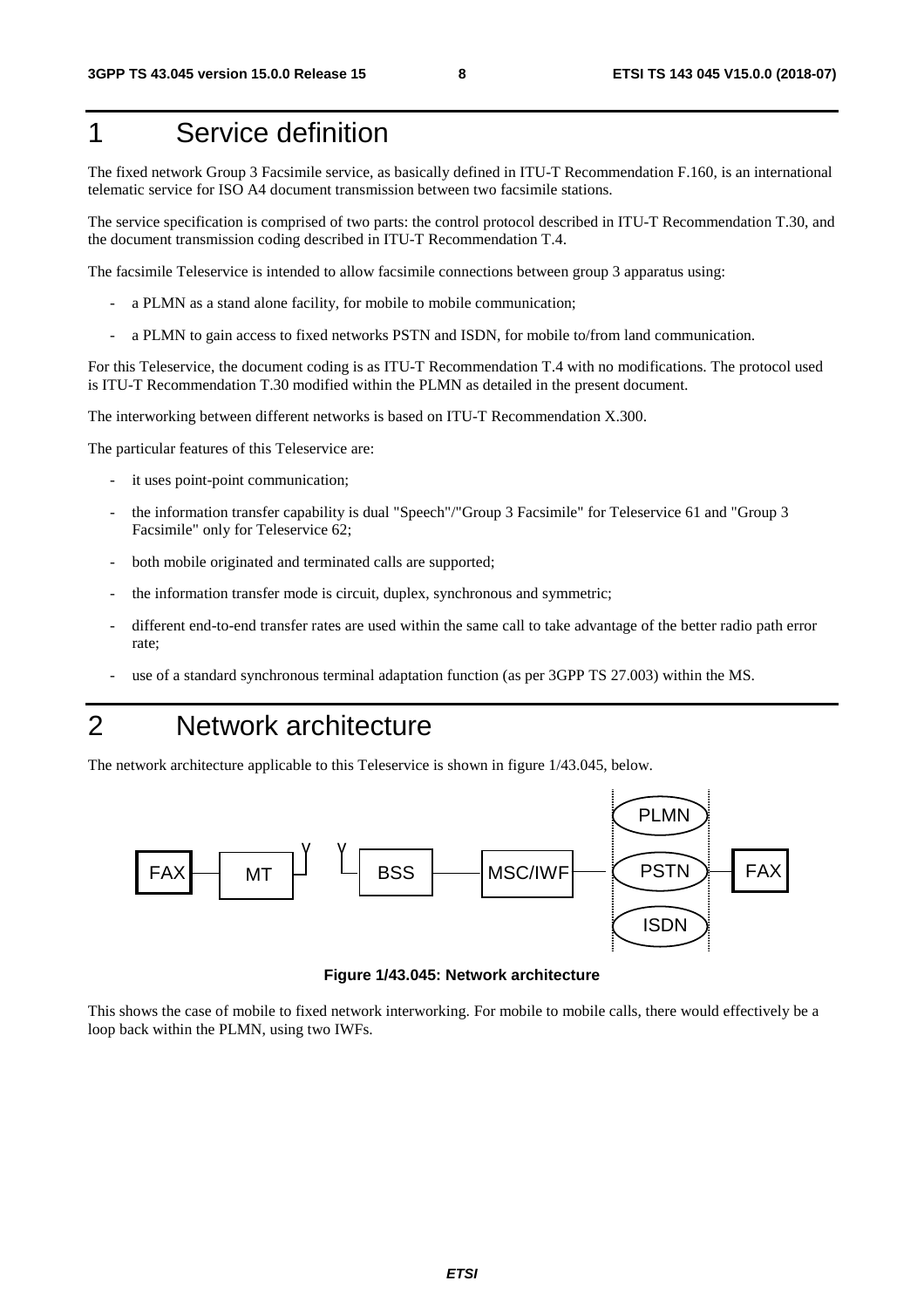## 1 Service definition

The fixed network Group 3 Facsimile service, as basically defined in ITU-T Recommendation F.160, is an international telematic service for ISO A4 document transmission between two facsimile stations.

The service specification is comprised of two parts: the control protocol described in ITU-T Recommendation T.30, and the document transmission coding described in ITU-T Recommendation T.4.

The facsimile Teleservice is intended to allow facsimile connections between group 3 apparatus using:

- a PLMN as a stand alone facility, for mobile to mobile communication;
- a PLMN to gain access to fixed networks PSTN and ISDN, for mobile to/from land communication.

For this Teleservice, the document coding is as ITU-T Recommendation T.4 with no modifications. The protocol used is ITU-T Recommendation T.30 modified within the PLMN as detailed in the present document.

The interworking between different networks is based on ITU-T Recommendation X.300.

The particular features of this Teleservice are:

- it uses point-point communication;
- the information transfer capability is dual "Speech"/"Group 3 Facsimile" for Teleservice 61 and "Group 3 Facsimile" only for Teleservice 62;
- both mobile originated and terminated calls are supported;
- the information transfer mode is circuit, duplex, synchronous and symmetric;
- different end-to-end transfer rates are used within the same call to take advantage of the better radio path error rate;
- use of a standard synchronous terminal adaptation function (as per 3GPP TS 27.003) within the MS.
- 2 Network architecture

The network architecture applicable to this Teleservice is shown in figure 1/43.045, below.



**Figure 1/43.045: Network architecture** 

This shows the case of mobile to fixed network interworking. For mobile to mobile calls, there would effectively be a loop back within the PLMN, using two IWFs.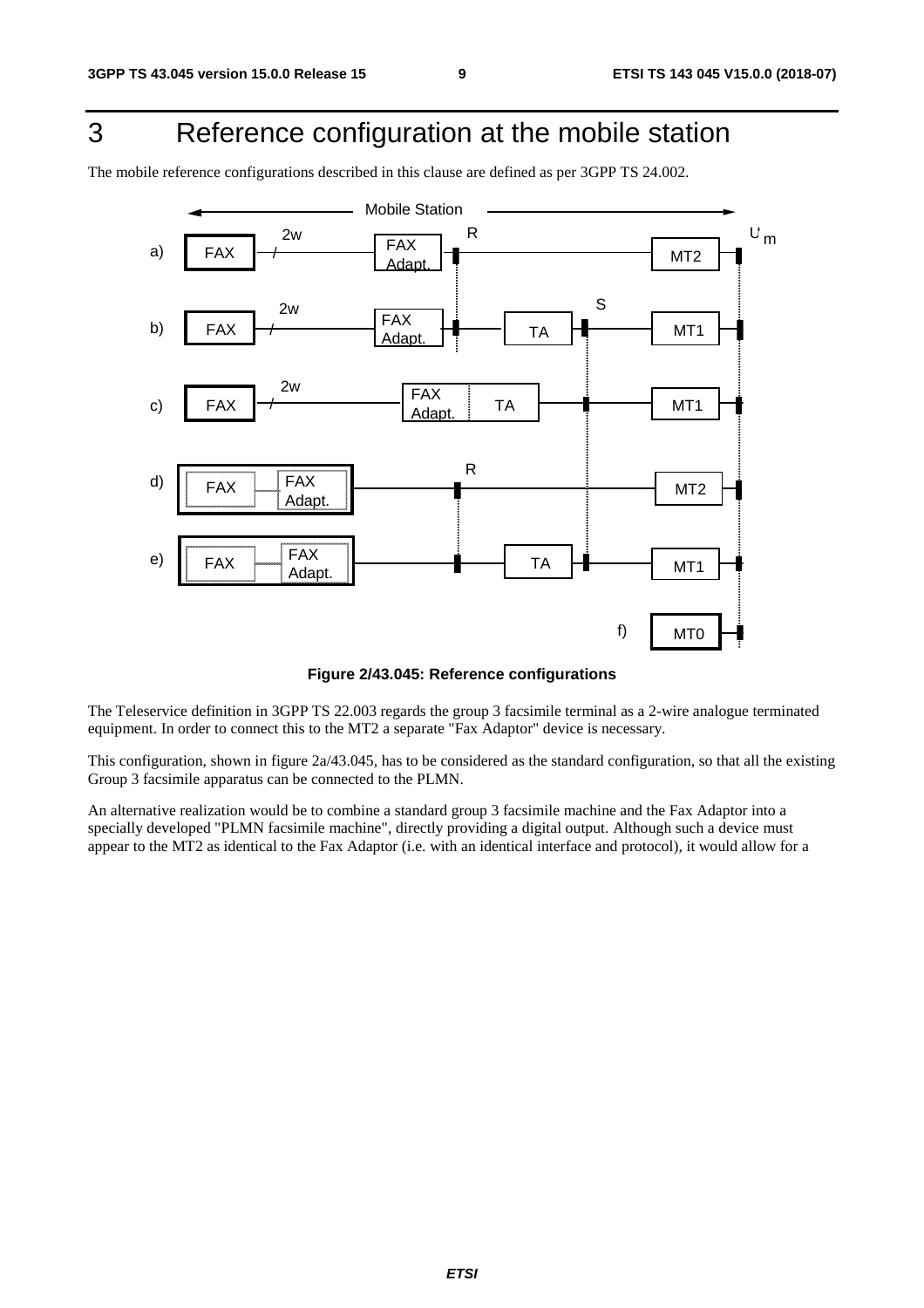## 3 Reference configuration at the mobile station

The mobile reference configurations described in this clause are defined as per 3GPP TS 24.002.



#### **Figure 2/43.045: Reference configurations**

The Teleservice definition in 3GPP TS 22.003 regards the group 3 facsimile terminal as a 2-wire analogue terminated equipment. In order to connect this to the MT2 a separate "Fax Adaptor" device is necessary.

This configuration, shown in figure 2a/43.045, has to be considered as the standard configuration, so that all the existing Group 3 facsimile apparatus can be connected to the PLMN.

An alternative realization would be to combine a standard group 3 facsimile machine and the Fax Adaptor into a specially developed "PLMN facsimile machine", directly providing a digital output. Although such a device must appear to the MT2 as identical to the Fax Adaptor (i.e. with an identical interface and protocol), it would allow for a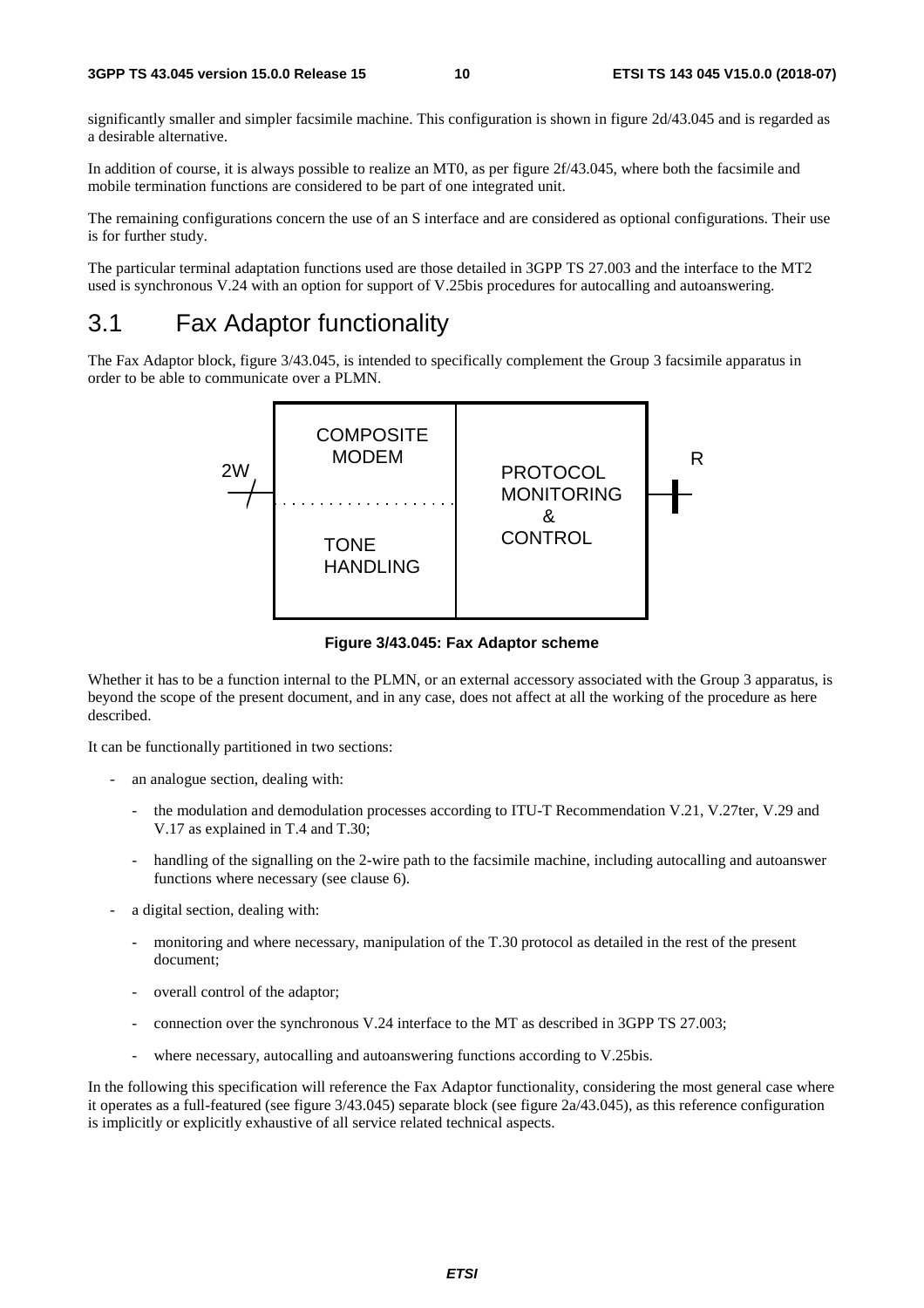significantly smaller and simpler facsimile machine. This configuration is shown in figure 2d/43.045 and is regarded as a desirable alternative.

In addition of course, it is always possible to realize an MT0, as per figure 2f/43.045, where both the facsimile and mobile termination functions are considered to be part of one integrated unit.

The remaining configurations concern the use of an S interface and are considered as optional configurations. Their use is for further study.

The particular terminal adaptation functions used are those detailed in 3GPP TS 27.003 and the interface to the MT2 used is synchronous V.24 with an option for support of V.25bis procedures for autocalling and autoanswering.

### 3.1 Fax Adaptor functionality

The Fax Adaptor block, figure 3/43.045, is intended to specifically complement the Group 3 facsimile apparatus in order to be able to communicate over a PLMN.



**Figure 3/43.045: Fax Adaptor scheme** 

Whether it has to be a function internal to the PLMN, or an external accessory associated with the Group 3 apparatus, is beyond the scope of the present document, and in any case, does not affect at all the working of the procedure as here described.

It can be functionally partitioned in two sections:

- an analogue section, dealing with:
	- the modulation and demodulation processes according to ITU-T Recommendation V.21, V.27ter, V.29 and V.17 as explained in T.4 and T.30;
	- handling of the signalling on the 2-wire path to the facsimile machine, including autocalling and autoanswer functions where necessary (see clause 6).
- a digital section, dealing with:
	- monitoring and where necessary, manipulation of the T.30 protocol as detailed in the rest of the present document;
	- overall control of the adaptor;
	- connection over the synchronous V.24 interface to the MT as described in 3GPP TS 27.003;
	- where necessary, autocalling and autoanswering functions according to V.25bis.

In the following this specification will reference the Fax Adaptor functionality, considering the most general case where it operates as a full-featured (see figure 3/43.045) separate block (see figure 2a/43.045), as this reference configuration is implicitly or explicitly exhaustive of all service related technical aspects.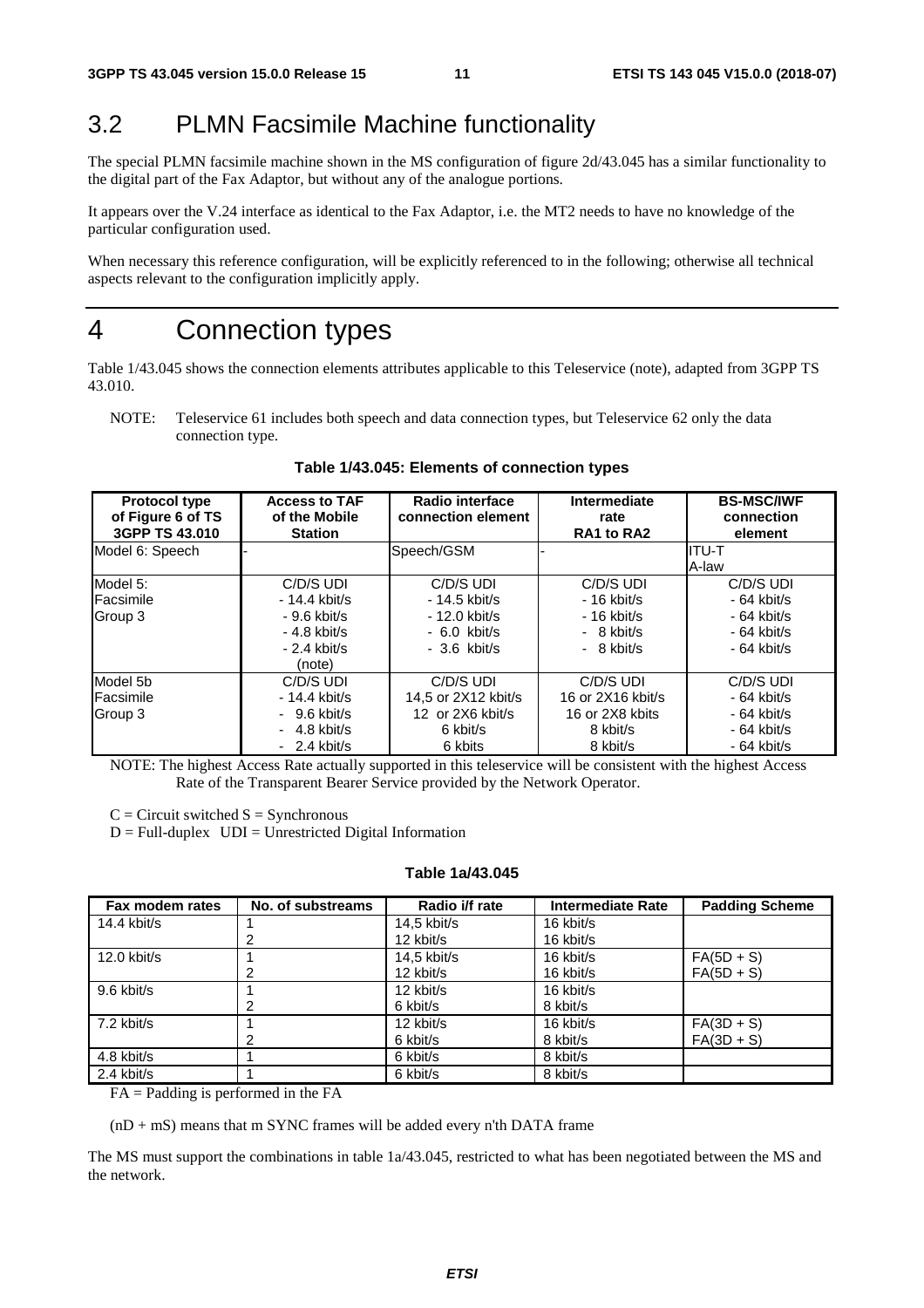### 3.2 PLMN Facsimile Machine functionality

The special PLMN facsimile machine shown in the MS configuration of figure 2d/43.045 has a similar functionality to the digital part of the Fax Adaptor, but without any of the analogue portions.

It appears over the V.24 interface as identical to the Fax Adaptor, i.e. the MT2 needs to have no knowledge of the particular configuration used.

When necessary this reference configuration, will be explicitly referenced to in the following; otherwise all technical aspects relevant to the configuration implicitly apply.

### 4 Connection types

Table 1/43.045 shows the connection elements attributes applicable to this Teleservice (note), adapted from 3GPP TS 43.010.

NOTE: Teleservice 61 includes both speech and data connection types, but Teleservice 62 only the data connection type.

| <b>Protocol type</b><br>of Figure 6 of TS<br>3GPP TS 43,010 | <b>Access to TAF</b><br>of the Mobile<br><b>Station</b> | Radio interface<br>connection element | Intermediate<br>rate<br>RA1 to RA2 | <b>BS-MSC/IWF</b><br>connection<br>element |
|-------------------------------------------------------------|---------------------------------------------------------|---------------------------------------|------------------------------------|--------------------------------------------|
| Model 6: Speech                                             |                                                         | Speech/GSM                            |                                    | IITU-T                                     |
|                                                             |                                                         |                                       |                                    | A-law                                      |
| Model 5:                                                    | C/D/S UDI                                               | C/D/S UDI                             | C/D/S UDI                          | C/D/S UDI                                  |
| <b>Facsimile</b>                                            | $-14.4$ kbit/s                                          | $-14.5$ kbit/s                        | $-16$ kbit/s                       | $-64$ kbit/s                               |
| Group 3                                                     | $-9.6$ kbit/s                                           | $-12.0$ kbit/s                        | $-16$ kbit/s                       | $-64$ kbit/s                               |
|                                                             | $-4.8$ kbit/s                                           | $-6.0$ kbit/s                         | $-8$ kbit/s                        | $-64$ kbit/s                               |
|                                                             | $-2.4$ kbit/s                                           | $-3.6$ kbit/s                         | $-8$ kbit/s                        | - 64 kbit/s                                |
|                                                             | (note)                                                  |                                       |                                    |                                            |
| Model 5b                                                    | C/D/S UDI                                               | C/D/S UDI                             | C/D/S UDI                          | C/D/S UDI                                  |
| Facsimile                                                   | $-14.4$ kbit/s                                          | 14.5 or 2X12 kbit/s                   | 16 or 2X16 kbit/s                  | - 64 kbit/s                                |
| Group 3                                                     | $-9.6$ kbit/s                                           | 12 or 2X6 kbit/s                      | 16 or 2X8 kbits                    | - 64 kbit/s                                |
|                                                             | $-4.8$ kbit/s                                           | 6 kbit/s                              | 8 kbit/s                           | $-64$ kbit/s                               |
|                                                             | $-2.4$ kbit/s                                           | 6 kbits                               | 8 kbit/s                           | $-64$ kbit/s                               |

**Table 1/43.045: Elements of connection types** 

NOTE: The highest Access Rate actually supported in this teleservice will be consistent with the highest Access Rate of the Transparent Bearer Service provided by the Network Operator.

 $C =$  Circuit switched  $S =$  Synchronous

 $D = Full-duplex$   $UDI = Unrestricted Digital Information$ 

#### **Table 1a/43.045**

| Fax modem rates | No. of substreams | Radio i/f rate | Intermediate Rate | <b>Padding Scheme</b> |
|-----------------|-------------------|----------------|-------------------|-----------------------|
| $14.4$ kbit/s   |                   | $14.5$ kbit/s  | 16 kbit/s         |                       |
|                 | 2                 | 12 kbit/s      | 16 kbit/s         |                       |
| $12.0$ kbit/s   |                   | 14,5 kbit/s    | 16 kbit/s         | $FA(5D + S)$          |
|                 | 2                 | 12 kbit/s      | 16 kbit/s         | $FA(5D + S)$          |
| 9.6 kbit/s      |                   | 12 kbit/s      | 16 kbit/s         |                       |
|                 |                   | 6 kbit/s       | 8 kbit/s          |                       |
| 7.2 kbit/s      |                   | 12 kbit/s      | 16 kbit/s         | $FA(3D + S)$          |
|                 | 2                 | 6 kbit/s       | 8 kbit/s          | $FA(3D + S)$          |
| 4.8 kbit/s      |                   | 6 kbit/s       | 8 kbit/s          |                       |
| 2.4 kbit/s      |                   | 6 kbit/s       | 8 kbit/s          |                       |

FA = Padding is performed in the FA

 $(nD + mS)$  means that m SYNC frames will be added every n'th DATA frame

The MS must support the combinations in table 1a/43.045, restricted to what has been negotiated between the MS and the network.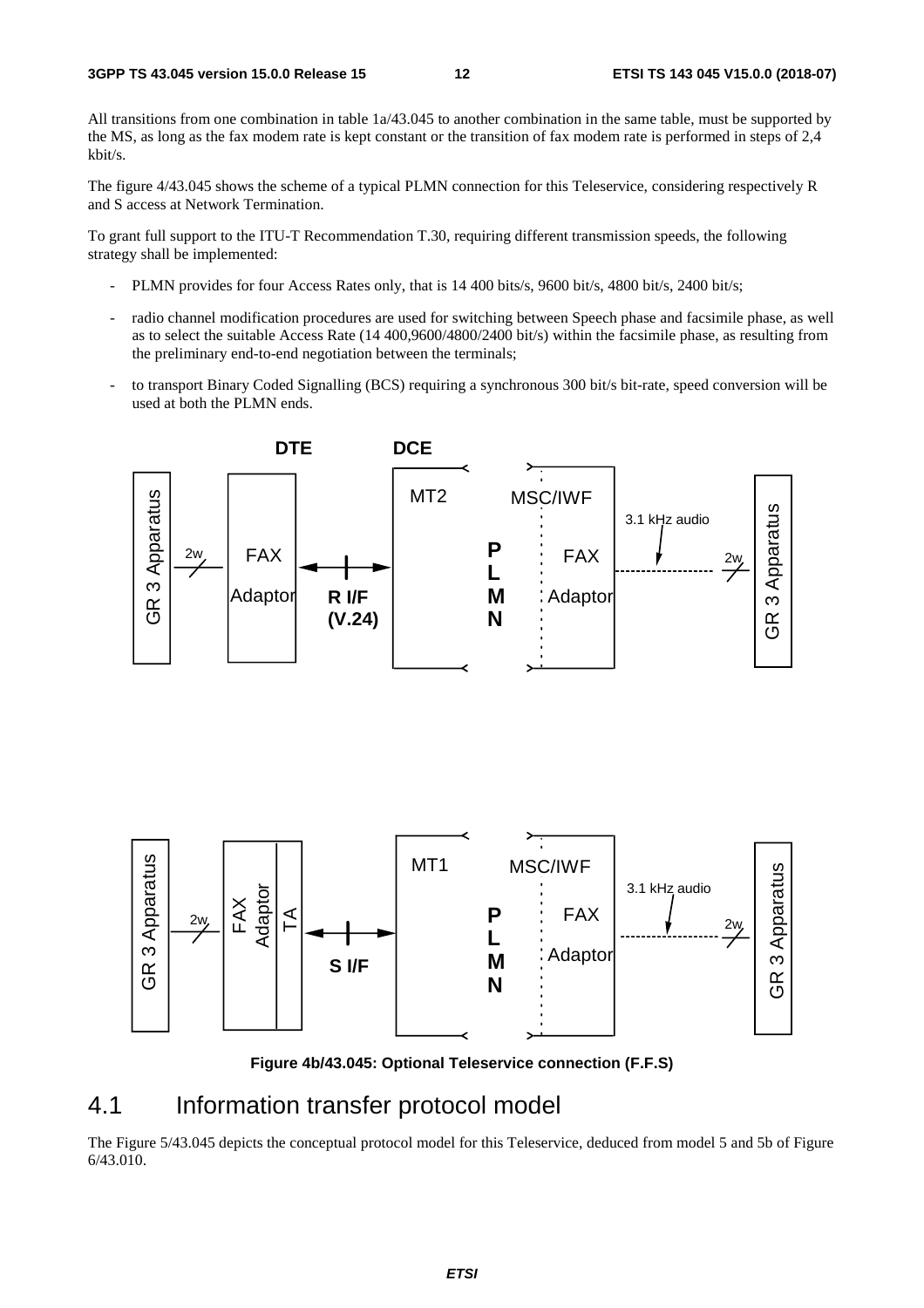All transitions from one combination in table 1a/43.045 to another combination in the same table, must be supported by the MS, as long as the fax modem rate is kept constant or the transition of fax modem rate is performed in steps of 2,4 kbit/s.

The figure 4/43.045 shows the scheme of a typical PLMN connection for this Teleservice, considering respectively R and S access at Network Termination.

To grant full support to the ITU-T Recommendation T.30, requiring different transmission speeds, the following strategy shall be implemented:

- PLMN provides for four Access Rates only, that is 14 400 bits/s, 9600 bit/s, 4800 bit/s, 2400 bit/s;
- radio channel modification procedures are used for switching between Speech phase and facsimile phase, as well as to select the suitable Access Rate (14 400,9600/4800/2400 bit/s) within the facsimile phase, as resulting from the preliminary end-to-end negotiation between the terminals;
- to transport Binary Coded Signalling (BCS) requiring a synchronous 300 bit/s bit-rate, speed conversion will be used at both the PLMN ends.





**Figure 4b/43.045: Optional Teleservice connection (F.F.S)** 

### 4.1 Information transfer protocol model

The Figure 5/43.045 depicts the conceptual protocol model for this Teleservice, deduced from model 5 and 5b of Figure 6/43.010.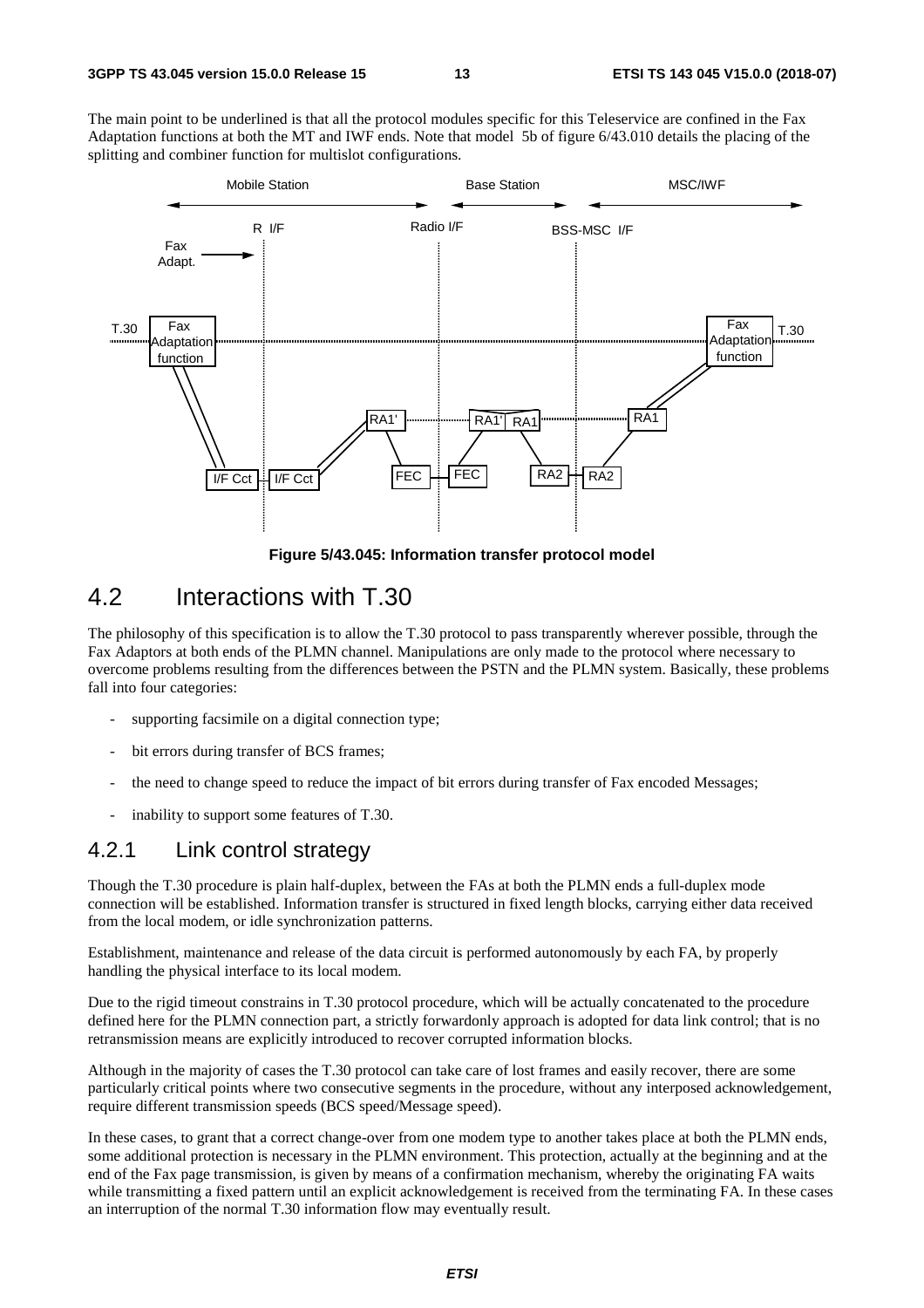The main point to be underlined is that all the protocol modules specific for this Teleservice are confined in the Fax Adaptation functions at both the MT and IWF ends. Note that model 5b of figure 6/43.010 details the placing of the splitting and combiner function for multislot configurations.



**Figure 5/43.045: Information transfer protocol model** 

### 4.2 Interactions with T.30

The philosophy of this specification is to allow the T.30 protocol to pass transparently wherever possible, through the Fax Adaptors at both ends of the PLMN channel. Manipulations are only made to the protocol where necessary to overcome problems resulting from the differences between the PSTN and the PLMN system. Basically, these problems fall into four categories:

- supporting facsimile on a digital connection type;
- bit errors during transfer of BCS frames;
- the need to change speed to reduce the impact of bit errors during transfer of Fax encoded Messages;
- inability to support some features of T.30.

#### 4.2.1 Link control strategy

Though the T.30 procedure is plain half-duplex, between the FAs at both the PLMN ends a full-duplex mode connection will be established. Information transfer is structured in fixed length blocks, carrying either data received from the local modem, or idle synchronization patterns.

Establishment, maintenance and release of the data circuit is performed autonomously by each FA, by properly handling the physical interface to its local modem.

Due to the rigid timeout constrains in T.30 protocol procedure, which will be actually concatenated to the procedure defined here for the PLMN connection part, a strictly forwardonly approach is adopted for data link control; that is no retransmission means are explicitly introduced to recover corrupted information blocks.

Although in the majority of cases the T.30 protocol can take care of lost frames and easily recover, there are some particularly critical points where two consecutive segments in the procedure, without any interposed acknowledgement, require different transmission speeds (BCS speed/Message speed).

In these cases, to grant that a correct change-over from one modem type to another takes place at both the PLMN ends, some additional protection is necessary in the PLMN environment. This protection, actually at the beginning and at the end of the Fax page transmission, is given by means of a confirmation mechanism, whereby the originating FA waits while transmitting a fixed pattern until an explicit acknowledgement is received from the terminating FA. In these cases an interruption of the normal T.30 information flow may eventually result.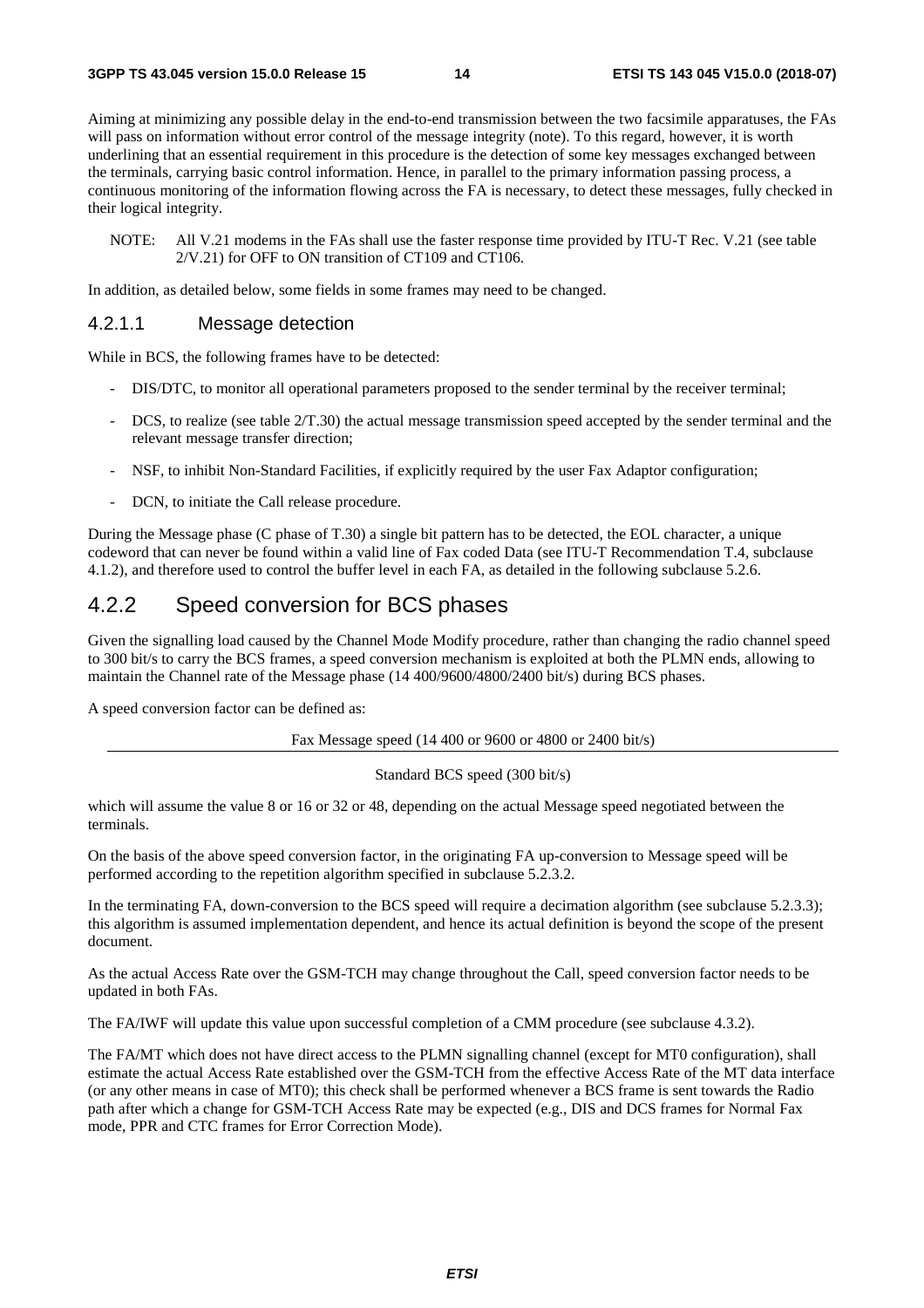Aiming at minimizing any possible delay in the end-to-end transmission between the two facsimile apparatuses, the FAs will pass on information without error control of the message integrity (note). To this regard, however, it is worth underlining that an essential requirement in this procedure is the detection of some key messages exchanged between the terminals, carrying basic control information. Hence, in parallel to the primary information passing process, a continuous monitoring of the information flowing across the FA is necessary, to detect these messages, fully checked in their logical integrity.

NOTE: All V.21 modems in the FAs shall use the faster response time provided by ITU-T Rec. V.21 (see table 2/V.21) for OFF to ON transition of CT109 and CT106.

In addition, as detailed below, some fields in some frames may need to be changed.

#### 4.2.1.1 Message detection

While in BCS, the following frames have to be detected:

- DIS/DTC, to monitor all operational parameters proposed to the sender terminal by the receiver terminal;
- DCS, to realize (see table 2/T.30) the actual message transmission speed accepted by the sender terminal and the relevant message transfer direction;
- NSF, to inhibit Non-Standard Facilities, if explicitly required by the user Fax Adaptor configuration;
- DCN, to initiate the Call release procedure.

During the Message phase (C phase of T.30) a single bit pattern has to be detected, the EOL character, a unique codeword that can never be found within a valid line of Fax coded Data (see ITU-T Recommendation T.4, subclause 4.1.2), and therefore used to control the buffer level in each FA, as detailed in the following subclause 5.2.6.

### 4.2.2 Speed conversion for BCS phases

Given the signalling load caused by the Channel Mode Modify procedure, rather than changing the radio channel speed to 300 bit/s to carry the BCS frames, a speed conversion mechanism is exploited at both the PLMN ends, allowing to maintain the Channel rate of the Message phase (14 400/9600/4800/2400 bit/s) during BCS phases.

A speed conversion factor can be defined as:

Fax Message speed (14 400 or 9600 or 4800 or 2400 bit/s)

#### Standard BCS speed (300 bit/s)

which will assume the value 8 or 16 or 32 or 48, depending on the actual Message speed negotiated between the terminals.

On the basis of the above speed conversion factor, in the originating FA up-conversion to Message speed will be performed according to the repetition algorithm specified in subclause 5.2.3.2.

In the terminating FA, down-conversion to the BCS speed will require a decimation algorithm (see subclause 5.2.3.3); this algorithm is assumed implementation dependent, and hence its actual definition is beyond the scope of the present document.

As the actual Access Rate over the GSM-TCH may change throughout the Call, speed conversion factor needs to be updated in both FAs.

The FA/IWF will update this value upon successful completion of a CMM procedure (see subclause 4.3.2).

The FA/MT which does not have direct access to the PLMN signalling channel (except for MT0 configuration), shall estimate the actual Access Rate established over the GSM-TCH from the effective Access Rate of the MT data interface (or any other means in case of MT0); this check shall be performed whenever a BCS frame is sent towards the Radio path after which a change for GSM-TCH Access Rate may be expected (e.g., DIS and DCS frames for Normal Fax mode, PPR and CTC frames for Error Correction Mode).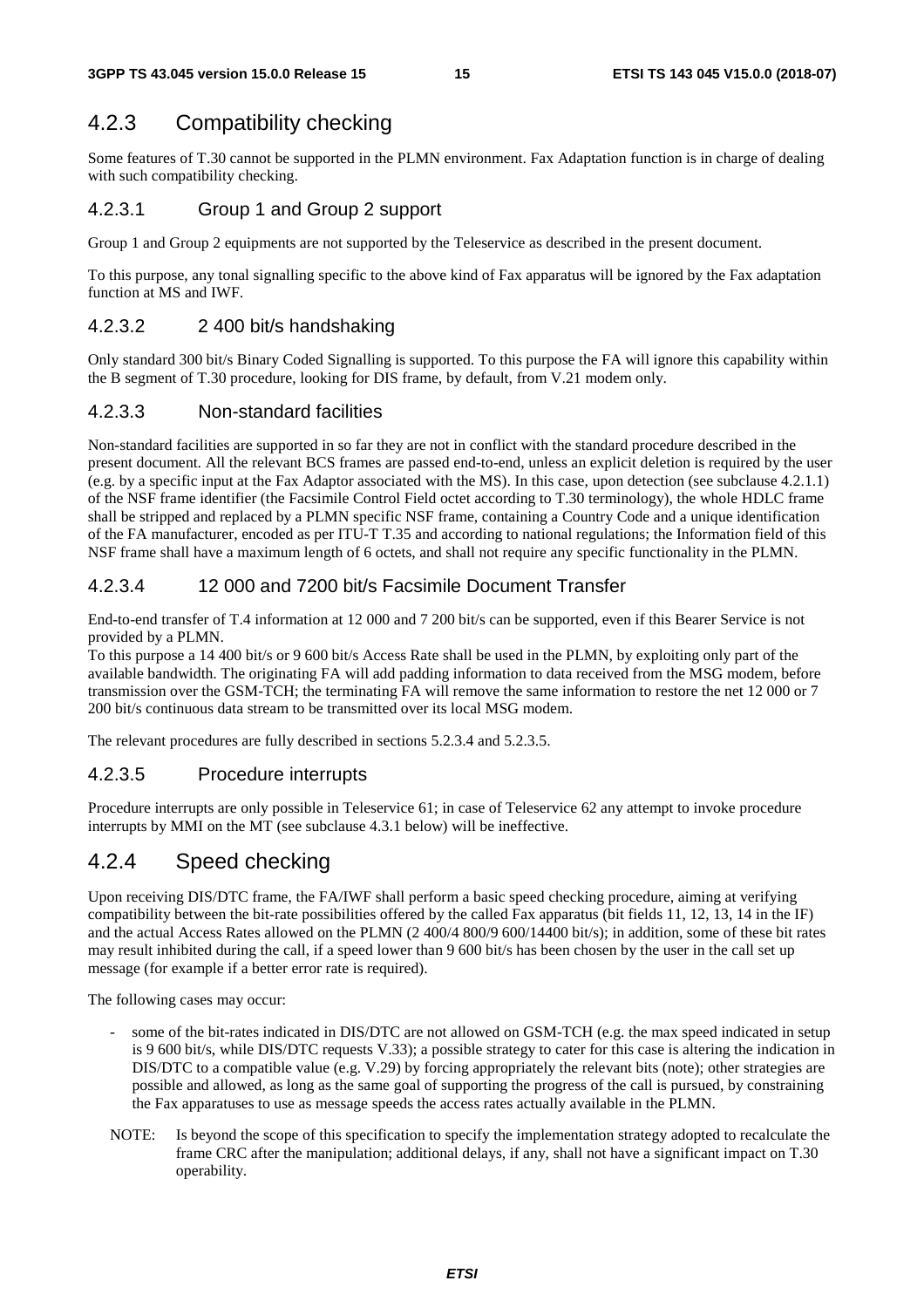### 4.2.3 Compatibility checking

Some features of T.30 cannot be supported in the PLMN environment. Fax Adaptation function is in charge of dealing with such compatibility checking.

#### 4.2.3.1 Group 1 and Group 2 support

Group 1 and Group 2 equipments are not supported by the Teleservice as described in the present document.

To this purpose, any tonal signalling specific to the above kind of Fax apparatus will be ignored by the Fax adaptation function at MS and IWF.

#### 4.2.3.2 2 400 bit/s handshaking

Only standard 300 bit/s Binary Coded Signalling is supported. To this purpose the FA will ignore this capability within the B segment of T.30 procedure, looking for DIS frame, by default, from V.21 modem only.

#### 4.2.3.3 Non-standard facilities

Non-standard facilities are supported in so far they are not in conflict with the standard procedure described in the present document. All the relevant BCS frames are passed end-to-end, unless an explicit deletion is required by the user (e.g. by a specific input at the Fax Adaptor associated with the MS). In this case, upon detection (see subclause 4.2.1.1) of the NSF frame identifier (the Facsimile Control Field octet according to T.30 terminology), the whole HDLC frame shall be stripped and replaced by a PLMN specific NSF frame, containing a Country Code and a unique identification of the FA manufacturer, encoded as per ITU-T T.35 and according to national regulations; the Information field of this NSF frame shall have a maximum length of 6 octets, and shall not require any specific functionality in the PLMN.

#### 4.2.3.4 12 000 and 7200 bit/s Facsimile Document Transfer

End-to-end transfer of T.4 information at 12 000 and 7 200 bit/s can be supported, even if this Bearer Service is not provided by a PLMN.

To this purpose a 14 400 bit/s or 9 600 bit/s Access Rate shall be used in the PLMN, by exploiting only part of the available bandwidth. The originating FA will add padding information to data received from the MSG modem, before transmission over the GSM-TCH; the terminating FA will remove the same information to restore the net 12 000 or 7 200 bit/s continuous data stream to be transmitted over its local MSG modem.

The relevant procedures are fully described in sections 5.2.3.4 and 5.2.3.5.

#### 4.2.3.5 Procedure interrupts

Procedure interrupts are only possible in Teleservice 61; in case of Teleservice 62 any attempt to invoke procedure interrupts by MMI on the MT (see subclause 4.3.1 below) will be ineffective.

### 4.2.4 Speed checking

Upon receiving DIS/DTC frame, the FA/IWF shall perform a basic speed checking procedure, aiming at verifying compatibility between the bit-rate possibilities offered by the called Fax apparatus (bit fields 11, 12, 13, 14 in the IF) and the actual Access Rates allowed on the PLMN (2 400/4 800/9 600/14400 bit/s); in addition, some of these bit rates may result inhibited during the call, if a speed lower than 9 600 bit/s has been chosen by the user in the call set up message (for example if a better error rate is required).

The following cases may occur:

- some of the bit-rates indicated in DIS/DTC are not allowed on GSM-TCH (e.g. the max speed indicated in setup is 9 600 bit/s, while DIS/DTC requests V.33); a possible strategy to cater for this case is altering the indication in DIS/DTC to a compatible value (e.g. V.29) by forcing appropriately the relevant bits (note); other strategies are possible and allowed, as long as the same goal of supporting the progress of the call is pursued, by constraining the Fax apparatuses to use as message speeds the access rates actually available in the PLMN.
- NOTE: Is beyond the scope of this specification to specify the implementation strategy adopted to recalculate the frame CRC after the manipulation; additional delays, if any, shall not have a significant impact on T.30 operability.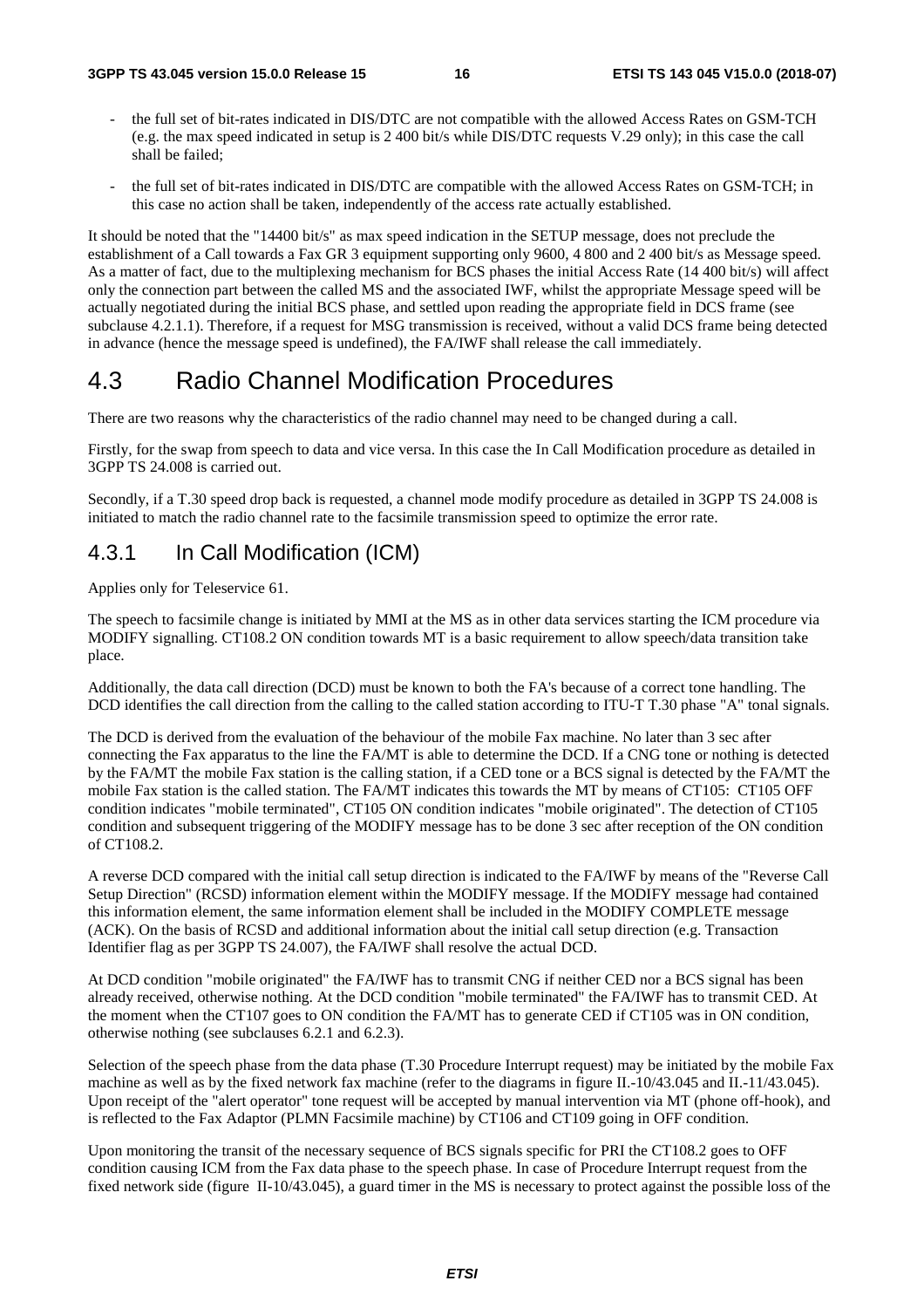- the full set of bit-rates indicated in DIS/DTC are not compatible with the allowed Access Rates on GSM-TCH (e.g. the max speed indicated in setup is 2 400 bit/s while DIS/DTC requests V.29 only); in this case the call shall be failed;
- the full set of bit-rates indicated in DIS/DTC are compatible with the allowed Access Rates on GSM-TCH; in this case no action shall be taken, independently of the access rate actually established.

It should be noted that the "14400 bit/s" as max speed indication in the SETUP message, does not preclude the establishment of a Call towards a Fax GR 3 equipment supporting only 9600, 4 800 and 2 400 bit/s as Message speed. As a matter of fact, due to the multiplexing mechanism for BCS phases the initial Access Rate (14 400 bit/s) will affect only the connection part between the called MS and the associated IWF, whilst the appropriate Message speed will be actually negotiated during the initial BCS phase, and settled upon reading the appropriate field in DCS frame (see subclause 4.2.1.1). Therefore, if a request for MSG transmission is received, without a valid DCS frame being detected in advance (hence the message speed is undefined), the FA/IWF shall release the call immediately.

### 4.3 Radio Channel Modification Procedures

There are two reasons why the characteristics of the radio channel may need to be changed during a call.

Firstly, for the swap from speech to data and vice versa. In this case the In Call Modification procedure as detailed in 3GPP TS 24.008 is carried out.

Secondly, if a T.30 speed drop back is requested, a channel mode modify procedure as detailed in 3GPP TS 24.008 is initiated to match the radio channel rate to the facsimile transmission speed to optimize the error rate.

### 4.3.1 In Call Modification (ICM)

Applies only for Teleservice 61.

The speech to facsimile change is initiated by MMI at the MS as in other data services starting the ICM procedure via MODIFY signalling. CT108.2 ON condition towards MT is a basic requirement to allow speech/data transition take place.

Additionally, the data call direction (DCD) must be known to both the FA's because of a correct tone handling. The DCD identifies the call direction from the calling to the called station according to ITU-T T.30 phase "A" tonal signals.

The DCD is derived from the evaluation of the behaviour of the mobile Fax machine. No later than 3 sec after connecting the Fax apparatus to the line the FA/MT is able to determine the DCD. If a CNG tone or nothing is detected by the FA/MT the mobile Fax station is the calling station, if a CED tone or a BCS signal is detected by the FA/MT the mobile Fax station is the called station. The FA/MT indicates this towards the MT by means of CT105: CT105 OFF condition indicates "mobile terminated", CT105 ON condition indicates "mobile originated". The detection of CT105 condition and subsequent triggering of the MODIFY message has to be done 3 sec after reception of the ON condition of CT108.2.

A reverse DCD compared with the initial call setup direction is indicated to the FA/IWF by means of the "Reverse Call Setup Direction" (RCSD) information element within the MODIFY message. If the MODIFY message had contained this information element, the same information element shall be included in the MODIFY COMPLETE message (ACK). On the basis of RCSD and additional information about the initial call setup direction (e.g. Transaction Identifier flag as per 3GPP TS 24.007), the FA/IWF shall resolve the actual DCD.

At DCD condition "mobile originated" the FA/IWF has to transmit CNG if neither CED nor a BCS signal has been already received, otherwise nothing. At the DCD condition "mobile terminated" the FA/IWF has to transmit CED. At the moment when the CT107 goes to ON condition the FA/MT has to generate CED if CT105 was in ON condition, otherwise nothing (see subclauses 6.2.1 and 6.2.3).

Selection of the speech phase from the data phase (T.30 Procedure Interrupt request) may be initiated by the mobile Fax machine as well as by the fixed network fax machine (refer to the diagrams in figure II.-10/43.045 and II.-11/43.045). Upon receipt of the "alert operator" tone request will be accepted by manual intervention via MT (phone off-hook), and is reflected to the Fax Adaptor (PLMN Facsimile machine) by CT106 and CT109 going in OFF condition.

Upon monitoring the transit of the necessary sequence of BCS signals specific for PRI the CT108.2 goes to OFF condition causing ICM from the Fax data phase to the speech phase. In case of Procedure Interrupt request from the fixed network side (figure II-10/43.045), a guard timer in the MS is necessary to protect against the possible loss of the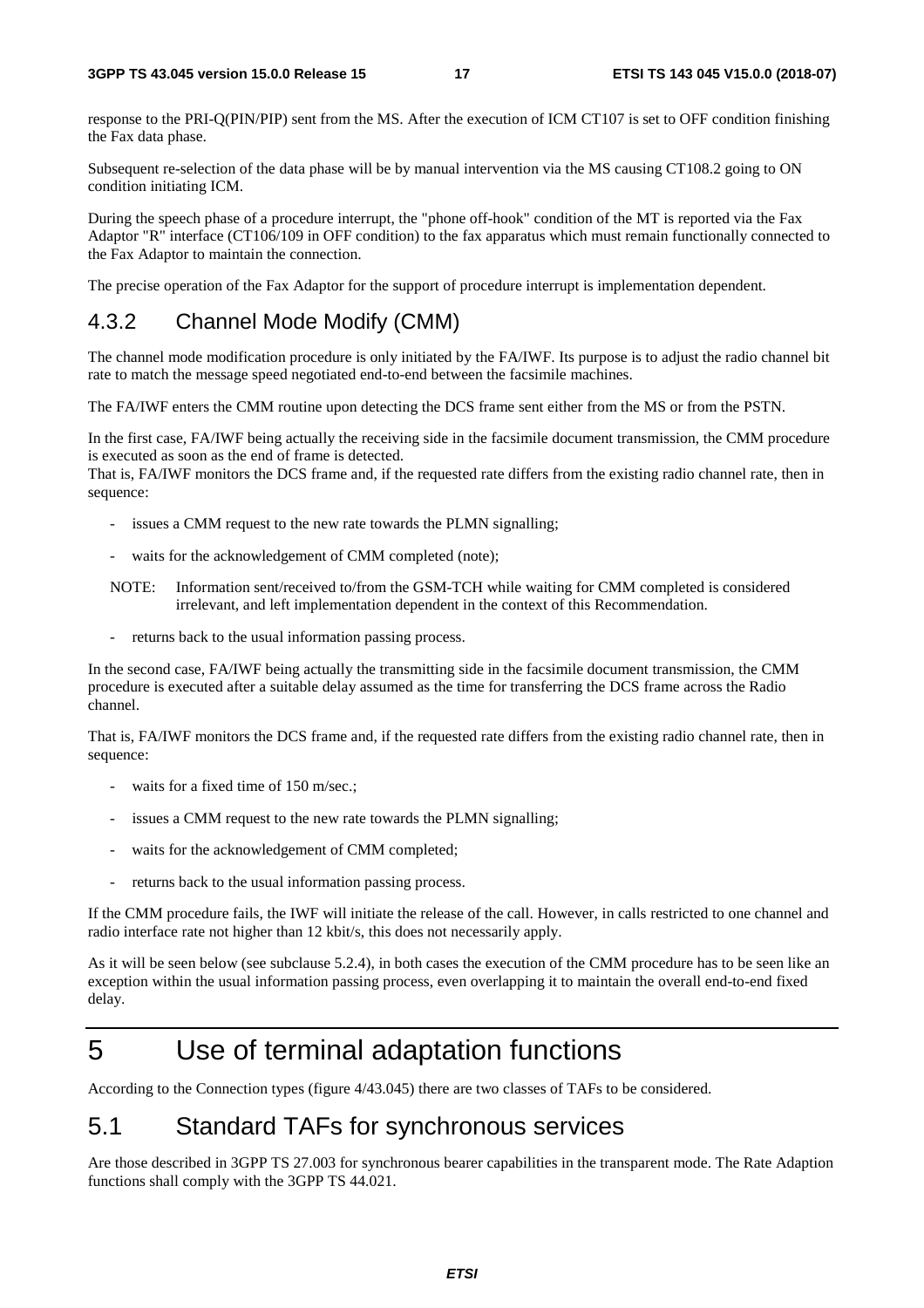response to the PRI-Q(PIN/PIP) sent from the MS. After the execution of ICM CT107 is set to OFF condition finishing the Fax data phase.

Subsequent re-selection of the data phase will be by manual intervention via the MS causing CT108.2 going to ON condition initiating ICM.

During the speech phase of a procedure interrupt, the "phone off-hook" condition of the MT is reported via the Fax Adaptor "R" interface (CT106/109 in OFF condition) to the fax apparatus which must remain functionally connected to the Fax Adaptor to maintain the connection.

The precise operation of the Fax Adaptor for the support of procedure interrupt is implementation dependent.

#### 4.3.2 Channel Mode Modify (CMM)

The channel mode modification procedure is only initiated by the FA/IWF. Its purpose is to adjust the radio channel bit rate to match the message speed negotiated end-to-end between the facsimile machines.

The FA/IWF enters the CMM routine upon detecting the DCS frame sent either from the MS or from the PSTN.

In the first case, FA/IWF being actually the receiving side in the facsimile document transmission, the CMM procedure is executed as soon as the end of frame is detected.

That is, FA/IWF monitors the DCS frame and, if the requested rate differs from the existing radio channel rate, then in sequence:

- issues a CMM request to the new rate towards the PLMN signalling;
- waits for the acknowledgement of CMM completed (note);
- NOTE: Information sent/received to/from the GSM-TCH while waiting for CMM completed is considered irrelevant, and left implementation dependent in the context of this Recommendation.
- returns back to the usual information passing process.

In the second case, FA/IWF being actually the transmitting side in the facsimile document transmission, the CMM procedure is executed after a suitable delay assumed as the time for transferring the DCS frame across the Radio channel.

That is, FA/IWF monitors the DCS frame and, if the requested rate differs from the existing radio channel rate, then in sequence:

- waits for a fixed time of 150 m/sec.;
- issues a CMM request to the new rate towards the PLMN signalling;
- waits for the acknowledgement of CMM completed;
- returns back to the usual information passing process.

If the CMM procedure fails, the IWF will initiate the release of the call. However, in calls restricted to one channel and radio interface rate not higher than 12 kbit/s, this does not necessarily apply.

As it will be seen below (see subclause 5.2.4), in both cases the execution of the CMM procedure has to be seen like an exception within the usual information passing process, even overlapping it to maintain the overall end-to-end fixed delay.

## 5 Use of terminal adaptation functions

According to the Connection types (figure 4/43.045) there are two classes of TAFs to be considered.

### 5.1 Standard TAFs for synchronous services

Are those described in 3GPP TS 27.003 for synchronous bearer capabilities in the transparent mode. The Rate Adaption functions shall comply with the 3GPP TS 44.021.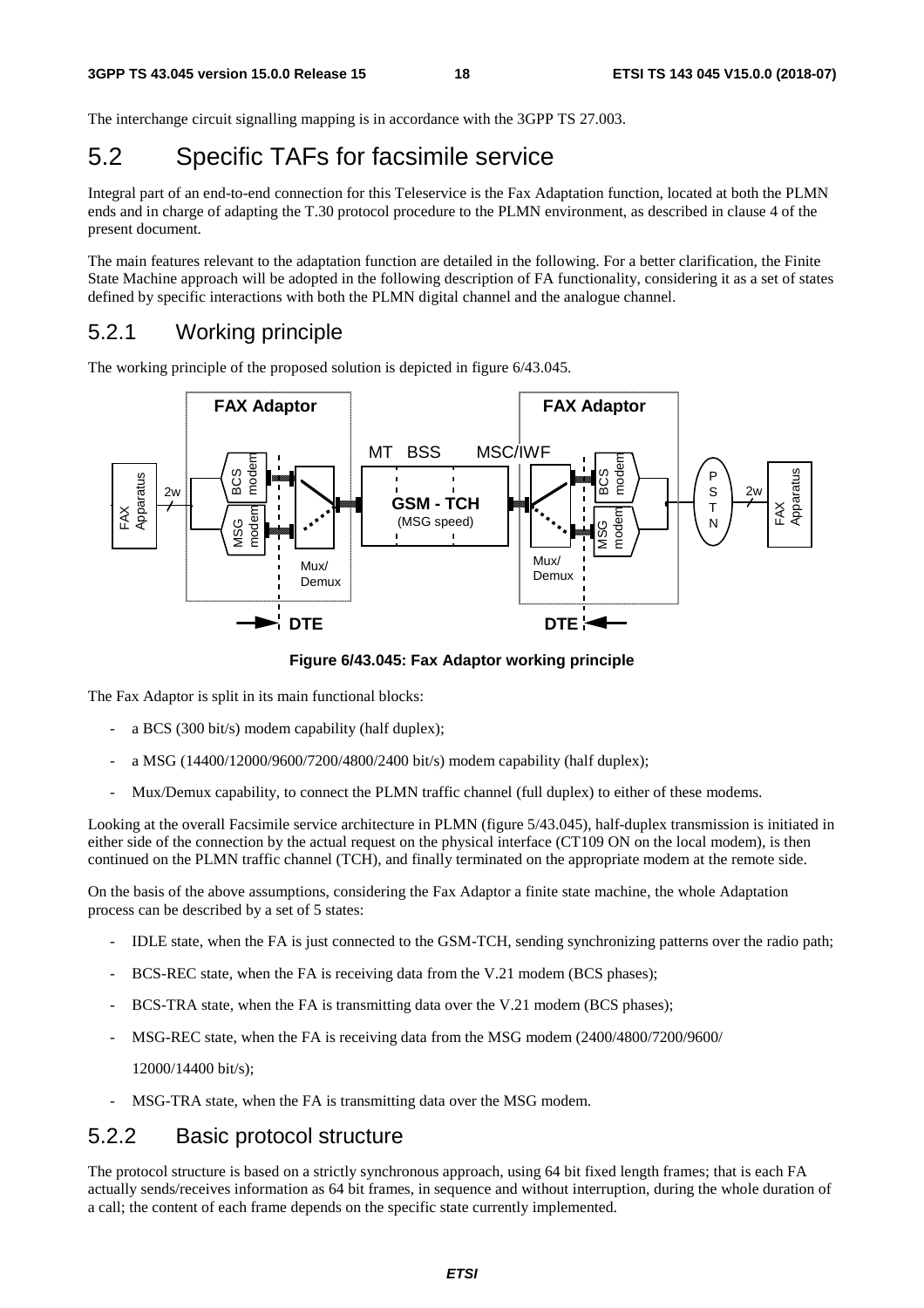The interchange circuit signalling mapping is in accordance with the 3GPP TS 27.003.

## 5.2 Specific TAFs for facsimile service

Integral part of an end-to-end connection for this Teleservice is the Fax Adaptation function, located at both the PLMN ends and in charge of adapting the T.30 protocol procedure to the PLMN environment, as described in clause 4 of the present document.

The main features relevant to the adaptation function are detailed in the following. For a better clarification, the Finite State Machine approach will be adopted in the following description of FA functionality, considering it as a set of states defined by specific interactions with both the PLMN digital channel and the analogue channel.

#### 5.2.1 Working principle

The working principle of the proposed solution is depicted in figure 6/43.045.



**Figure 6/43.045: Fax Adaptor working principle** 

The Fax Adaptor is split in its main functional blocks:

- a BCS (300 bit/s) modem capability (half duplex);
- a MSG (14400/12000/9600/7200/4800/2400 bit/s) modem capability (half duplex);
- Mux/Demux capability, to connect the PLMN traffic channel (full duplex) to either of these modems.

Looking at the overall Facsimile service architecture in PLMN (figure 5/43.045), half-duplex transmission is initiated in either side of the connection by the actual request on the physical interface (CT109 ON on the local modem), is then continued on the PLMN traffic channel (TCH), and finally terminated on the appropriate modem at the remote side.

On the basis of the above assumptions, considering the Fax Adaptor a finite state machine, the whole Adaptation process can be described by a set of 5 states:

- IDLE state, when the FA is just connected to the GSM-TCH, sending synchronizing patterns over the radio path;
- BCS-REC state, when the FA is receiving data from the V.21 modem (BCS phases);
- BCS-TRA state, when the FA is transmitting data over the V.21 modem (BCS phases);
- MSG-REC state, when the FA is receiving data from the MSG modem  $(2400/4800/7200/9600/$

12000/14400 bit/s);

MSG-TRA state, when the FA is transmitting data over the MSG modem.

#### 5.2.2 Basic protocol structure

The protocol structure is based on a strictly synchronous approach, using 64 bit fixed length frames; that is each FA actually sends/receives information as 64 bit frames, in sequence and without interruption, during the whole duration of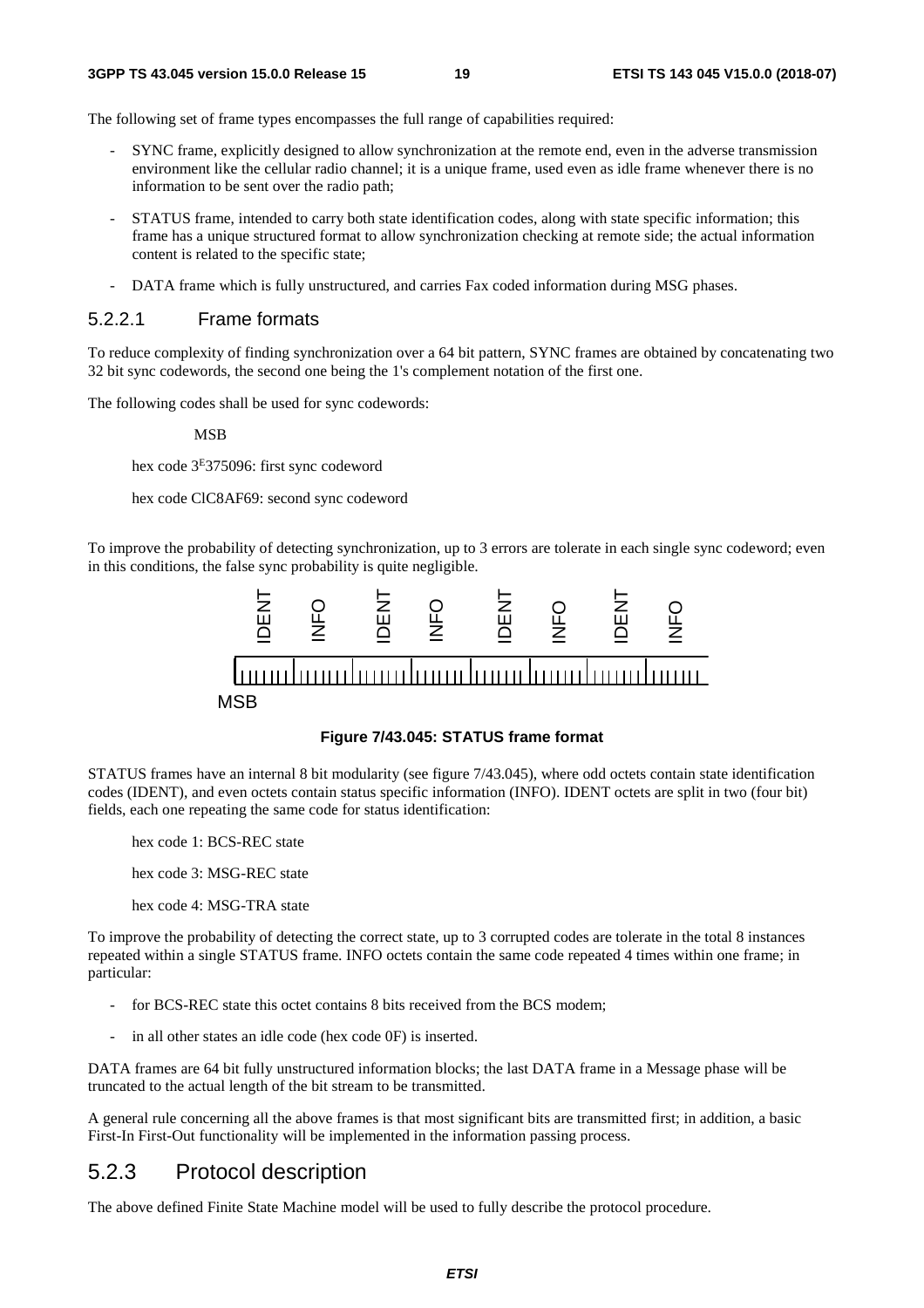The following set of frame types encompasses the full range of capabilities required:

- SYNC frame, explicitly designed to allow synchronization at the remote end, even in the adverse transmission environment like the cellular radio channel; it is a unique frame, used even as idle frame whenever there is no information to be sent over the radio path;
- STATUS frame, intended to carry both state identification codes, along with state specific information; this frame has a unique structured format to allow synchronization checking at remote side; the actual information content is related to the specific state;
- DATA frame which is fully unstructured, and carries Fax coded information during MSG phases.

#### 5.2.2.1 Frame formats

To reduce complexity of finding synchronization over a 64 bit pattern, SYNC frames are obtained by concatenating two 32 bit sync codewords, the second one being the 1's complement notation of the first one.

The following codes shall be used for sync codewords:

MSB

hex code 3E375096: first sync codeword

hex code ClC8AF69: second sync codeword

To improve the probability of detecting synchronization, up to 3 errors are tolerate in each single sync codeword; even in this conditions, the false sync probability is quite negligible.



**Figure 7/43.045: STATUS frame format** 

STATUS frames have an internal 8 bit modularity (see figure 7/43.045), where odd octets contain state identification codes (IDENT), and even octets contain status specific information (INFO). IDENT octets are split in two (four bit) fields, each one repeating the same code for status identification:

hex code 1: BCS-REC state

hex code 3: MSG-REC state

hex code 4: MSG-TRA state

To improve the probability of detecting the correct state, up to 3 corrupted codes are tolerate in the total 8 instances repeated within a single STATUS frame. INFO octets contain the same code repeated 4 times within one frame; in particular:

- for BCS-REC state this octet contains 8 bits received from the BCS modem;
- in all other states an idle code (hex code 0F) is inserted.

DATA frames are 64 bit fully unstructured information blocks; the last DATA frame in a Message phase will be truncated to the actual length of the bit stream to be transmitted.

A general rule concerning all the above frames is that most significant bits are transmitted first; in addition, a basic First-In First-Out functionality will be implemented in the information passing process.

#### 5.2.3 Protocol description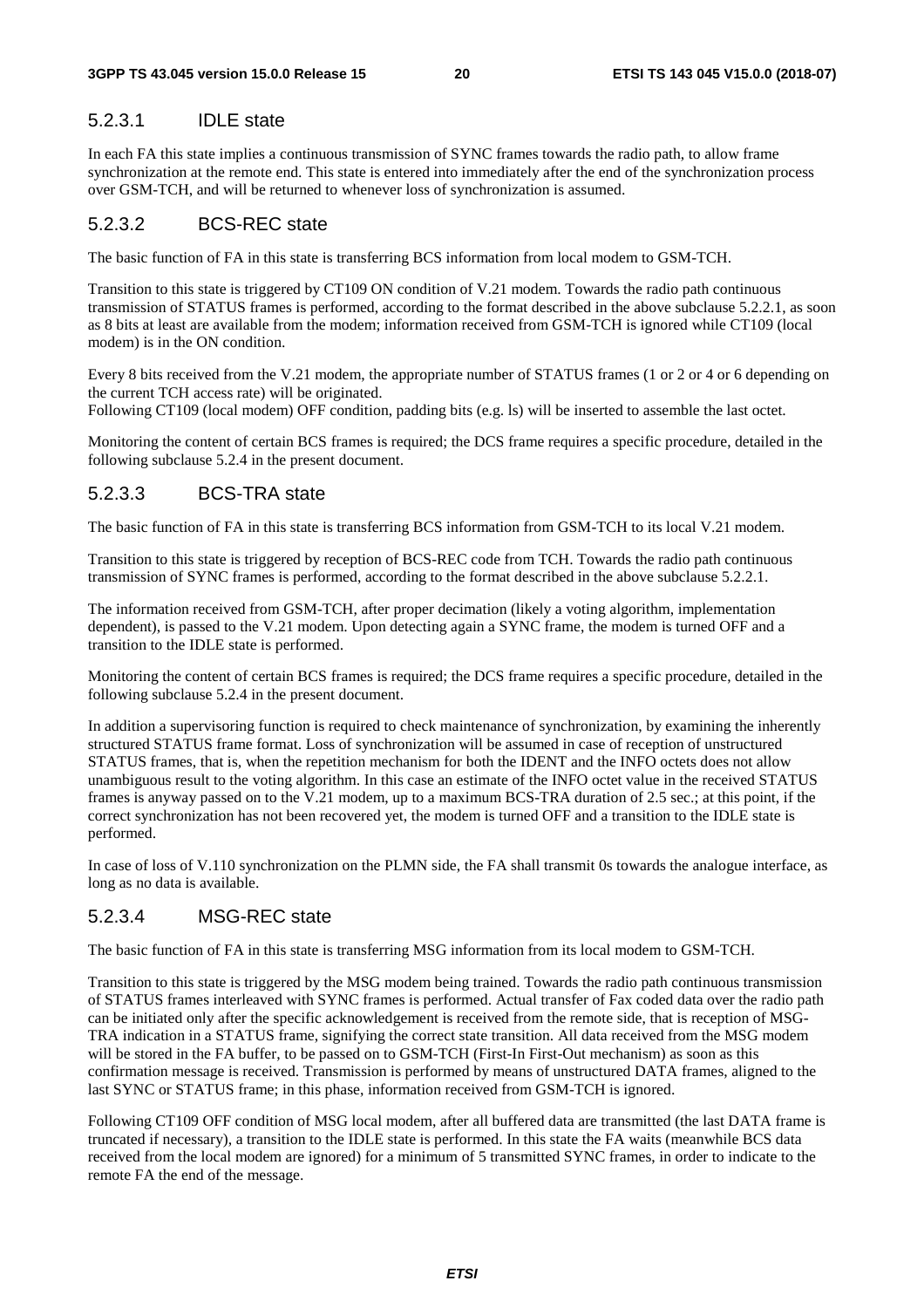#### 5.2.3.1 IDLE state

In each FA this state implies a continuous transmission of SYNC frames towards the radio path, to allow frame synchronization at the remote end. This state is entered into immediately after the end of the synchronization process over GSM-TCH, and will be returned to whenever loss of synchronization is assumed.

#### 5.2.3.2 BCS-REC state

The basic function of FA in this state is transferring BCS information from local modem to GSM-TCH.

Transition to this state is triggered by CT109 ON condition of V.21 modem. Towards the radio path continuous transmission of STATUS frames is performed, according to the format described in the above subclause 5.2.2.1, as soon as 8 bits at least are available from the modem; information received from GSM-TCH is ignored while CT109 (local modem) is in the ON condition.

Every 8 bits received from the V.21 modem, the appropriate number of STATUS frames (1 or 2 or 4 or 6 depending on the current TCH access rate) will be originated.

Following CT109 (local modem) OFF condition, padding bits (e.g. ls) will be inserted to assemble the last octet.

Monitoring the content of certain BCS frames is required; the DCS frame requires a specific procedure, detailed in the following subclause 5.2.4 in the present document.

#### 5.2.3.3 BCS-TRA state

The basic function of FA in this state is transferring BCS information from GSM-TCH to its local V.21 modem.

Transition to this state is triggered by reception of BCS-REC code from TCH. Towards the radio path continuous transmission of SYNC frames is performed, according to the format described in the above subclause 5.2.2.1.

The information received from GSM-TCH, after proper decimation (likely a voting algorithm, implementation dependent), is passed to the V.21 modem. Upon detecting again a SYNC frame, the modem is turned OFF and a transition to the IDLE state is performed.

Monitoring the content of certain BCS frames is required; the DCS frame requires a specific procedure, detailed in the following subclause 5.2.4 in the present document.

In addition a supervisoring function is required to check maintenance of synchronization, by examining the inherently structured STATUS frame format. Loss of synchronization will be assumed in case of reception of unstructured STATUS frames, that is, when the repetition mechanism for both the IDENT and the INFO octets does not allow unambiguous result to the voting algorithm. In this case an estimate of the INFO octet value in the received STATUS frames is anyway passed on to the V.21 modem, up to a maximum BCS-TRA duration of 2.5 sec.; at this point, if the correct synchronization has not been recovered yet, the modem is turned OFF and a transition to the IDLE state is performed.

In case of loss of V.110 synchronization on the PLMN side, the FA shall transmit 0s towards the analogue interface, as long as no data is available.

#### 5.2.3.4 MSG-REC state

The basic function of FA in this state is transferring MSG information from its local modem to GSM-TCH.

Transition to this state is triggered by the MSG modem being trained. Towards the radio path continuous transmission of STATUS frames interleaved with SYNC frames is performed. Actual transfer of Fax coded data over the radio path can be initiated only after the specific acknowledgement is received from the remote side, that is reception of MSG-TRA indication in a STATUS frame, signifying the correct state transition. All data received from the MSG modem will be stored in the FA buffer, to be passed on to GSM-TCH (First-In First-Out mechanism) as soon as this confirmation message is received. Transmission is performed by means of unstructured DATA frames, aligned to the last SYNC or STATUS frame; in this phase, information received from GSM-TCH is ignored.

Following CT109 OFF condition of MSG local modem, after all buffered data are transmitted (the last DATA frame is truncated if necessary), a transition to the IDLE state is performed. In this state the FA waits (meanwhile BCS data received from the local modem are ignored) for a minimum of 5 transmitted SYNC frames, in order to indicate to the remote FA the end of the message.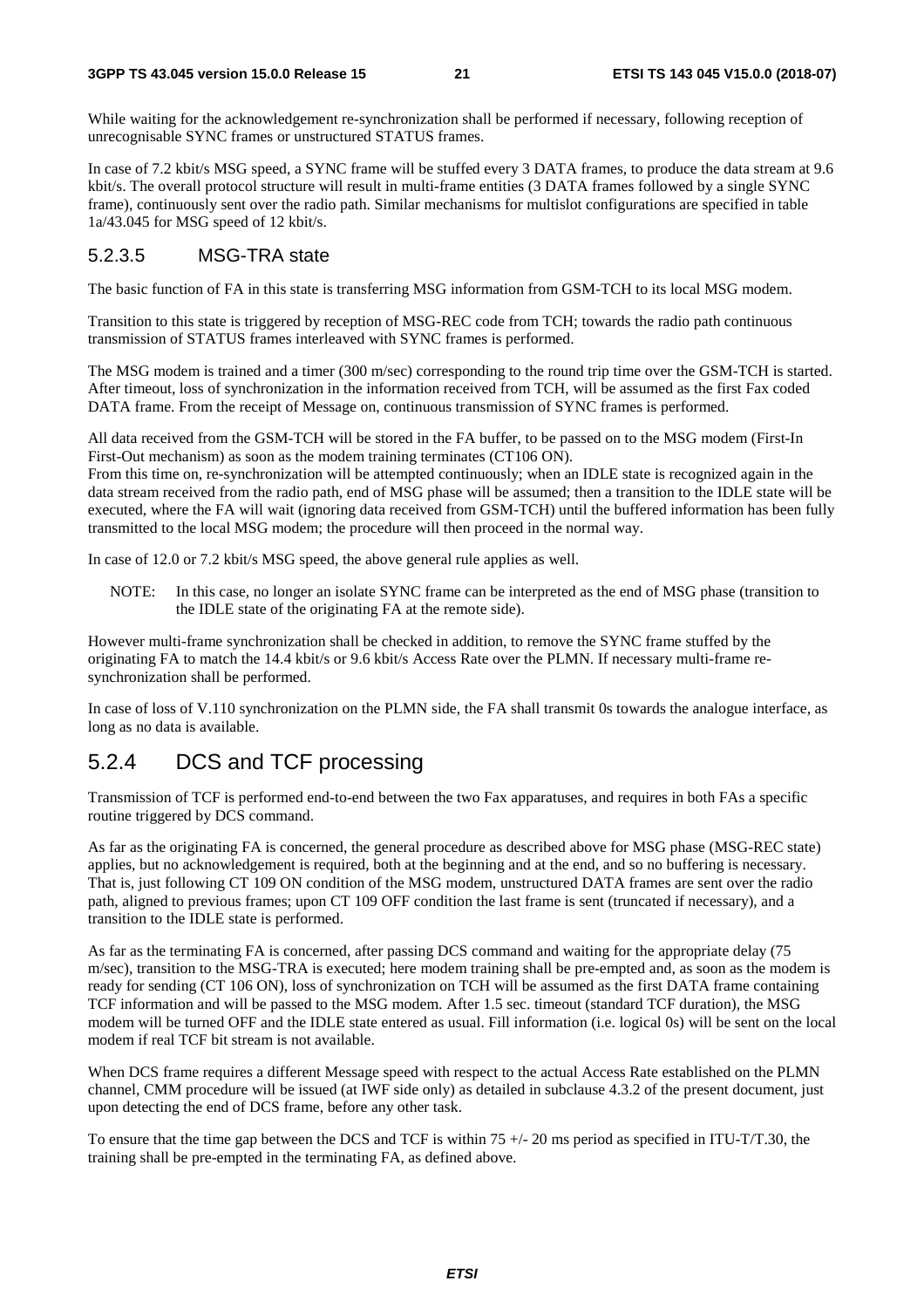While waiting for the acknowledgement re-synchronization shall be performed if necessary, following reception of unrecognisable SYNC frames or unstructured STATUS frames.

In case of 7.2 kbit/s MSG speed, a SYNC frame will be stuffed every 3 DATA frames, to produce the data stream at 9.6 kbit/s. The overall protocol structure will result in multi-frame entities (3 DATA frames followed by a single SYNC frame), continuously sent over the radio path. Similar mechanisms for multislot configurations are specified in table 1a/43.045 for MSG speed of 12 kbit/s.

#### 5.2.3.5 MSG-TRA state

The basic function of FA in this state is transferring MSG information from GSM-TCH to its local MSG modem.

Transition to this state is triggered by reception of MSG-REC code from TCH; towards the radio path continuous transmission of STATUS frames interleaved with SYNC frames is performed.

The MSG modem is trained and a timer (300 m/sec) corresponding to the round trip time over the GSM-TCH is started. After timeout, loss of synchronization in the information received from TCH, will be assumed as the first Fax coded DATA frame. From the receipt of Message on, continuous transmission of SYNC frames is performed.

All data received from the GSM-TCH will be stored in the FA buffer, to be passed on to the MSG modem (First-In First-Out mechanism) as soon as the modem training terminates (CT106 ON).

From this time on, re-synchronization will be attempted continuously; when an IDLE state is recognized again in the data stream received from the radio path, end of MSG phase will be assumed; then a transition to the IDLE state will be executed, where the FA will wait (ignoring data received from GSM-TCH) until the buffered information has been fully transmitted to the local MSG modem; the procedure will then proceed in the normal way.

In case of 12.0 or 7.2 kbit/s MSG speed, the above general rule applies as well.

NOTE: In this case, no longer an isolate SYNC frame can be interpreted as the end of MSG phase (transition to the IDLE state of the originating FA at the remote side).

However multi-frame synchronization shall be checked in addition, to remove the SYNC frame stuffed by the originating FA to match the 14.4 kbit/s or 9.6 kbit/s Access Rate over the PLMN. If necessary multi-frame resynchronization shall be performed.

In case of loss of V.110 synchronization on the PLMN side, the FA shall transmit 0s towards the analogue interface, as long as no data is available.

#### 5.2.4 DCS and TCF processing

Transmission of TCF is performed end-to-end between the two Fax apparatuses, and requires in both FAs a specific routine triggered by DCS command.

As far as the originating FA is concerned, the general procedure as described above for MSG phase (MSG-REC state) applies, but no acknowledgement is required, both at the beginning and at the end, and so no buffering is necessary. That is, just following CT 109 ON condition of the MSG modem, unstructured DATA frames are sent over the radio path, aligned to previous frames; upon CT 109 OFF condition the last frame is sent (truncated if necessary), and a transition to the IDLE state is performed.

As far as the terminating FA is concerned, after passing DCS command and waiting for the appropriate delay (75 m/sec), transition to the MSG-TRA is executed; here modem training shall be pre-empted and, as soon as the modem is ready for sending (CT 106 ON), loss of synchronization on TCH will be assumed as the first DATA frame containing TCF information and will be passed to the MSG modem. After 1.5 sec. timeout (standard TCF duration), the MSG modem will be turned OFF and the IDLE state entered as usual. Fill information (i.e. logical 0s) will be sent on the local modem if real TCF bit stream is not available.

When DCS frame requires a different Message speed with respect to the actual Access Rate established on the PLMN channel, CMM procedure will be issued (at IWF side only) as detailed in subclause 4.3.2 of the present document, just upon detecting the end of DCS frame, before any other task.

To ensure that the time gap between the DCS and TCF is within 75  $+/$ - 20 ms period as specified in ITU-T/T.30, the training shall be pre-empted in the terminating FA, as defined above.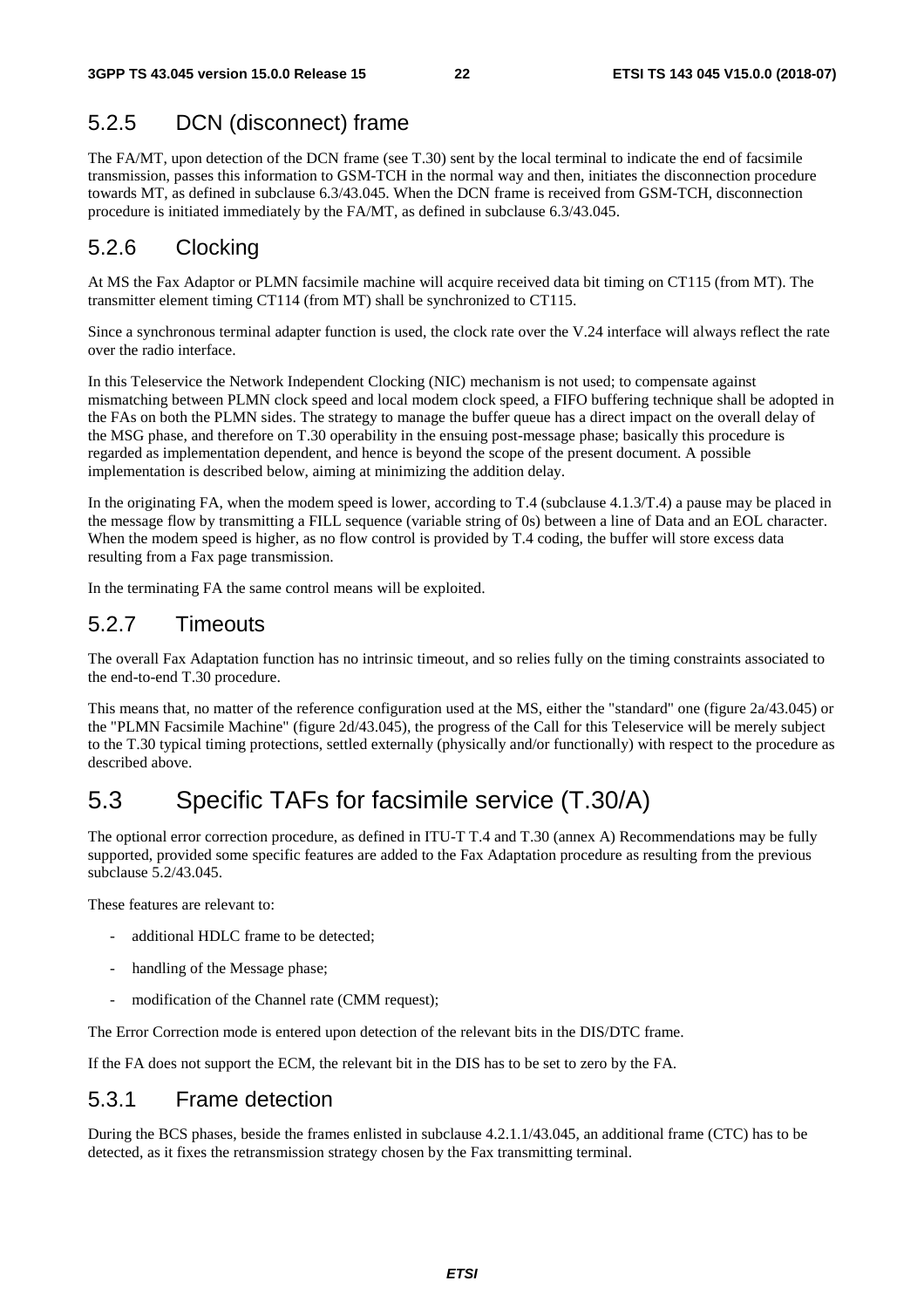### 5.2.5 DCN (disconnect) frame

The FA/MT, upon detection of the DCN frame (see T.30) sent by the local terminal to indicate the end of facsimile transmission, passes this information to GSM-TCH in the normal way and then, initiates the disconnection procedure towards MT, as defined in subclause 6.3/43.045. When the DCN frame is received from GSM-TCH, disconnection procedure is initiated immediately by the FA/MT, as defined in subclause 6.3/43.045.

#### 5.2.6 Clocking

At MS the Fax Adaptor or PLMN facsimile machine will acquire received data bit timing on CT115 (from MT). The transmitter element timing CT114 (from MT) shall be synchronized to CT115.

Since a synchronous terminal adapter function is used, the clock rate over the V.24 interface will always reflect the rate over the radio interface.

In this Teleservice the Network Independent Clocking (NIC) mechanism is not used; to compensate against mismatching between PLMN clock speed and local modem clock speed, a FIFO buffering technique shall be adopted in the FAs on both the PLMN sides. The strategy to manage the buffer queue has a direct impact on the overall delay of the MSG phase, and therefore on T.30 operability in the ensuing post-message phase; basically this procedure is regarded as implementation dependent, and hence is beyond the scope of the present document. A possible implementation is described below, aiming at minimizing the addition delay.

In the originating FA, when the modem speed is lower, according to T.4 (subclause 4.1.3/T.4) a pause may be placed in the message flow by transmitting a FILL sequence (variable string of 0s) between a line of Data and an EOL character. When the modem speed is higher, as no flow control is provided by T.4 coding, the buffer will store excess data resulting from a Fax page transmission.

In the terminating FA the same control means will be exploited.

#### 5.2.7 Timeouts

The overall Fax Adaptation function has no intrinsic timeout, and so relies fully on the timing constraints associated to the end-to-end T.30 procedure.

This means that, no matter of the reference configuration used at the MS, either the "standard" one (figure 2a/43.045) or the "PLMN Facsimile Machine" (figure 2d/43.045), the progress of the Call for this Teleservice will be merely subject to the T.30 typical timing protections, settled externally (physically and/or functionally) with respect to the procedure as described above.

### 5.3 Specific TAFs for facsimile service (T.30/A)

The optional error correction procedure, as defined in ITU-T T.4 and T.30 (annex A) Recommendations may be fully supported, provided some specific features are added to the Fax Adaptation procedure as resulting from the previous subclause 5.2/43.045.

These features are relevant to:

- additional HDLC frame to be detected;
- handling of the Message phase;
- modification of the Channel rate (CMM request);

The Error Correction mode is entered upon detection of the relevant bits in the DIS/DTC frame.

If the FA does not support the ECM, the relevant bit in the DIS has to be set to zero by the FA.

#### 5.3.1 Frame detection

During the BCS phases, beside the frames enlisted in subclause 4.2.1.1/43.045, an additional frame (CTC) has to be detected, as it fixes the retransmission strategy chosen by the Fax transmitting terminal.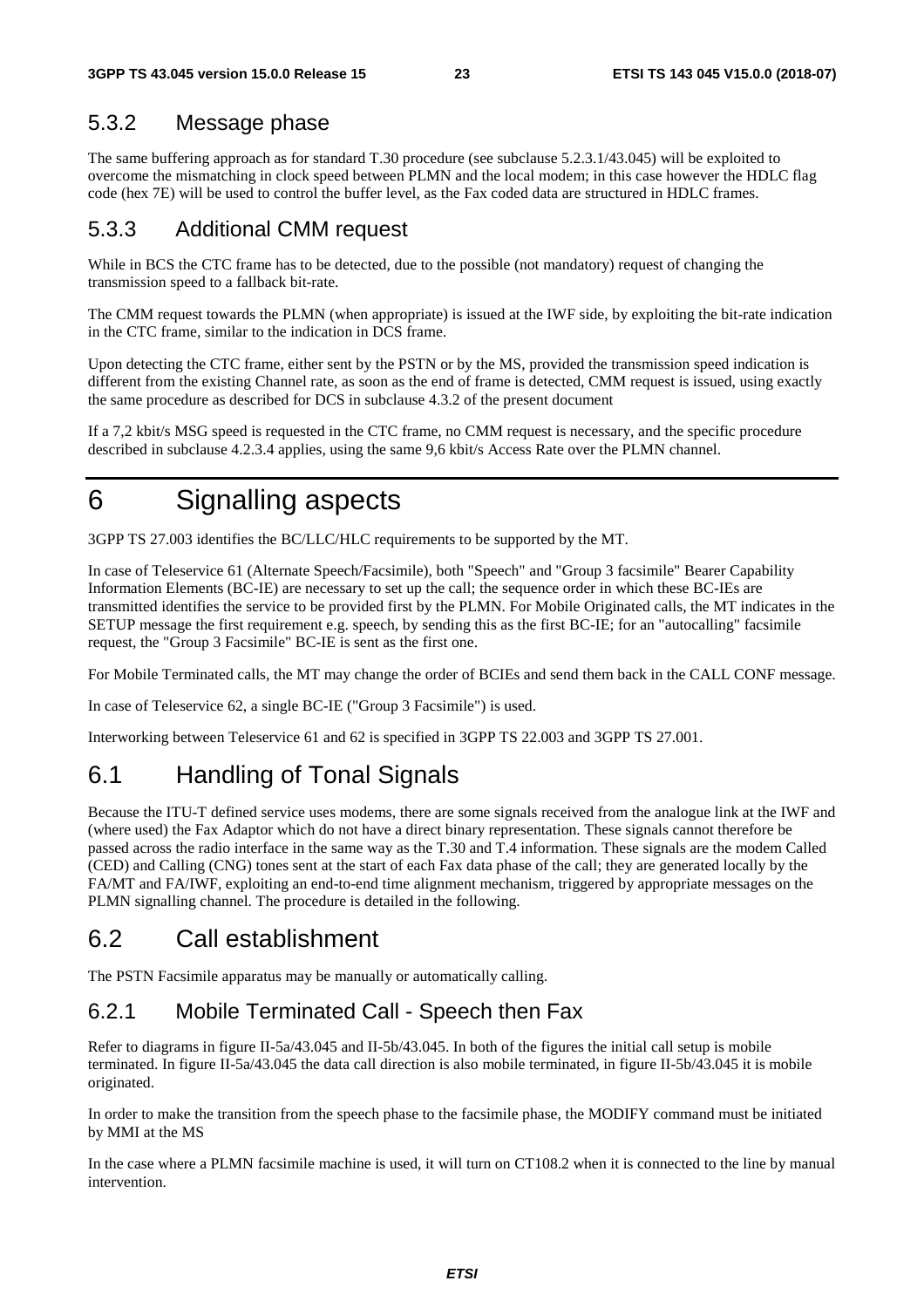### 5.3.2 Message phase

The same buffering approach as for standard T.30 procedure (see subclause 5.2.3.1/43.045) will be exploited to overcome the mismatching in clock speed between PLMN and the local modem; in this case however the HDLC flag code (hex 7E) will be used to control the buffer level, as the Fax coded data are structured in HDLC frames.

#### 5.3.3 Additional CMM request

While in BCS the CTC frame has to be detected, due to the possible (not mandatory) request of changing the transmission speed to a fallback bit-rate.

The CMM request towards the PLMN (when appropriate) is issued at the IWF side, by exploiting the bit-rate indication in the CTC frame, similar to the indication in DCS frame.

Upon detecting the CTC frame, either sent by the PSTN or by the MS, provided the transmission speed indication is different from the existing Channel rate, as soon as the end of frame is detected, CMM request is issued, using exactly the same procedure as described for DCS in subclause 4.3.2 of the present document

If a 7,2 kbit/s MSG speed is requested in the CTC frame, no CMM request is necessary, and the specific procedure described in subclause 4.2.3.4 applies, using the same 9,6 kbit/s Access Rate over the PLMN channel.

## 6 Signalling aspects

3GPP TS 27.003 identifies the BC/LLC/HLC requirements to be supported by the MT.

In case of Teleservice 61 (Alternate Speech/Facsimile), both "Speech" and "Group 3 facsimile" Bearer Capability Information Elements (BC-IE) are necessary to set up the call; the sequence order in which these BC-IEs are transmitted identifies the service to be provided first by the PLMN. For Mobile Originated calls, the MT indicates in the SETUP message the first requirement e.g. speech, by sending this as the first BC-IE; for an "autocalling" facsimile request, the "Group 3 Facsimile" BC-IE is sent as the first one.

For Mobile Terminated calls, the MT may change the order of BCIEs and send them back in the CALL CONF message.

In case of Teleservice 62, a single BC-IE ("Group 3 Facsimile") is used.

Interworking between Teleservice 61 and 62 is specified in 3GPP TS 22.003 and 3GPP TS 27.001.

## 6.1 Handling of Tonal Signals

Because the ITU-T defined service uses modems, there are some signals received from the analogue link at the IWF and (where used) the Fax Adaptor which do not have a direct binary representation. These signals cannot therefore be passed across the radio interface in the same way as the T.30 and T.4 information. These signals are the modem Called (CED) and Calling (CNG) tones sent at the start of each Fax data phase of the call; they are generated locally by the FA/MT and FA/IWF, exploiting an end-to-end time alignment mechanism, triggered by appropriate messages on the PLMN signalling channel. The procedure is detailed in the following.

### 6.2 Call establishment

The PSTN Facsimile apparatus may be manually or automatically calling.

### 6.2.1 Mobile Terminated Call - Speech then Fax

Refer to diagrams in figure II-5a/43.045 and II-5b/43.045. In both of the figures the initial call setup is mobile terminated. In figure II-5a/43.045 the data call direction is also mobile terminated, in figure II-5b/43.045 it is mobile originated.

In order to make the transition from the speech phase to the facsimile phase, the MODIFY command must be initiated by MMI at the MS

In the case where a PLMN facsimile machine is used, it will turn on CT108.2 when it is connected to the line by manual intervention.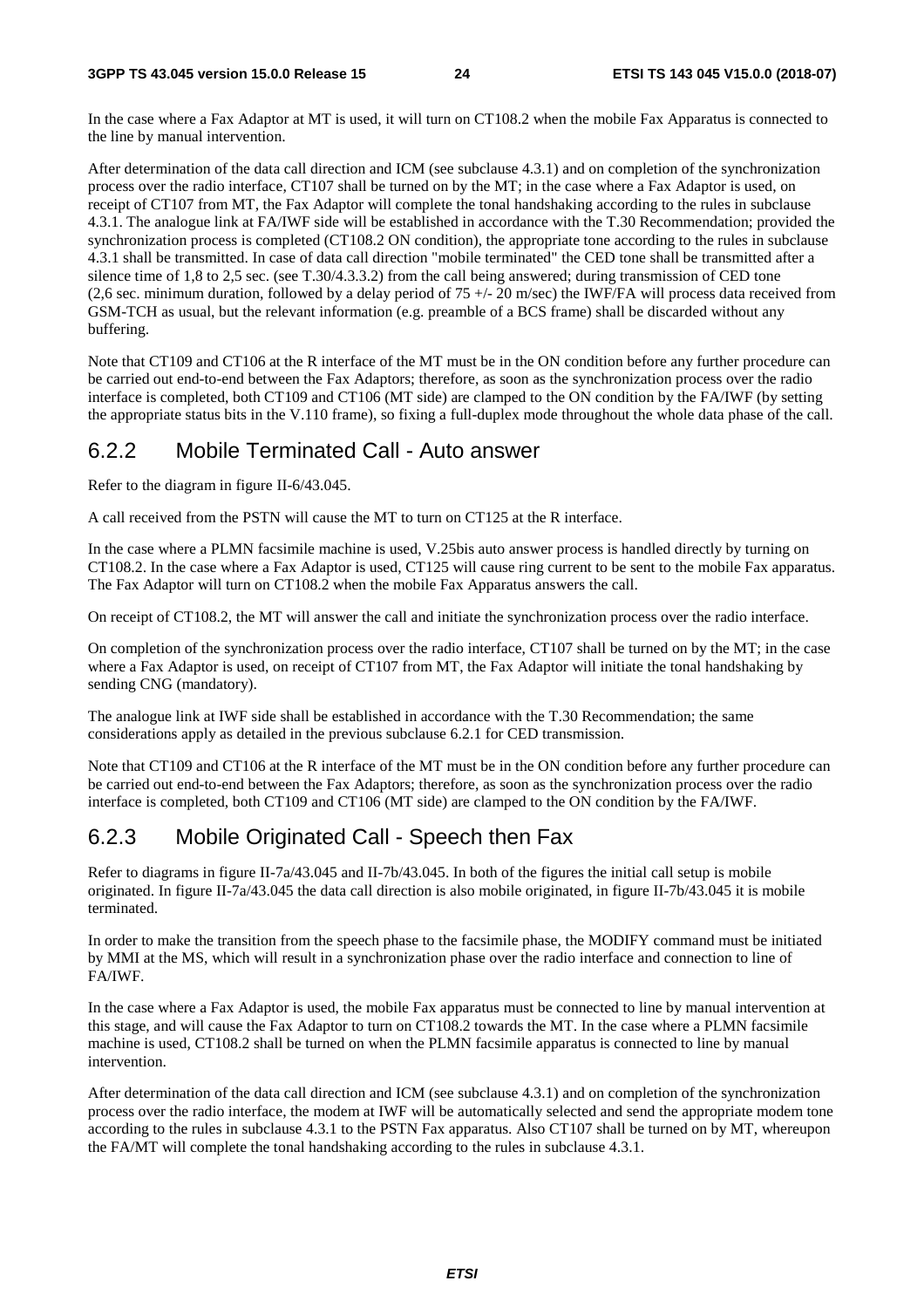In the case where a Fax Adaptor at MT is used, it will turn on CT108.2 when the mobile Fax Apparatus is connected to the line by manual intervention.

After determination of the data call direction and ICM (see subclause 4.3.1) and on completion of the synchronization process over the radio interface, CT107 shall be turned on by the MT; in the case where a Fax Adaptor is used, on receipt of CT107 from MT, the Fax Adaptor will complete the tonal handshaking according to the rules in subclause 4.3.1. The analogue link at FA/IWF side will be established in accordance with the T.30 Recommendation; provided the synchronization process is completed (CT108.2 ON condition), the appropriate tone according to the rules in subclause 4.3.1 shall be transmitted. In case of data call direction "mobile terminated" the CED tone shall be transmitted after a silence time of 1,8 to 2,5 sec. (see T.30/4.3.3.2) from the call being answered; during transmission of CED tone (2,6 sec. minimum duration, followed by a delay period of  $75 +/- 20$  m/sec) the IWF/FA will process data received from GSM-TCH as usual, but the relevant information (e.g. preamble of a BCS frame) shall be discarded without any buffering.

Note that CT109 and CT106 at the R interface of the MT must be in the ON condition before any further procedure can be carried out end-to-end between the Fax Adaptors; therefore, as soon as the synchronization process over the radio interface is completed, both CT109 and CT106 (MT side) are clamped to the ON condition by the FA/IWF (by setting the appropriate status bits in the V.110 frame), so fixing a full-duplex mode throughout the whole data phase of the call.

#### 6.2.2 Mobile Terminated Call - Auto answer

Refer to the diagram in figure II-6/43.045.

A call received from the PSTN will cause the MT to turn on CT125 at the R interface.

In the case where a PLMN facsimile machine is used, V.25bis auto answer process is handled directly by turning on CT108.2. In the case where a Fax Adaptor is used, CT125 will cause ring current to be sent to the mobile Fax apparatus. The Fax Adaptor will turn on CT108.2 when the mobile Fax Apparatus answers the call.

On receipt of CT108.2, the MT will answer the call and initiate the synchronization process over the radio interface.

On completion of the synchronization process over the radio interface, CT107 shall be turned on by the MT; in the case where a Fax Adaptor is used, on receipt of CT107 from MT, the Fax Adaptor will initiate the tonal handshaking by sending CNG (mandatory).

The analogue link at IWF side shall be established in accordance with the T.30 Recommendation; the same considerations apply as detailed in the previous subclause 6.2.1 for CED transmission.

Note that CT109 and CT106 at the R interface of the MT must be in the ON condition before any further procedure can be carried out end-to-end between the Fax Adaptors; therefore, as soon as the synchronization process over the radio interface is completed, both CT109 and CT106 (MT side) are clamped to the ON condition by the FA/IWF.

### 6.2.3 Mobile Originated Call - Speech then Fax

Refer to diagrams in figure II-7a/43.045 and II-7b/43.045. In both of the figures the initial call setup is mobile originated. In figure II-7a/43.045 the data call direction is also mobile originated, in figure II-7b/43.045 it is mobile terminated.

In order to make the transition from the speech phase to the facsimile phase, the MODIFY command must be initiated by MMI at the MS, which will result in a synchronization phase over the radio interface and connection to line of FA/IWF.

In the case where a Fax Adaptor is used, the mobile Fax apparatus must be connected to line by manual intervention at this stage, and will cause the Fax Adaptor to turn on CT108.2 towards the MT. In the case where a PLMN facsimile machine is used, CT108.2 shall be turned on when the PLMN facsimile apparatus is connected to line by manual intervention.

After determination of the data call direction and ICM (see subclause 4.3.1) and on completion of the synchronization process over the radio interface, the modem at IWF will be automatically selected and send the appropriate modem tone according to the rules in subclause 4.3.1 to the PSTN Fax apparatus. Also CT107 shall be turned on by MT, whereupon the FA/MT will complete the tonal handshaking according to the rules in subclause 4.3.1.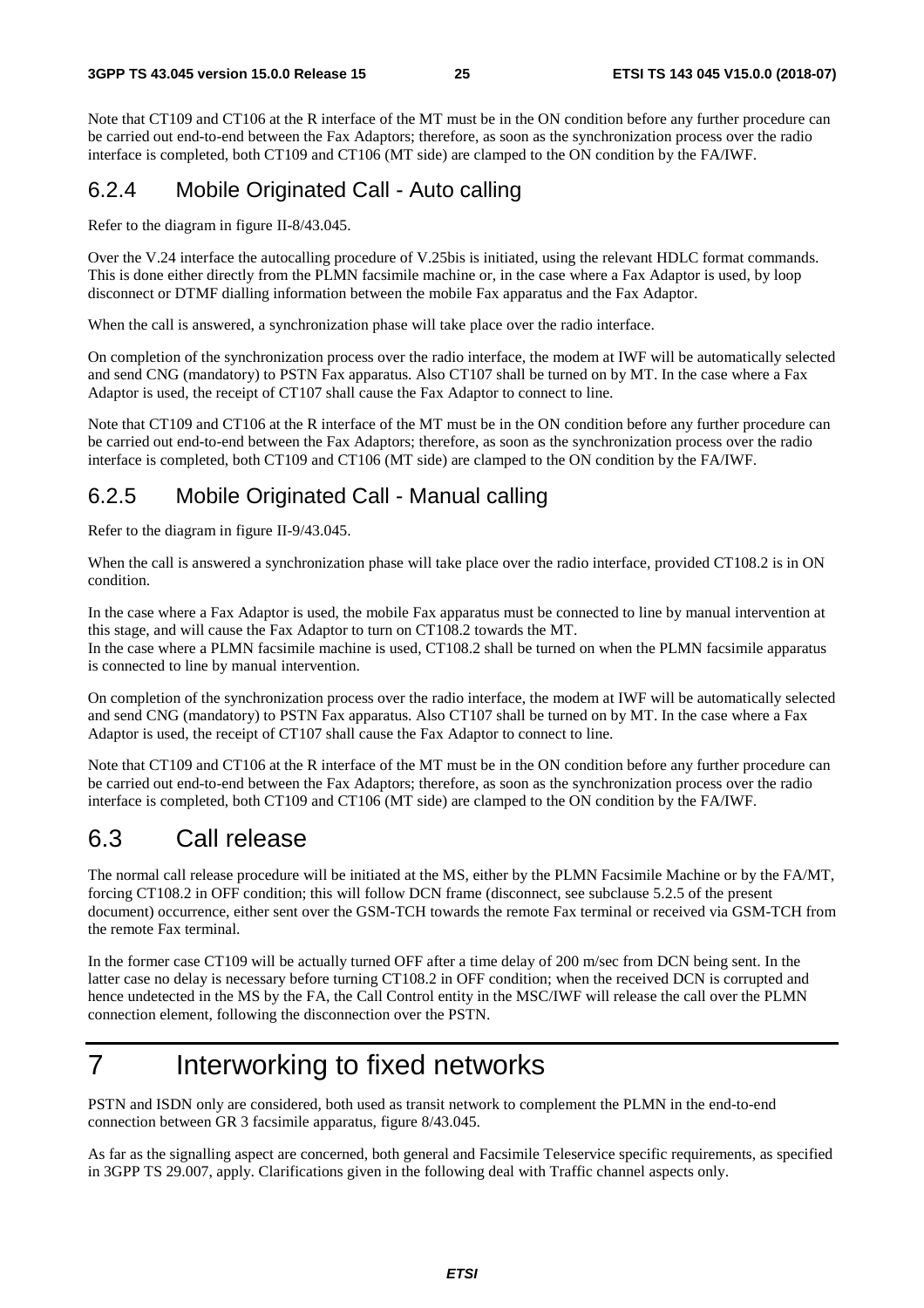Note that CT109 and CT106 at the R interface of the MT must be in the ON condition before any further procedure can be carried out end-to-end between the Fax Adaptors; therefore, as soon as the synchronization process over the radio interface is completed, both CT109 and CT106 (MT side) are clamped to the ON condition by the FA/IWF.

### 6.2.4 Mobile Originated Call - Auto calling

Refer to the diagram in figure II-8/43.045.

Over the V.24 interface the autocalling procedure of V.25bis is initiated, using the relevant HDLC format commands. This is done either directly from the PLMN facsimile machine or, in the case where a Fax Adaptor is used, by loop disconnect or DTMF dialling information between the mobile Fax apparatus and the Fax Adaptor.

When the call is answered, a synchronization phase will take place over the radio interface.

On completion of the synchronization process over the radio interface, the modem at IWF will be automatically selected and send CNG (mandatory) to PSTN Fax apparatus. Also CT107 shall be turned on by MT. In the case where a Fax Adaptor is used, the receipt of CT107 shall cause the Fax Adaptor to connect to line.

Note that CT109 and CT106 at the R interface of the MT must be in the ON condition before any further procedure can be carried out end-to-end between the Fax Adaptors; therefore, as soon as the synchronization process over the radio interface is completed, both CT109 and CT106 (MT side) are clamped to the ON condition by the FA/IWF.

#### 6.2.5 Mobile Originated Call - Manual calling

Refer to the diagram in figure II-9/43.045.

When the call is answered a synchronization phase will take place over the radio interface, provided CT108.2 is in ON condition.

In the case where a Fax Adaptor is used, the mobile Fax apparatus must be connected to line by manual intervention at this stage, and will cause the Fax Adaptor to turn on CT108.2 towards the MT.

In the case where a PLMN facsimile machine is used, CT108.2 shall be turned on when the PLMN facsimile apparatus is connected to line by manual intervention.

On completion of the synchronization process over the radio interface, the modem at IWF will be automatically selected and send CNG (mandatory) to PSTN Fax apparatus. Also CT107 shall be turned on by MT. In the case where a Fax Adaptor is used, the receipt of CT107 shall cause the Fax Adaptor to connect to line.

Note that CT109 and CT106 at the R interface of the MT must be in the ON condition before any further procedure can be carried out end-to-end between the Fax Adaptors; therefore, as soon as the synchronization process over the radio interface is completed, both CT109 and CT106 (MT side) are clamped to the ON condition by the FA/IWF.

### 6.3 Call release

The normal call release procedure will be initiated at the MS, either by the PLMN Facsimile Machine or by the FA/MT, forcing CT108.2 in OFF condition; this will follow DCN frame (disconnect, see subclause 5.2.5 of the present document) occurrence, either sent over the GSM-TCH towards the remote Fax terminal or received via GSM-TCH from the remote Fax terminal.

In the former case CT109 will be actually turned OFF after a time delay of 200 m/sec from DCN being sent. In the latter case no delay is necessary before turning CT108.2 in OFF condition; when the received DCN is corrupted and hence undetected in the MS by the FA, the Call Control entity in the MSC/IWF will release the call over the PLMN connection element, following the disconnection over the PSTN.

## 7 Interworking to fixed networks

PSTN and ISDN only are considered, both used as transit network to complement the PLMN in the end-to-end connection between GR 3 facsimile apparatus, figure 8/43.045.

As far as the signalling aspect are concerned, both general and Facsimile Teleservice specific requirements, as specified in 3GPP TS 29.007, apply. Clarifications given in the following deal with Traffic channel aspects only.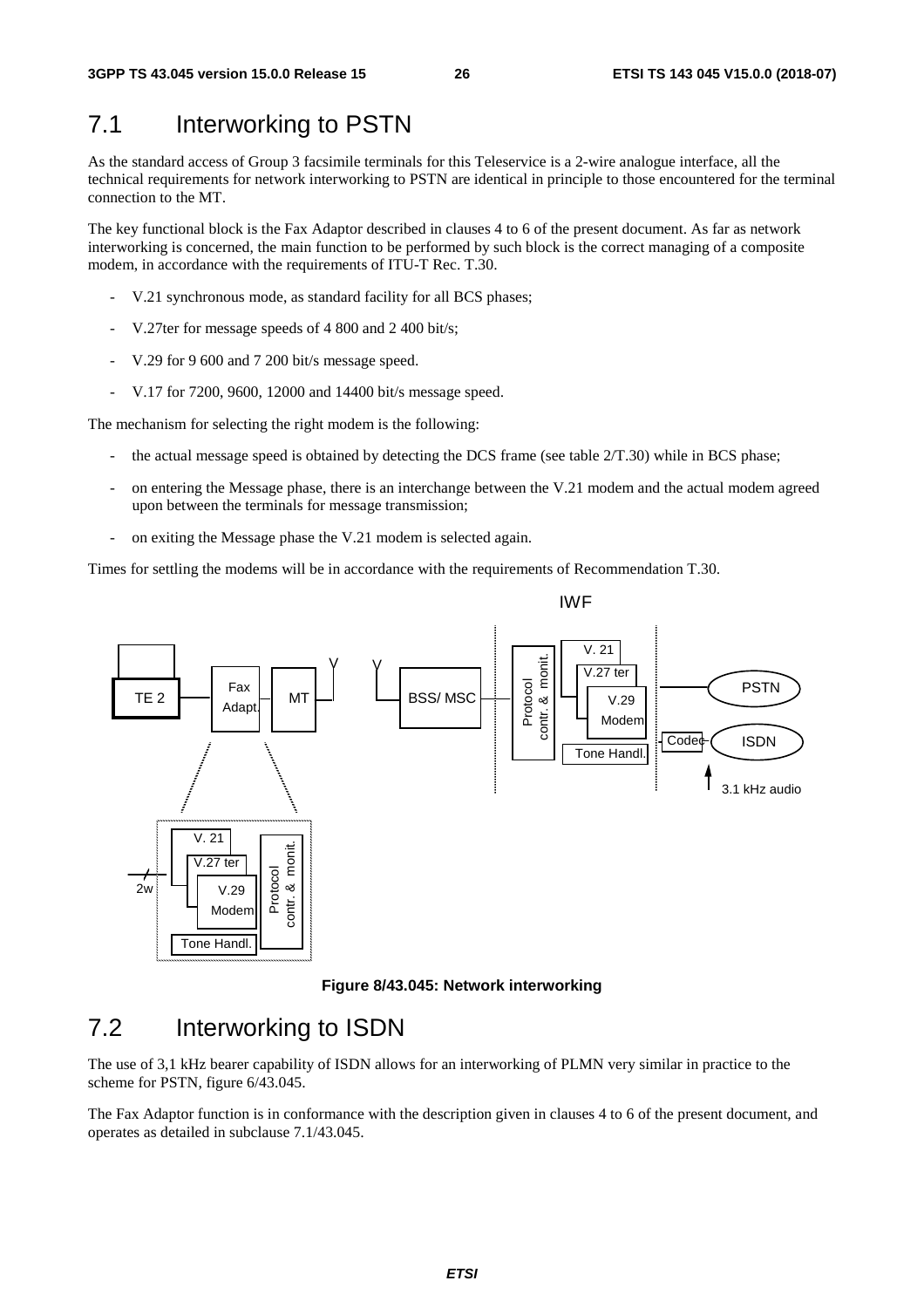### 7.1 Interworking to PSTN

As the standard access of Group 3 facsimile terminals for this Teleservice is a 2-wire analogue interface, all the technical requirements for network interworking to PSTN are identical in principle to those encountered for the terminal connection to the MT.

The key functional block is the Fax Adaptor described in clauses 4 to 6 of the present document. As far as network interworking is concerned, the main function to be performed by such block is the correct managing of a composite modem, in accordance with the requirements of ITU-T Rec. T.30.

- V.21 synchronous mode, as standard facility for all BCS phases;
- V.27ter for message speeds of 4 800 and 2 400 bit/s;
- V.29 for 9 600 and 7 200 bit/s message speed.
- V.17 for 7200, 9600, 12000 and 14400 bit/s message speed.

The mechanism for selecting the right modem is the following:

- the actual message speed is obtained by detecting the DCS frame (see table 2/T.30) while in BCS phase;
- on entering the Message phase, there is an interchange between the V.21 modem and the actual modem agreed upon between the terminals for message transmission;
- on exiting the Message phase the V.21 modem is selected again.

Times for settling the modems will be in accordance with the requirements of Recommendation T.30.



**Figure 8/43.045: Network interworking** 

### 7.2 Interworking to ISDN

The use of 3,1 kHz bearer capability of ISDN allows for an interworking of PLMN very similar in practice to the scheme for PSTN, figure 6/43.045.

The Fax Adaptor function is in conformance with the description given in clauses 4 to 6 of the present document, and operates as detailed in subclause 7.1/43.045.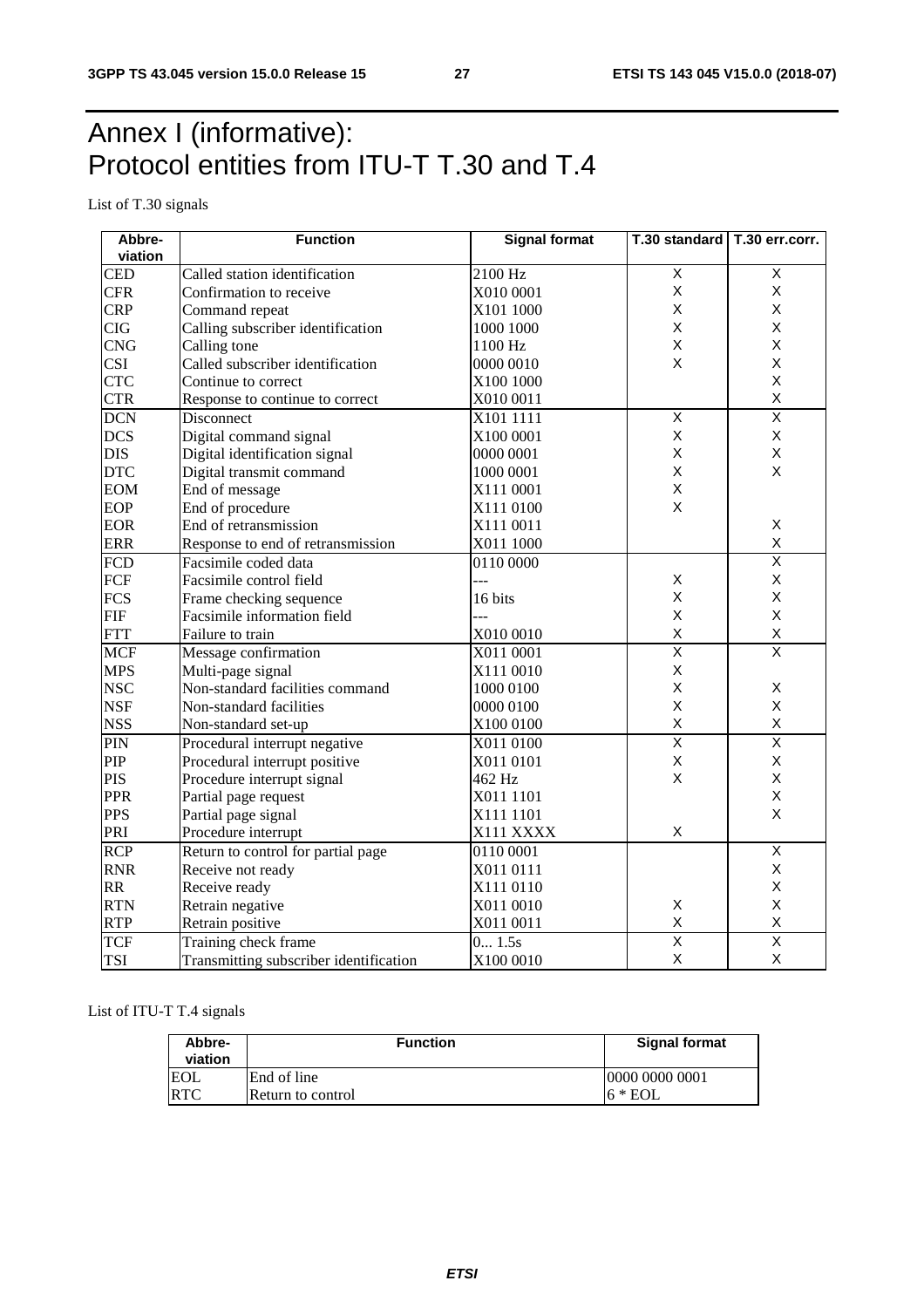## Annex I (informative): Protocol entities from ITU-T T.30 and T.4

List of T.30 signals

| Abbre-     | <b>Function</b>                        | <b>Signal format</b><br>T.30 standard   T.30 err.corr. |                         |                         |  |  |
|------------|----------------------------------------|--------------------------------------------------------|-------------------------|-------------------------|--|--|
| viation    |                                        |                                                        |                         |                         |  |  |
| <b>CED</b> | Called station identification          | 2100 Hz                                                | $\overline{X}$          | Χ                       |  |  |
| <b>CFR</b> | Confirmation to receive                | X010 0001                                              | X                       | X                       |  |  |
| <b>CRP</b> | Command repeat                         | X101 1000                                              | X                       | X                       |  |  |
| <b>CIG</b> | Calling subscriber identification      | 1000 1000                                              | X                       | Χ                       |  |  |
| <b>CNG</b> | Calling tone                           | 1100 Hz                                                | X                       | X                       |  |  |
| <b>CSI</b> | Called subscriber identification       | 0000 0010                                              | X                       | X                       |  |  |
| <b>CTC</b> | Continue to correct                    | X100 1000                                              |                         | X                       |  |  |
| <b>CTR</b> | Response to continue to correct        | X010 0011                                              |                         | X                       |  |  |
| <b>DCN</b> | Disconnect                             | X101 1111                                              | $\overline{X}$          | $\overline{\mathsf{x}}$ |  |  |
| <b>DCS</b> | Digital command signal                 | X100 0001                                              | $\mathsf{x}$            | X                       |  |  |
| <b>DIS</b> | Digital identification signal          | 0000 0001                                              | $\mathsf X$             | X                       |  |  |
| <b>DTC</b> | Digital transmit command               | 1000 0001                                              | X                       | X                       |  |  |
| <b>EOM</b> | End of message                         | X111 0001                                              | $\sf X$                 |                         |  |  |
| EOP        | End of procedure                       | X111 0100                                              | $\sf X$                 |                         |  |  |
| <b>EOR</b> | End of retransmission                  | X111 0011                                              |                         | X                       |  |  |
| <b>ERR</b> | Response to end of retransmission      | X011 1000                                              |                         | X                       |  |  |
| <b>FCD</b> | Facsimile coded data                   | 0110 0000                                              |                         | $\overline{\mathsf{x}}$ |  |  |
| <b>FCF</b> | Facsimile control field                | ---                                                    | $\mathsf X$             | $\mathsf X$             |  |  |
| <b>FCS</b> | Frame checking sequence                | 16 bits                                                | X                       | X                       |  |  |
| <b>FIF</b> | Facsimile information field            |                                                        | X                       | X                       |  |  |
| <b>FTT</b> | Failure to train                       | X010 0010                                              | X                       | $\pmb{\mathsf{X}}$      |  |  |
| <b>MCF</b> | Message confirmation                   | X011 0001                                              | $\overline{\mathsf{x}}$ | $\overline{\mathsf{x}}$ |  |  |
| <b>MPS</b> | Multi-page signal                      | X111 0010                                              | X                       |                         |  |  |
| <b>NSC</b> | Non-standard facilities command        | 1000 0100                                              | X                       | X                       |  |  |
| <b>NSF</b> | Non-standard facilities                | 0000 0100                                              | X                       | X                       |  |  |
| <b>NSS</b> | Non-standard set-up                    | X100 0100                                              | $\sf X$                 | $\pmb{\mathsf{X}}$      |  |  |
| PIN        | Procedural interrupt negative          | X011 0100                                              | $\overline{\mathsf{x}}$ | $\overline{\mathsf{x}}$ |  |  |
| PIP        | Procedural interrupt positive          | X011 0101                                              | X                       | X                       |  |  |
| <b>PIS</b> | Procedure interrupt signal             | 462 Hz                                                 | X                       | X                       |  |  |
| <b>PPR</b> | Partial page request                   | X011 1101                                              |                         | X                       |  |  |
| <b>PPS</b> | Partial page signal                    | X111 1101                                              |                         | X                       |  |  |
| PRI        | Procedure interrupt                    | X111 XXXX                                              | $\sf X$                 |                         |  |  |
| <b>RCP</b> | Return to control for partial page     | 0110 0001                                              |                         | $\overline{\mathsf{x}}$ |  |  |
| <b>RNR</b> | Receive not ready                      | X011 0111                                              |                         | X                       |  |  |
| <b>RR</b>  | Receive ready                          | X111 0110                                              |                         | X                       |  |  |
| <b>RTN</b> | Retrain negative                       | X011 0010                                              | $\mathsf X$             | X                       |  |  |
| <b>RTP</b> | Retrain positive                       | X011 0011                                              | $\sf X$                 | X                       |  |  |
| <b>TCF</b> | Training check frame                   | $\overline{0}$ 1.5s                                    | $\overline{\mathsf{x}}$ | $\overline{\mathsf{x}}$ |  |  |
| <b>TSI</b> | Transmitting subscriber identification | X100 0010                                              | $\sf X$                 | X                       |  |  |

List of ITU-T T.4 signals

| Abbre-<br>viation | <b>Function</b>   | <b>Signal format</b> |  |  |  |
|-------------------|-------------------|----------------------|--|--|--|
| EOL               | End of line       | 10000 0000 0001      |  |  |  |
| <b>RTC</b>        | Return to control | $16 * EOL$           |  |  |  |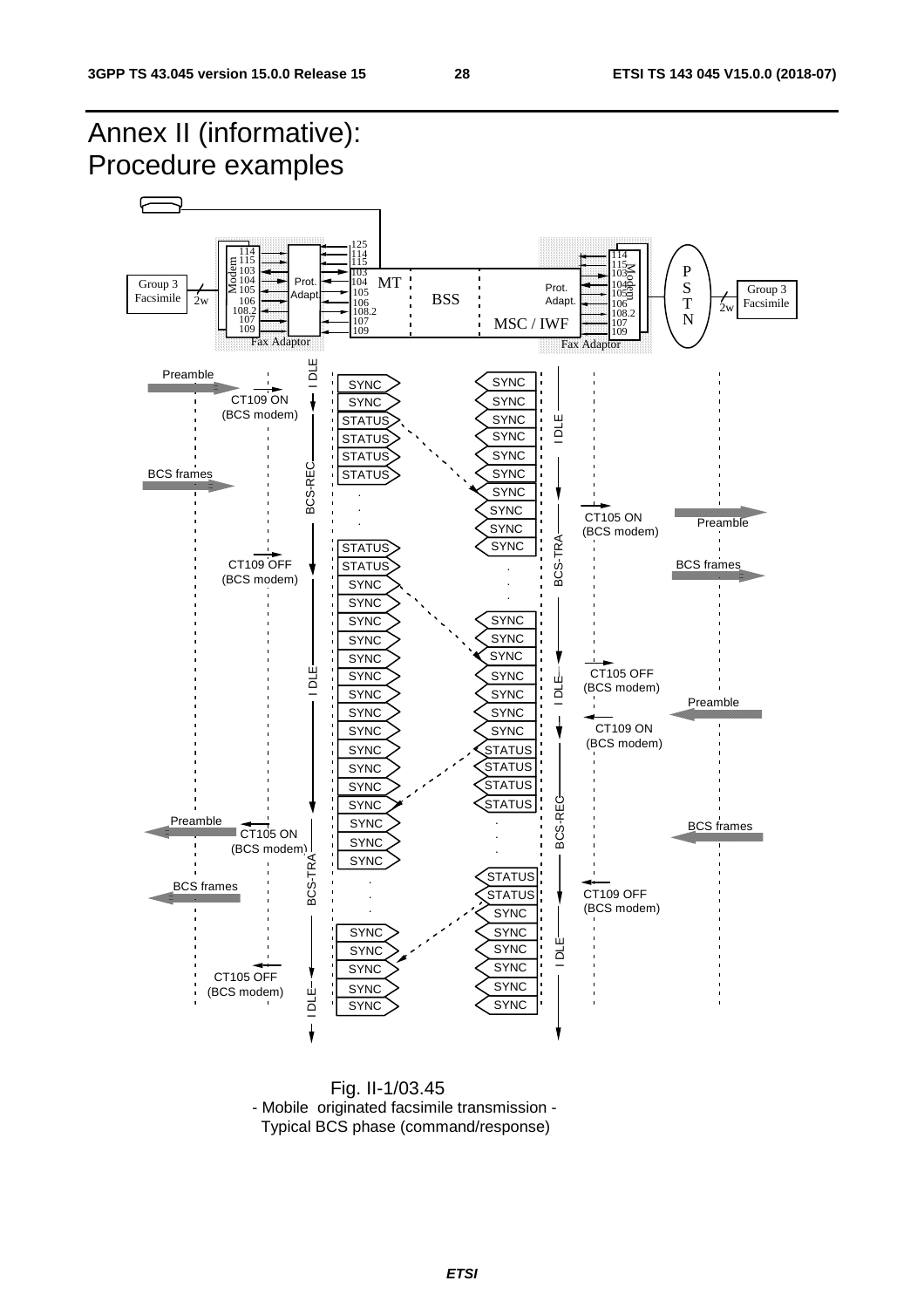

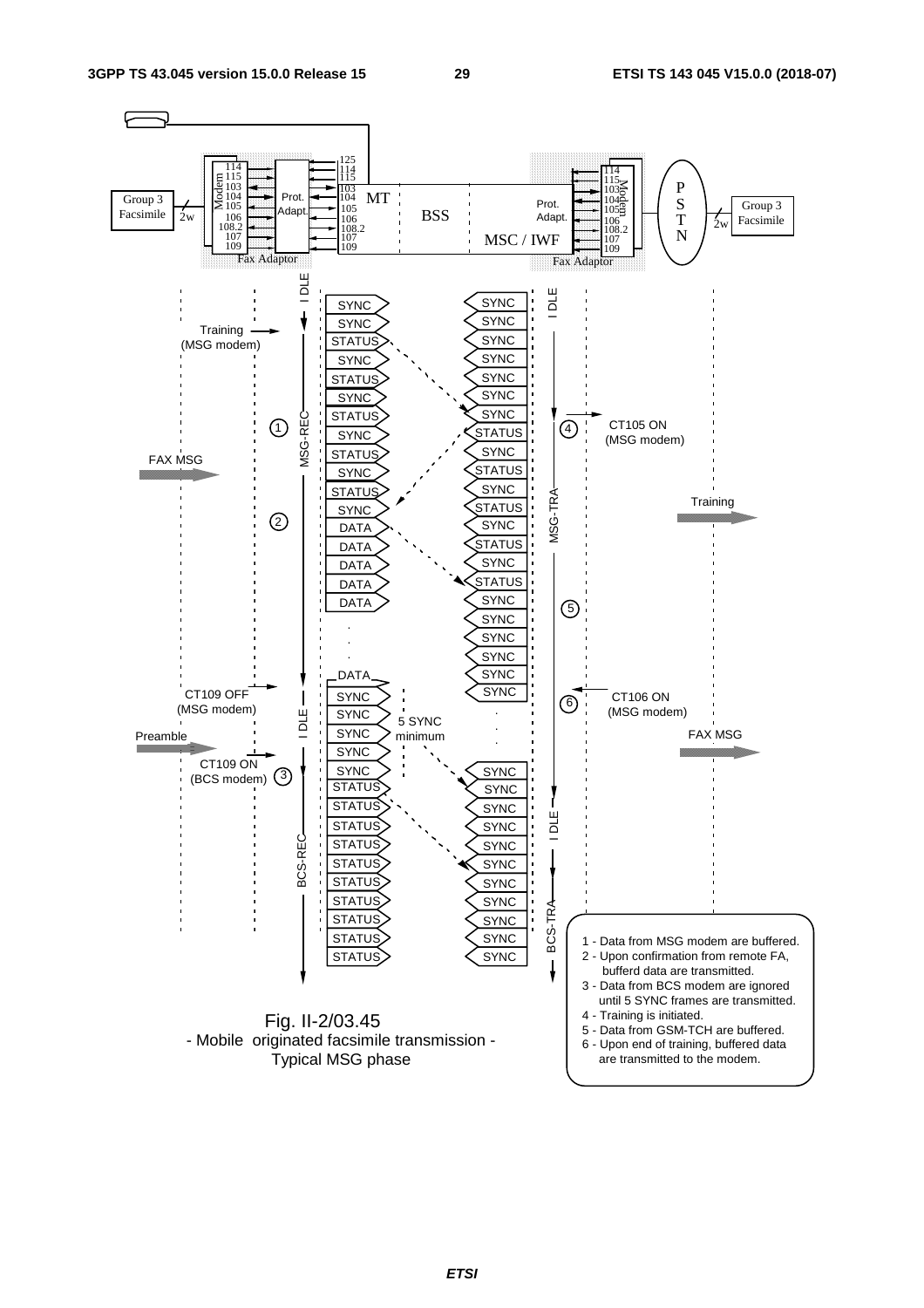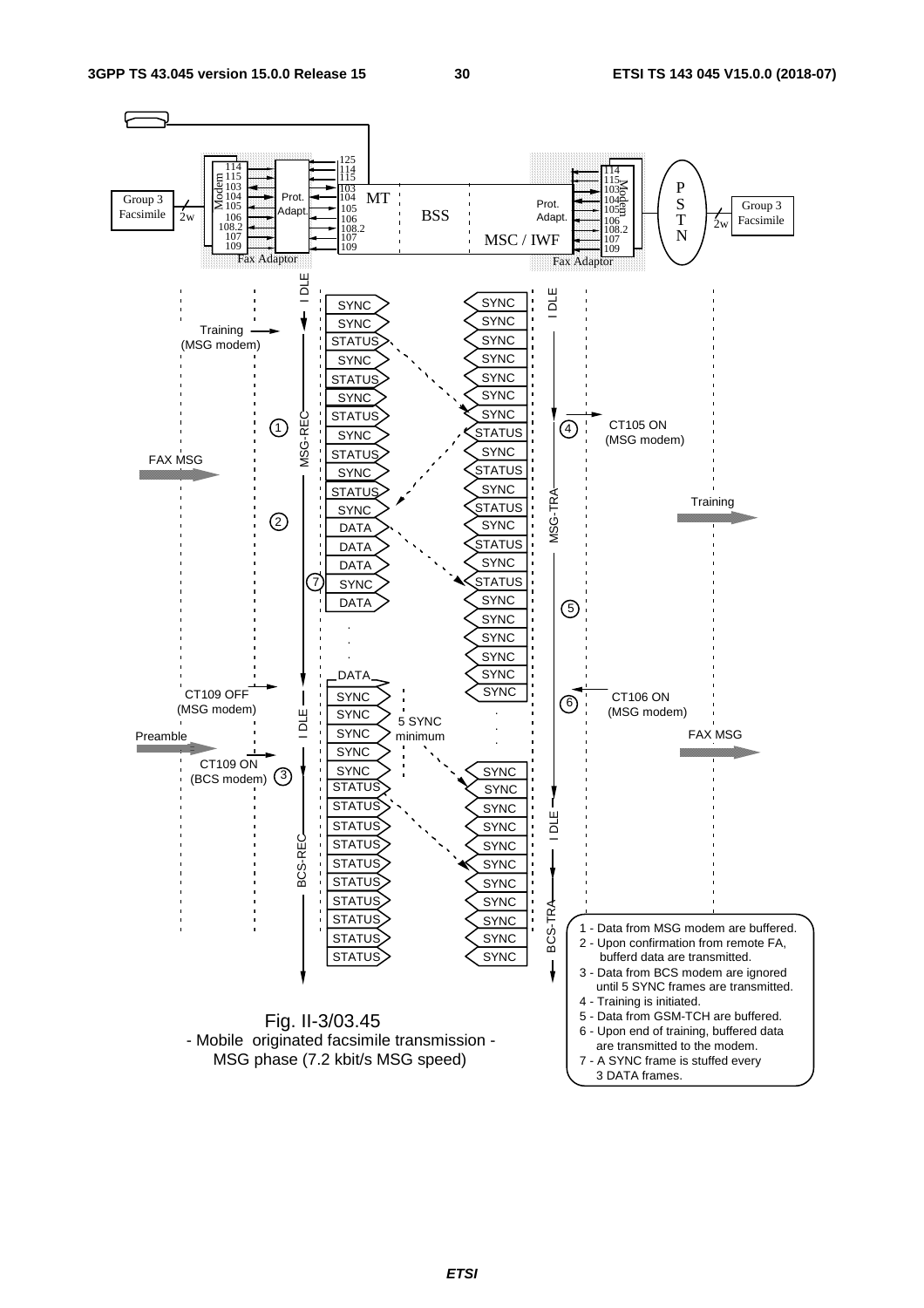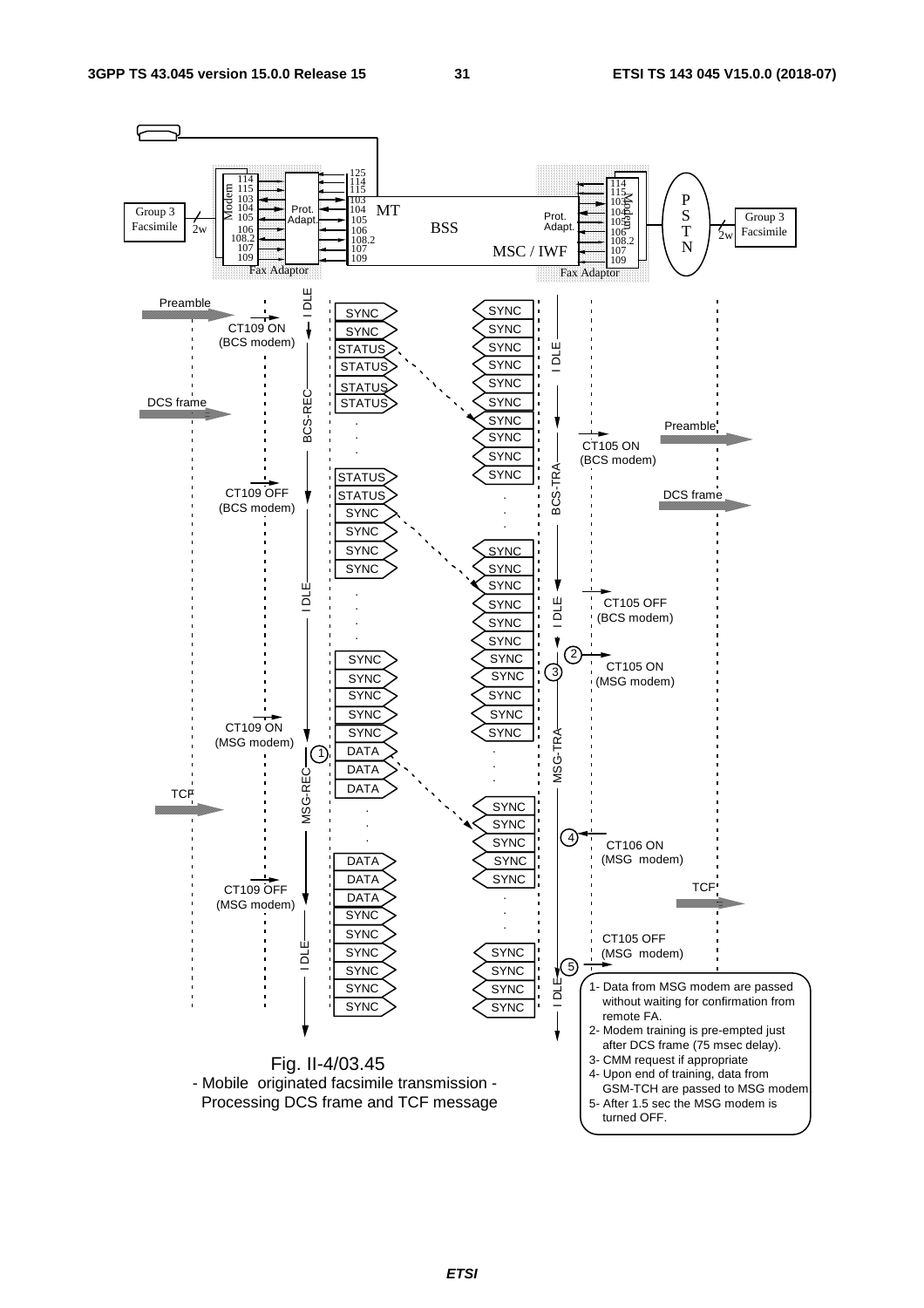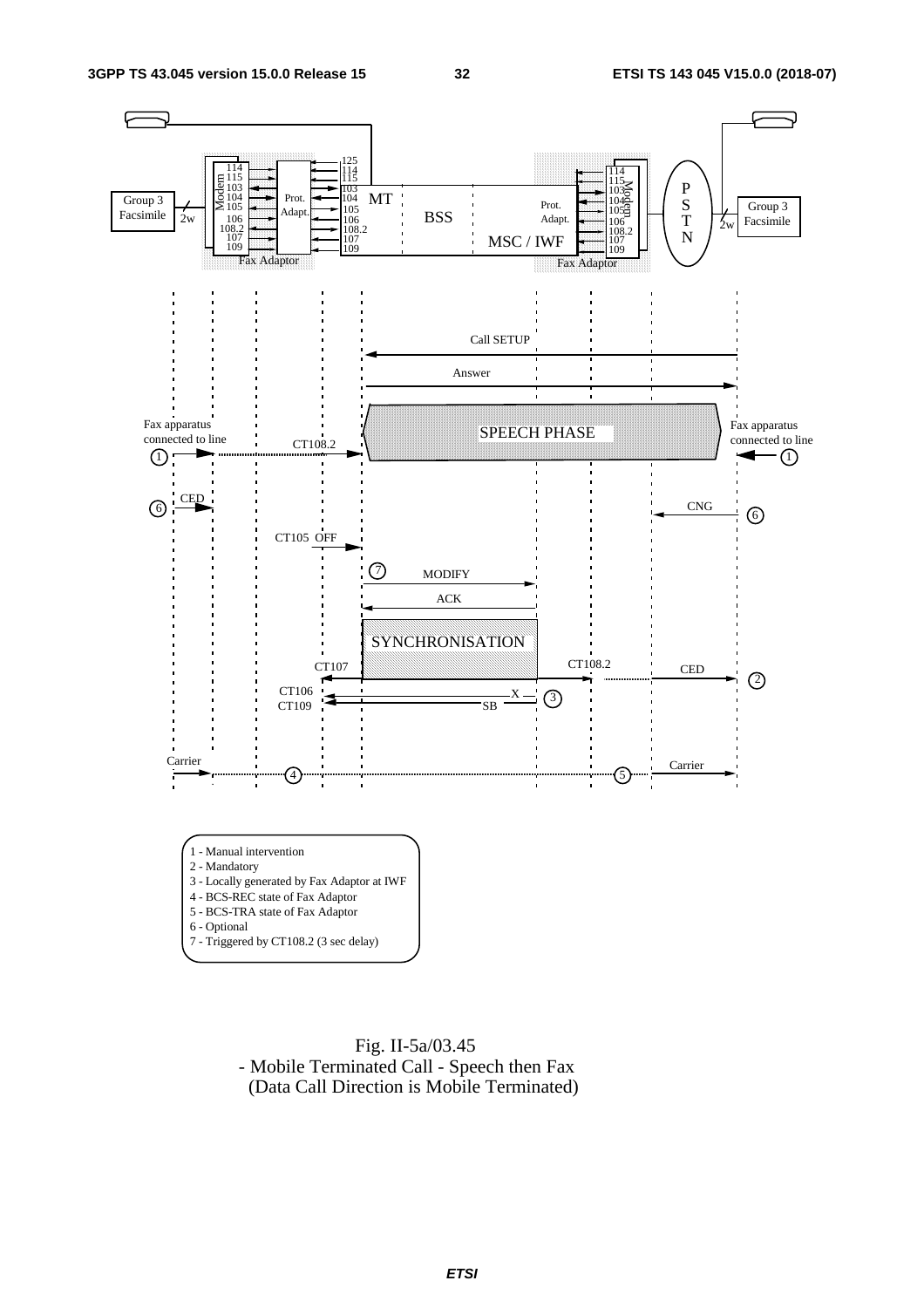



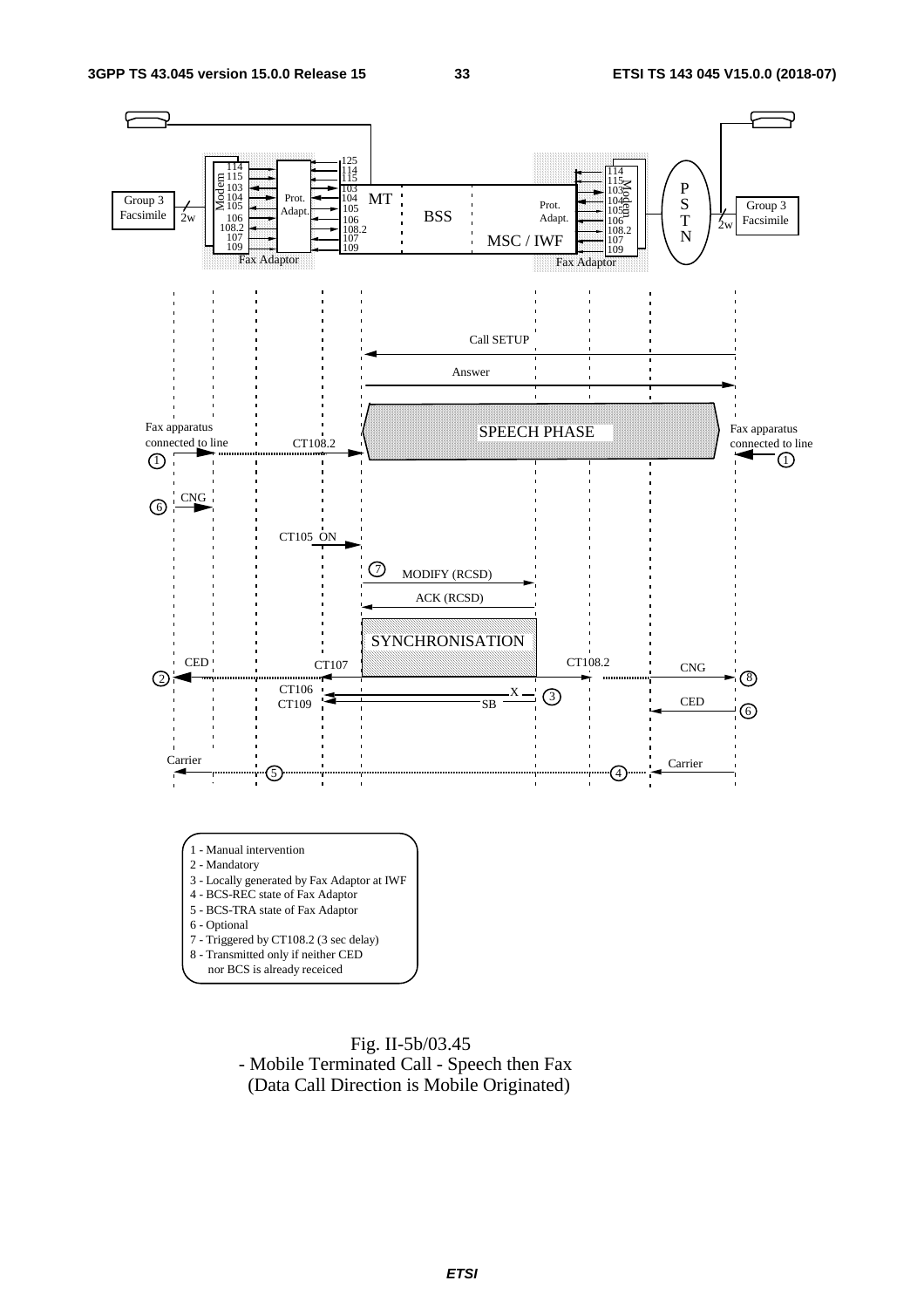



 Fig. II-5b/03.45 - Mobile Terminated Call - Speech then Fax (Data Call Direction is Mobile Originated)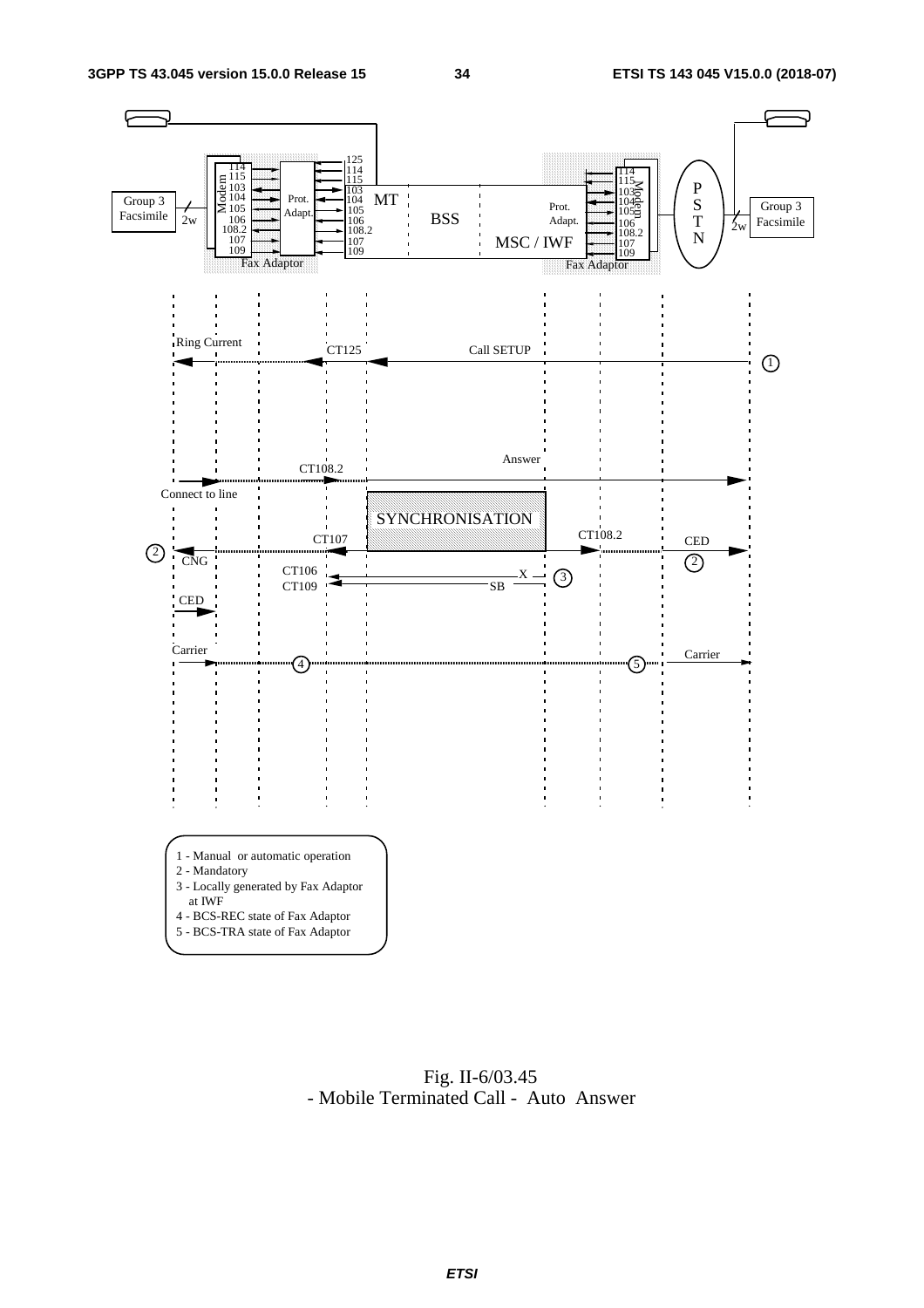

 Fig. II-6/03.45 - Mobile Terminated Call - Auto Answer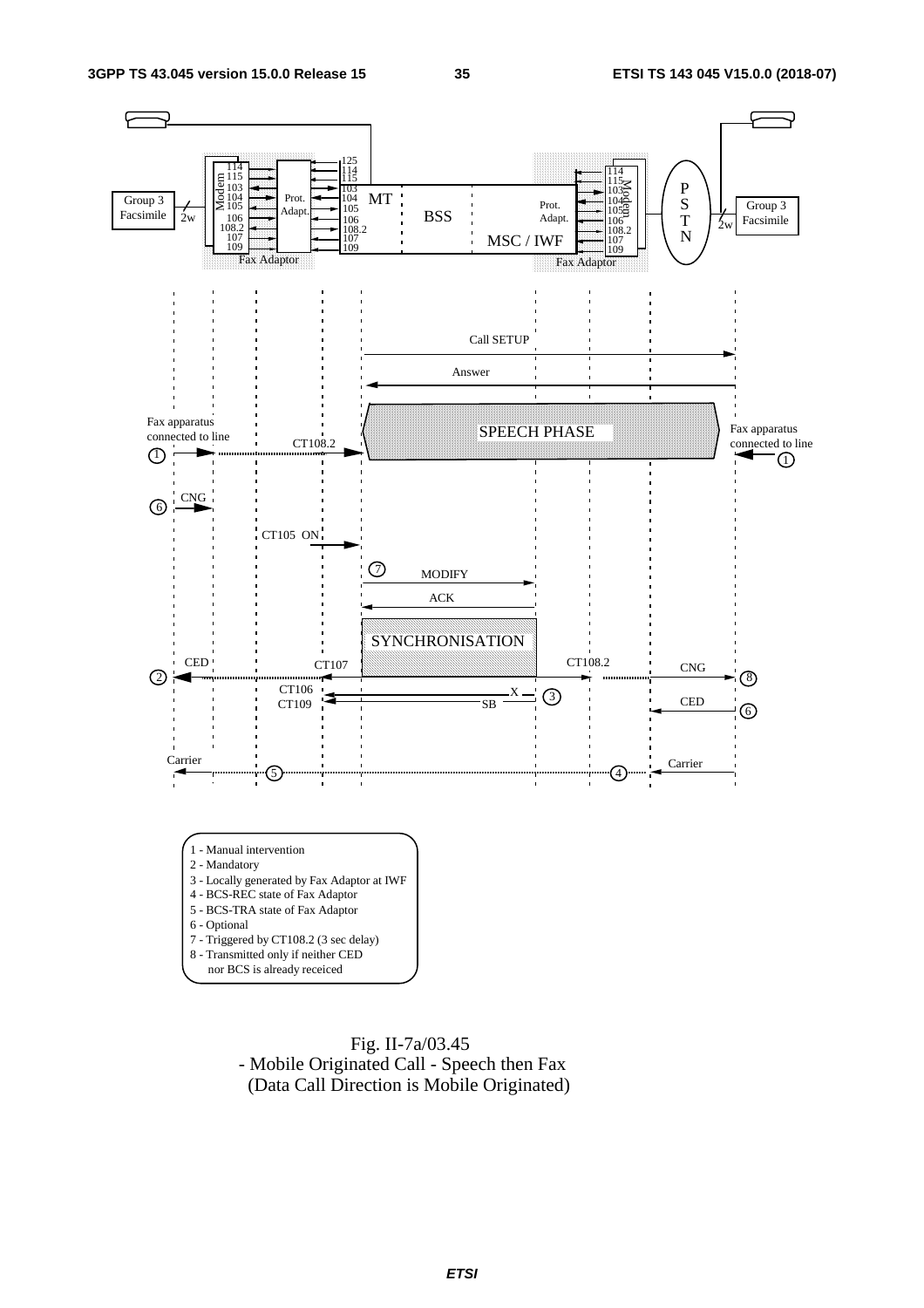

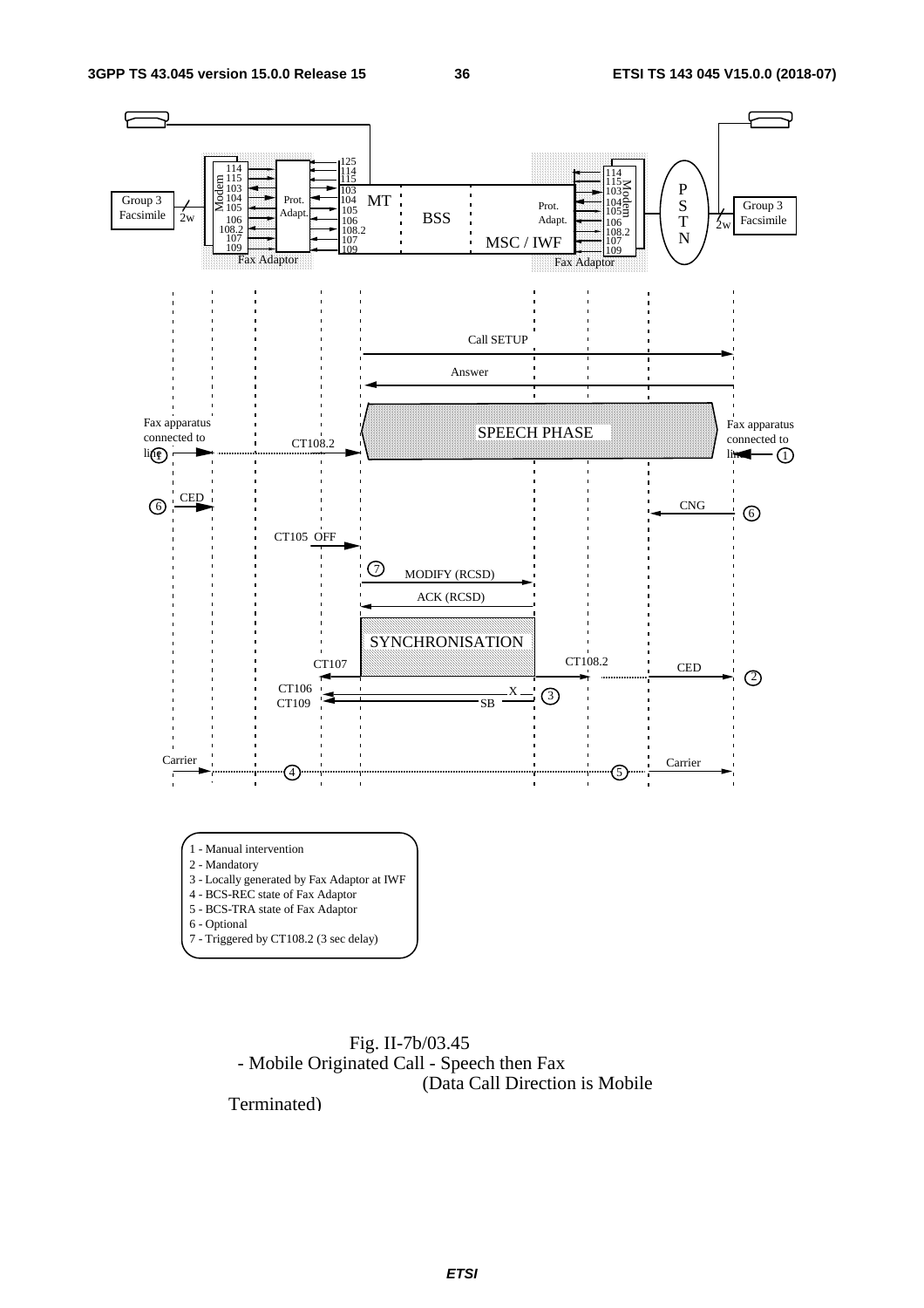

 Fig. II-7b/03.45 - Mobile Originated Call - Speech then Fax (Data Call Direction is Mobile

Terminated)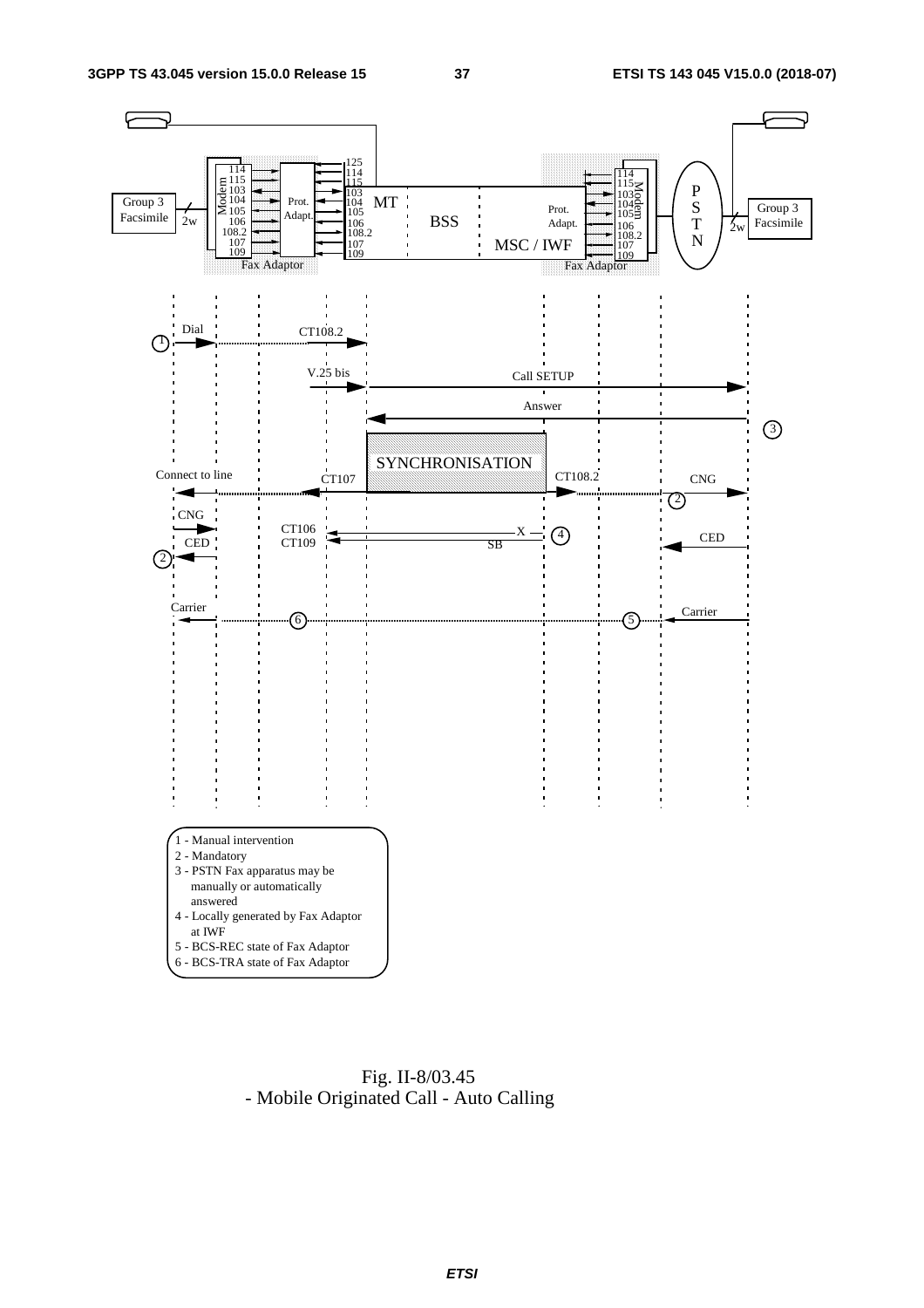

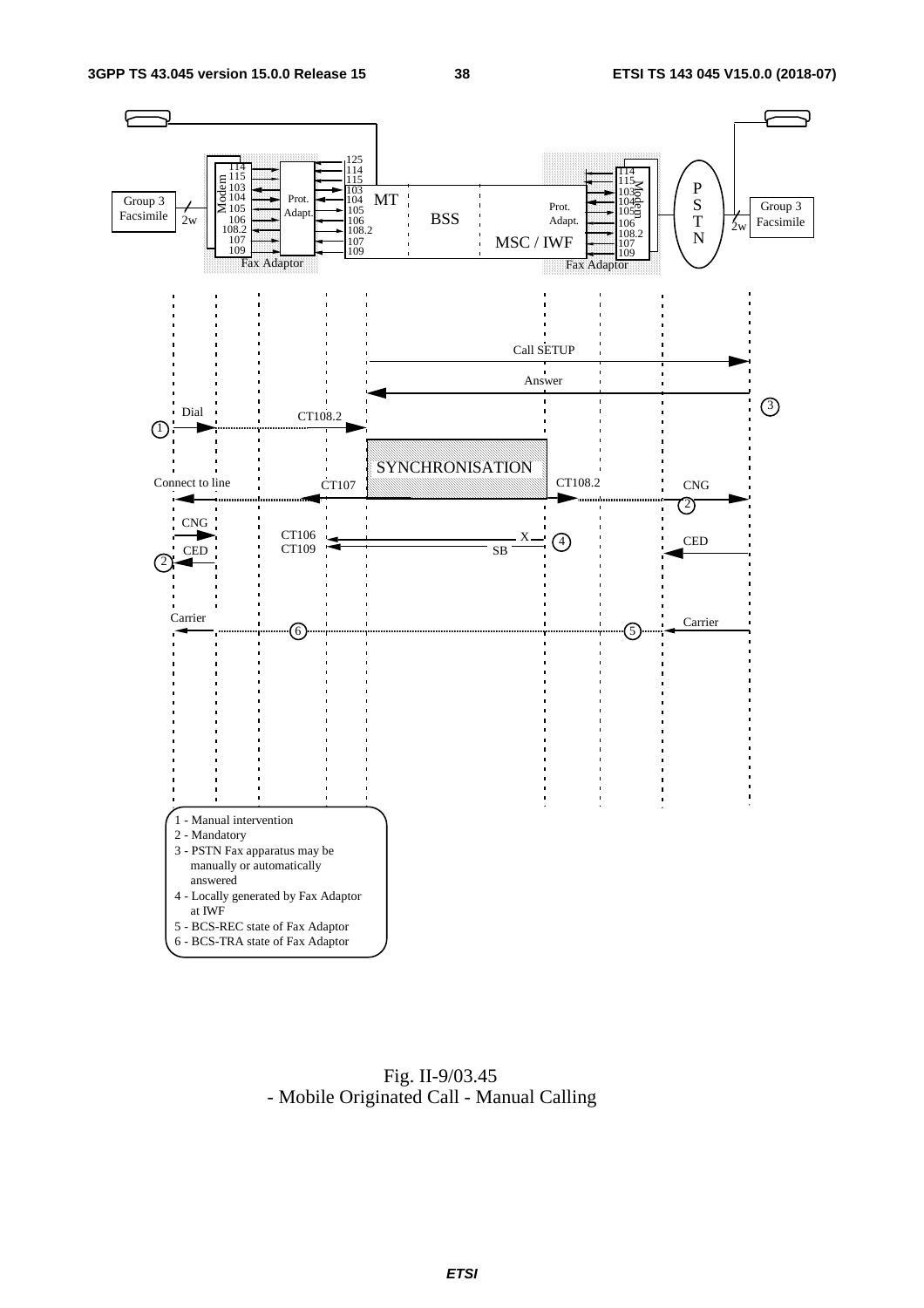

 Fig. II-9/03.45 - Mobile Originated Call - Manual Calling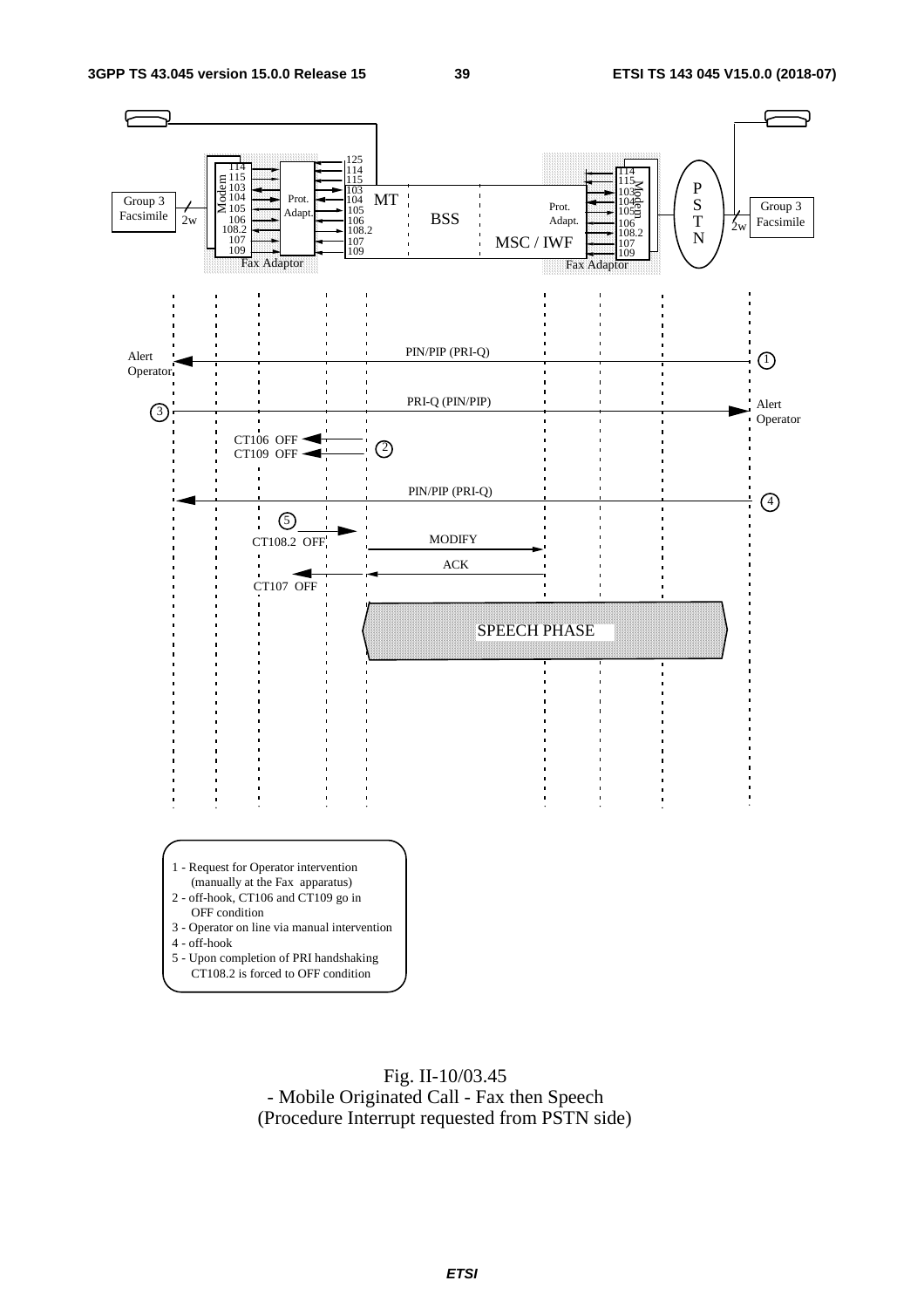



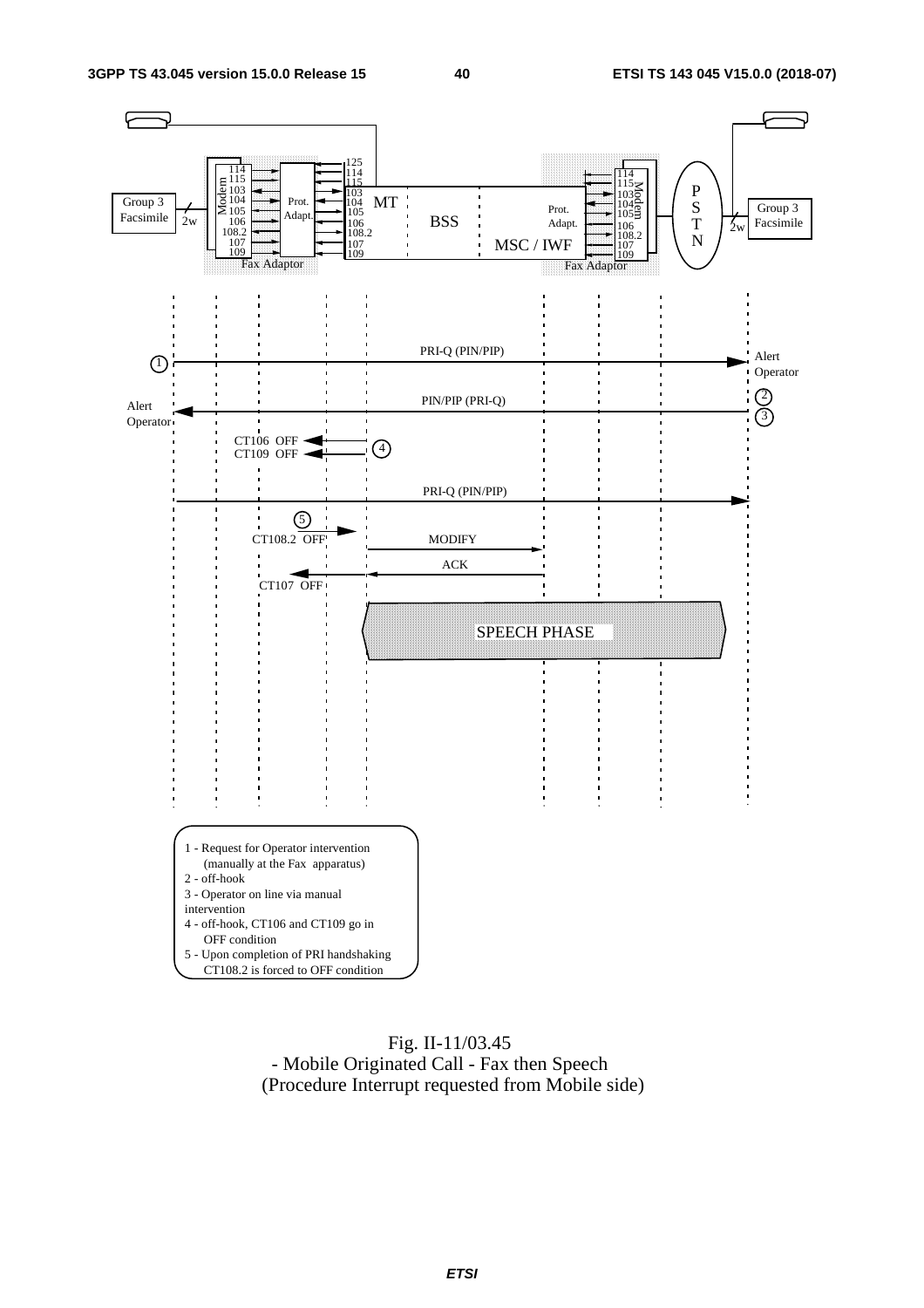

#### Fig. II-11/03.45 - Mobile Originated Call - Fax then Speech (Procedure Interrupt requested from Mobile side)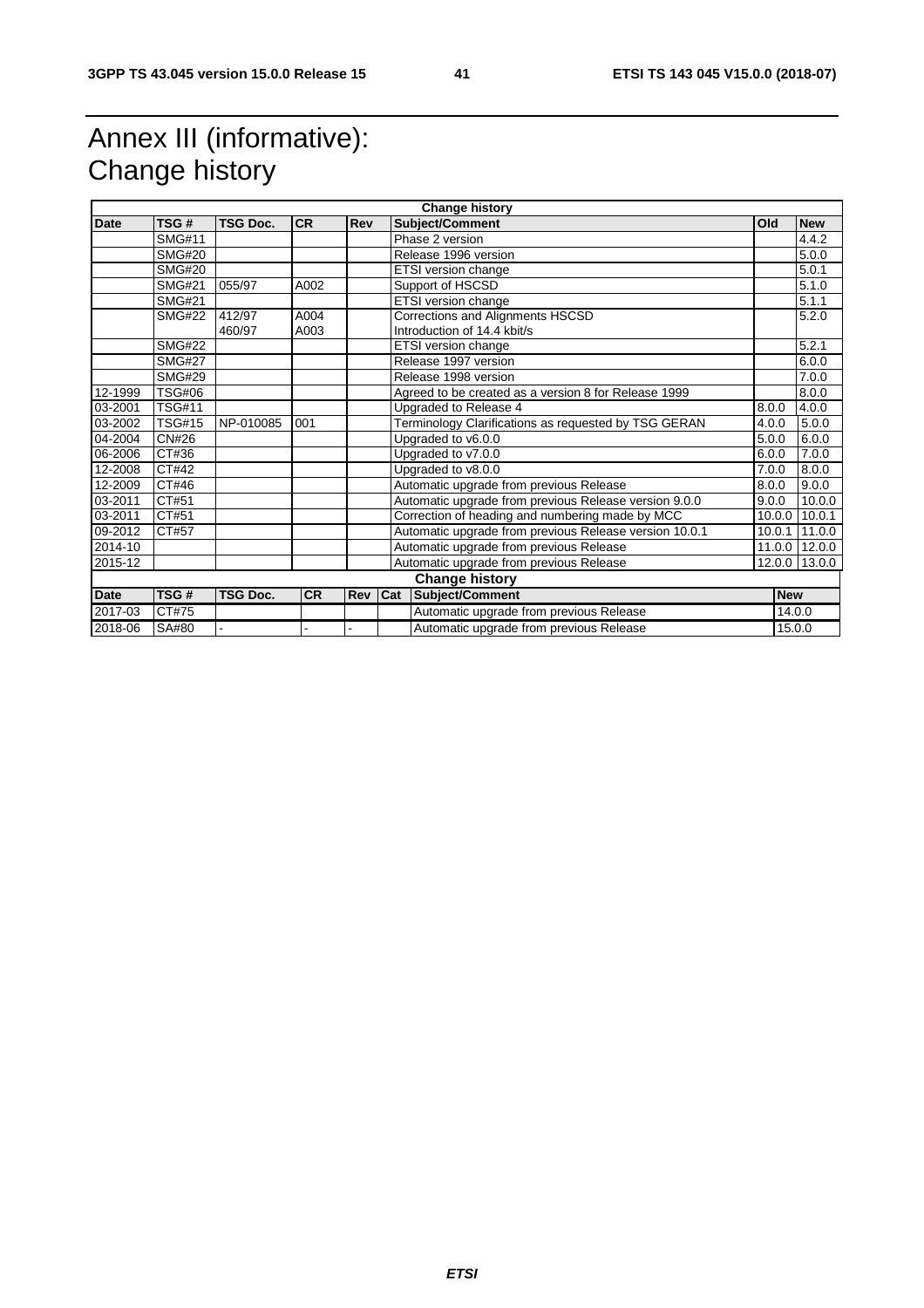## Annex III (informative): Change history

| <b>Change history</b> |               |                 |           |     |                                                       |                                                        |        |            |                 |
|-----------------------|---------------|-----------------|-----------|-----|-------------------------------------------------------|--------------------------------------------------------|--------|------------|-----------------|
| Date                  | TSG#          | <b>TSG Doc.</b> | <b>CR</b> | Rev |                                                       | Subject/Comment                                        | Old    |            | <b>New</b>      |
|                       | <b>SMG#11</b> |                 |           |     |                                                       | Phase 2 version                                        |        |            | 4.4.2           |
|                       | <b>SMG#20</b> |                 |           |     | Release 1996 version                                  |                                                        |        |            | 5.0.0           |
|                       | <b>SMG#20</b> |                 |           |     |                                                       | ETSI version change                                    |        |            | 5.0.1           |
|                       | <b>SMG#21</b> | 055/97          | A002      |     |                                                       | Support of HSCSD                                       |        |            | 5.1.0           |
|                       | <b>SMG#21</b> |                 |           |     |                                                       | <b>ETSI</b> version change                             |        |            | 5.1.1           |
|                       | <b>SMG#22</b> | 412/97          | A004      |     |                                                       | Corrections and Alignments HSCSD                       |        |            | 5.2.0           |
|                       |               | 460/97          | A003      |     |                                                       | Introduction of 14.4 kbit/s                            |        |            |                 |
|                       | <b>SMG#22</b> |                 |           |     |                                                       | ETSI version change                                    |        |            | 5.2.1           |
|                       | <b>SMG#27</b> |                 |           |     |                                                       | Release 1997 version                                   |        |            | 6.0.0           |
|                       | <b>SMG#29</b> |                 |           |     |                                                       | Release 1998 version                                   |        |            | 7.0.0           |
| 12-1999               | <b>TSG#06</b> |                 |           |     |                                                       | Agreed to be created as a version 8 for Release 1999   |        |            | 8.0.0           |
| 03-2001               | <b>TSG#11</b> |                 |           |     |                                                       | Upgraded to Release 4                                  | 8.0.0  |            | 4.0.0           |
| 03-2002               | <b>TSG#15</b> | NP-010085       | 001       |     | Terminology Clarifications as requested by TSG GERAN  |                                                        | 4.0.0  |            | 5.0.0           |
| 04-2004               | <b>CN#26</b>  |                 |           |     | Upgraded to v6.0.0                                    |                                                        | 5.0.0  |            | 6.0.0           |
| 06-2006               | CT#36         |                 |           |     | Upgraded to v7.0.0                                    |                                                        | 6.0.0  |            | 7.0.0           |
| 12-2008               | CT#42         |                 |           |     | Upgraded to v8.0.0<br>7.0.0                           |                                                        |        | 8.0.0      |                 |
| 12-2009               | CT#46         |                 |           |     | Automatic upgrade from previous Release               |                                                        | 8.0.0  |            | 9.0.0           |
| 03-2011               | CT#51         |                 |           |     | Automatic upgrade from previous Release version 9.0.0 |                                                        | 9.0.0  |            | 10.0.0          |
| 03-2011               | CT#51         |                 |           |     |                                                       | Correction of heading and numbering made by MCC        | 10.0.0 |            | 10.0.1          |
| 09-2012               | CT#57         |                 |           |     |                                                       | Automatic upgrade from previous Release version 10.0.1 | 10.0.1 |            | $\sqrt{11.0.0}$ |
| 2014-10               |               |                 |           |     | Automatic upgrade from previous Release               |                                                        |        |            | 11.0.0 12.0.0   |
| 2015-12               |               |                 |           |     |                                                       | Automatic upgrade from previous Release                | 12.0.0 |            | 13.0.0          |
|                       |               |                 |           |     |                                                       | <b>Change history</b>                                  |        |            |                 |
| Date                  | TSG#          | <b>TSG Doc.</b> | <b>CR</b> | Rev | Subject/Comment<br>Cat                                |                                                        |        | <b>New</b> |                 |
| 2017-03               | CT#75         |                 |           |     |                                                       | Automatic upgrade from previous Release                |        | 14.0.0     |                 |
| 2018-06               | SA#80         |                 |           |     |                                                       | Automatic upgrade from previous Release<br>15.0.0      |        |            |                 |